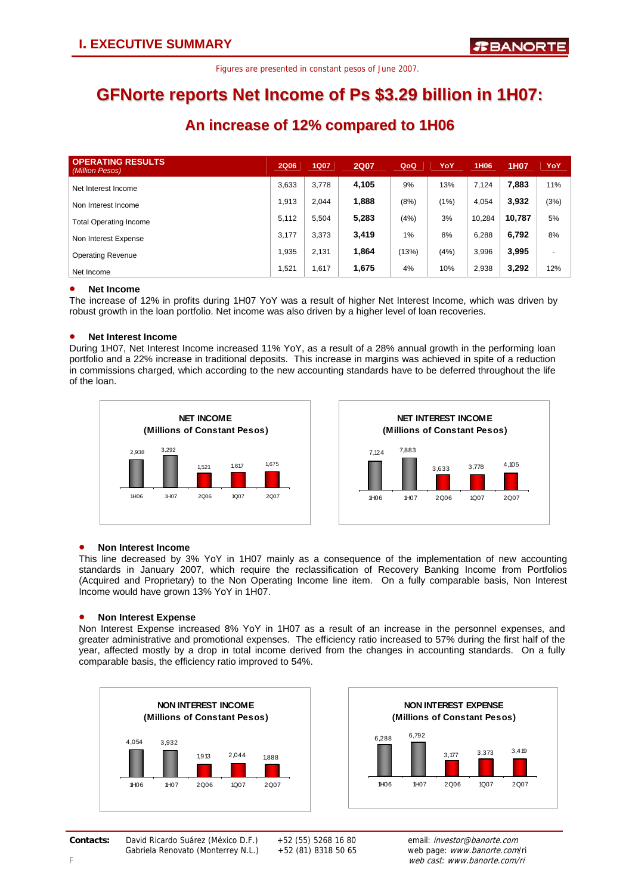### **GFNorte reports Net Income of Ps \$3.29 billion in 1H07:**

### **An increase of 12% compared to 1H06**

| <b>OPERATING RESULTS</b><br>(Million Pesos) | <b>2Q06</b> | <b>1Q07</b> | <b>2Q07</b> | QoQ   | YoY  | 1H <sub>06</sub> | 1H07   | YoY  |
|---------------------------------------------|-------------|-------------|-------------|-------|------|------------------|--------|------|
| Net Interest Income                         | 3,633       | 3.778       | 4,105       | 9%    | 13%  | 7,124            | 7.883  | 11%  |
| Non Interest Income                         | 1.913       | 2.044       | 1,888       | (8%)  | (1%) | 4,054            | 3,932  | (3%) |
| <b>Total Operating Income</b>               | 5,112       | 5,504       | 5,283       | (4%)  | 3%   | 10,284           | 10.787 | 5%   |
| Non Interest Expense                        | 3.177       | 3,373       | 3,419       | 1%    | 8%   | 6,288            | 6,792  | 8%   |
| <b>Operating Revenue</b>                    | 1.935       | 2.131       | 1,864       | (13%) | (4%) | 3,996            | 3,995  | ۰    |
| Net Income                                  | 1,521       | 1,617       | 1,675       | 4%    | 10%  | 2,938            | 3,292  | 12%  |

### • **Net Income**

The increase of 12% in profits during 1H07 YoY was a result of higher Net Interest Income, which was driven by robust growth in the loan portfolio. Net income was also driven by a higher level of loan recoveries.

#### • **Net Interest Income**

During 1H07, Net Interest Income increased 11% YoY, as a result of a 28% annual growth in the performing loan portfolio and a 22% increase in traditional deposits. This increase in margins was achieved in spite of a reduction in commissions charged, which according to the new accounting standards have to be deferred throughout the life of the loan.





### • **Non Interest Income**

This line decreased by 3% YoY in 1H07 mainly as a consequence of the implementation of new accounting standards in January 2007, which require the reclassification of Recovery Banking Income from Portfolios (Acquired and Proprietary) to the Non Operating Income line item. On a fully comparable basis, Non Interest Income would have grown 13% YoY in 1H07.

#### • **Non Interest Expense**

Non Interest Expense increased 8% YoY in 1H07 as a result of an increase in the personnel expenses, and greater administrative and promotional expenses. The efficiency ratio increased to 57% during the first half of the year, affected mostly by a drop in total income derived from the changes in accounting standards. On a fully comparable basis, the efficiency ratio improved to 54%.





*Second Quarter 2007.* 1 **Contacts:** David Ricardo Suárez (México D.F.) +52 (55) 5268 16 80 email: investor@banorte.com Gabriela Renovato (Monterrey N.L.) +52 (81) 8318 50 65 web page: www.banorte.com/ri

F web cast: www.banorte.com/ri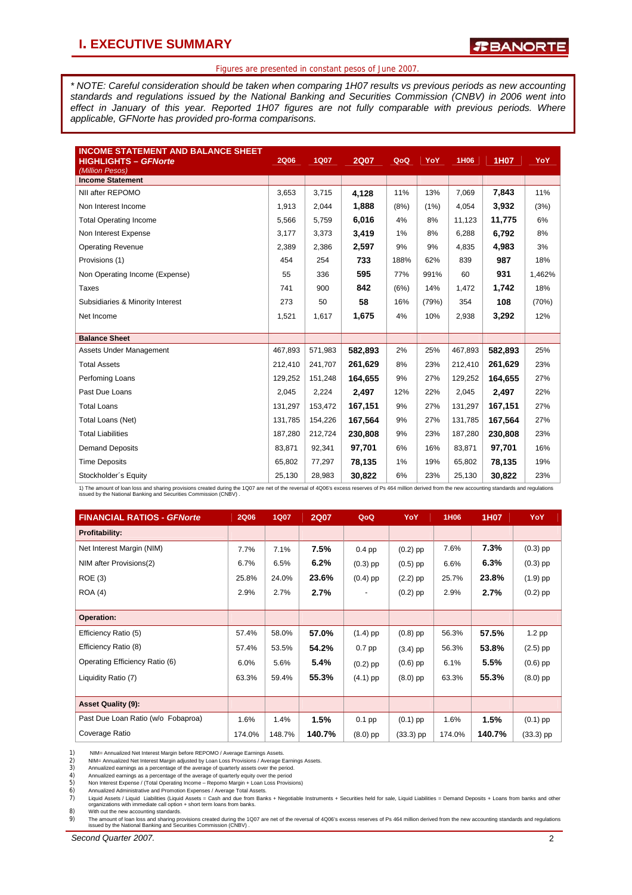### **I. EXECUTIVE SUMMARY**

*R***BANORTE** 

### Figures are presented in constant pesos of June 2007.

*\* NOTE: Careful consideration should be taken when comparing 1H07 results vs previous periods as new accounting standards and regulations issued by the National Banking and Securities Commission (CNBV) in 2006 went into effect in January of this year. Reported 1H07 figures are not fully comparable with previous periods. Where applicable, GFNorte has provided pro-forma comparisons.* 

| <b>INCOME STATEMENT AND BALANCE SHEET</b><br><b>HIGHLIGHTS - GFNorte</b><br>(Million Pesos) | <b>2Q06</b> | <b>1Q07</b> | <b>2Q07</b> | QoQ  | YoY   | 1H06    | 1H07    | YoY    |
|---------------------------------------------------------------------------------------------|-------------|-------------|-------------|------|-------|---------|---------|--------|
| <b>Income Statement</b>                                                                     |             |             |             |      |       |         |         |        |
| NII after REPOMO                                                                            | 3,653       | 3,715       | 4.128       | 11%  | 13%   | 7,069   | 7,843   | 11%    |
| Non Interest Income                                                                         | 1,913       | 2,044       | 1,888       | (8%) | (1%)  | 4,054   | 3,932   | (3%)   |
| <b>Total Operating Income</b>                                                               | 5,566       | 5,759       | 6,016       | 4%   | 8%    | 11,123  | 11,775  | 6%     |
| Non Interest Expense                                                                        | 3,177       | 3,373       | 3,419       | 1%   | 8%    | 6,288   | 6,792   | 8%     |
| <b>Operating Revenue</b>                                                                    | 2,389       | 2,386       | 2,597       | 9%   | 9%    | 4.835   | 4,983   | 3%     |
| Provisions (1)                                                                              | 454         | 254         | 733         | 188% | 62%   | 839     | 987     | 18%    |
| Non Operating Income (Expense)                                                              | 55          | 336         | 595         | 77%  | 991%  | 60      | 931     | 1,462% |
| <b>Taxes</b>                                                                                | 741         | 900         | 842         | (6%) | 14%   | 1,472   | 1,742   | 18%    |
| Subsidiaries & Minority Interest                                                            | 273         | 50          | 58          | 16%  | (79%) | 354     | 108     | (70%)  |
| Net Income                                                                                  | 1,521       | 1,617       | 1,675       | 4%   | 10%   | 2,938   | 3,292   | 12%    |
|                                                                                             |             |             |             |      |       |         |         |        |
| <b>Balance Sheet</b>                                                                        |             |             |             |      |       |         |         |        |
| Assets Under Management                                                                     | 467,893     | 571,983     | 582,893     | 2%   | 25%   | 467,893 | 582,893 | 25%    |
| <b>Total Assets</b>                                                                         | 212,410     | 241,707     | 261,629     | 8%   | 23%   | 212,410 | 261,629 | 23%    |
| Perfoming Loans                                                                             | 129,252     | 151,248     | 164,655     | 9%   | 27%   | 129,252 | 164,655 | 27%    |
| Past Due Loans                                                                              | 2,045       | 2,224       | 2,497       | 12%  | 22%   | 2,045   | 2,497   | 22%    |
| <b>Total Loans</b>                                                                          | 131,297     | 153,472     | 167,151     | 9%   | 27%   | 131,297 | 167,151 | 27%    |
| Total Loans (Net)                                                                           | 131,785     | 154,226     | 167,564     | 9%   | 27%   | 131,785 | 167,564 | 27%    |
| <b>Total Liabilities</b>                                                                    | 187,280     | 212,724     | 230,808     | 9%   | 23%   | 187,280 | 230,808 | 23%    |
| <b>Demand Deposits</b>                                                                      | 83.871      | 92,341      | 97,701      | 6%   | 16%   | 83,871  | 97,701  | 16%    |
| <b>Time Deposits</b>                                                                        | 65,802      | 77,297      | 78,135      | 1%   | 19%   | 65,802  | 78,135  | 19%    |
| Stockholder's Equity                                                                        | 25,130      | 28,983      | 30,822      | 6%   | 23%   | 25,130  | 30,822  | 23%    |

1) The amount of loan loos and sharing provisions created during the 1Q07 are net of the reversal of 4Q06's excess reserves of Ps 464 million derived from the new accounting standards and regulations<br>issued by the National

| <b>FINANCIAL RATIOS - GFNorte</b>  | <b>2Q06</b> | <b>1Q07</b> | <b>2Q07</b> | QoQ        | YoY         | 1H <sub>06</sub> | 1H07   | YoY.        |
|------------------------------------|-------------|-------------|-------------|------------|-------------|------------------|--------|-------------|
| <b>Profitability:</b>              |             |             |             |            |             |                  |        |             |
| Net Interest Margin (NIM)          | 7.7%        | 7.1%        | 7.5%        | $0.4$ pp   | $(0.2)$ pp  | 7.6%             | 7.3%   | $(0.3)$ pp  |
| NIM after Provisions(2)            | 6.7%        | 6.5%        | 6.2%        | $(0.3)$ pp | $(0.5)$ pp  | 6.6%             | 6.3%   | $(0.3)$ pp  |
| ROE(3)                             | 25.8%       | 24.0%       | 23.6%       | $(0.4)$ pp | $(2.2)$ pp  | 25.7%            | 23.8%  | $(1.9)$ pp  |
| ROA(4)                             | 2.9%        | 2.7%        | 2.7%        | ۰          | $(0.2)$ pp  | 2.9%             | 2.7%   | $(0.2)$ pp  |
|                                    |             |             |             |            |             |                  |        |             |
| Operation:                         |             |             |             |            |             |                  |        |             |
| Efficiency Ratio (5)               | 57.4%       | 58.0%       | 57.0%       | $(1.4)$ pp | $(0.8)$ pp  | 56.3%            | 57.5%  | 1.2 pp      |
| Efficiency Ratio (8)               | 57.4%       | 53.5%       | 54.2%       | $0.7$ pp   | $(3.4)$ pp  | 56.3%            | 53.8%  | $(2.5)$ pp  |
| Operating Efficiency Ratio (6)     | 6.0%        | 5.6%        | 5.4%        | $(0.2)$ pp | $(0.6)$ pp  | 6.1%             | 5.5%   | $(0.6)$ pp  |
| Liquidity Ratio (7)                | 63.3%       | 59.4%       | 55.3%       | $(4.1)$ pp | $(8.0)$ pp  | 63.3%            | 55.3%  | $(8.0)$ pp  |
|                                    |             |             |             |            |             |                  |        |             |
| <b>Asset Quality (9):</b>          |             |             |             |            |             |                  |        |             |
| Past Due Loan Ratio (w/o Fobaproa) | 1.6%        | 1.4%        | 1.5%        | $0.1$ pp   | $(0.1)$ pp  | 1.6%             | 1.5%   | $(0.1)$ pp  |
| Coverage Ratio                     | 174.0%      | 148.7%      | 140.7%      | $(8.0)$ pp | $(33.3)$ pp | 174.0%           | 140.7% | $(33.3)$ pp |

1) NIM= Annualized Net Interest Margin before REPOMO / Average Earnings Assets.<br>2) NIM= Annualized Net Interest Margin adjusted by Loan Loss Provisions / Average E<br>3) Annualized earnings as a percentage of the average of g 2) NIM= Annualized Net Interest Margin adjusted by Loan Loss Provisions / Average Earnings Assets.

3) Annualized earnings as a percentage of the average of quarterly assets over the period. 4) Annualized earnings as a percentage of the average of quarterly equity over the period

5) Non Interest Expense / (Total Operating Income – Repomo Margin + Loan Loss Provisions)<br>6) Annualized Administrative and Promotion Expenses / Average Total Assets.<br>7) Liquid Assets / Liquid Liabilities (Liquid Assets = C organizations with immediate call option + short term loans from banks. 8) With out the new accounting standards.

9) The amount of loan loss and sharing provisions created during the 1Q07 are net of the reversal of 4Q06's excess reserves of Ps 464 million derived from the new accounting standards and regulations<br>issued by the National

*Second Quarter 2007.* 2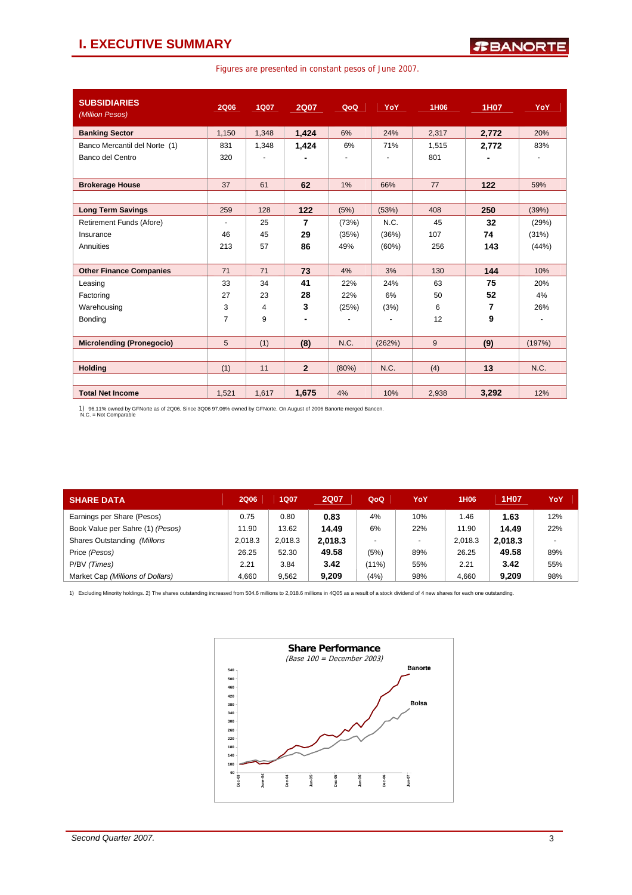### **I. EXECUTIVE SUMMARY**

|  |  |  |  |  |  | Figures are presented in constant pesos of June 2007. |
|--|--|--|--|--|--|-------------------------------------------------------|
|--|--|--|--|--|--|-------------------------------------------------------|

| <b>SUBSIDIARIES</b><br>(Million Pesos) | 2Q06                     | <b>1Q07</b> | <b>2Q07</b>    | QoQ   | YoY            | 1H06  | <b>1H07</b> | YoY    |
|----------------------------------------|--------------------------|-------------|----------------|-------|----------------|-------|-------------|--------|
| <b>Banking Sector</b>                  | 1,150                    | 1,348       | 1.424          | 6%    | 24%            | 2,317 | 2,772       | 20%    |
| Banco Mercantil del Norte (1)          | 831                      | 1,348       | 1,424          | 6%    | 71%            | 1,515 | 2.772       | 83%    |
| Banco del Centro                       | 320                      |             |                | ٠     |                | 801   |             |        |
|                                        |                          |             |                |       |                |       |             |        |
| <b>Brokerage House</b>                 | 37                       | 61          | 62             | 1%    | 66%            | 77    | 122         | 59%    |
|                                        |                          |             |                |       |                |       |             |        |
| <b>Long Term Savings</b>               | 259                      | 128         | 122            | (5%)  | (53%)          | 408   | 250         | (39%)  |
| Retirement Funds (Afore)               | $\overline{\phantom{a}}$ | 25          | $\overline{7}$ | (73%) | N.C.           | 45    | 32          | (29%)  |
| Insurance                              | 46                       | 45          | 29             | (35%) | (36%)          | 107   | 74          | (31%)  |
| Annuities                              | 213                      | 57          | 86             | 49%   | $(60\%)$       | 256   | 143         | (44%)  |
|                                        |                          |             |                |       |                |       |             |        |
| <b>Other Finance Companies</b>         | 71                       | 71          | 73             | 4%    | 3%             | 130   | 144         | 10%    |
| Leasing                                | 33                       | 34          | 41             | 22%   | 24%            | 63    | 75          | 20%    |
| Factoring                              | 27                       | 23          | 28             | 22%   | 6%             | 50    | 52          | 4%     |
| Warehousing                            | 3                        | 4           | 3              | (25%) | (3%)           | 6     | 7           | 26%    |
| Bonding                                | $\overline{7}$           | 9           |                |       | $\blacksquare$ | 12    | 9           |        |
|                                        |                          |             |                |       |                |       |             |        |
| <b>Microlending (Pronegocio)</b>       | 5                        | (1)         | (8)            | N.C.  | (262%)         | 9     | (9)         | (197%) |
|                                        |                          |             |                |       |                |       |             |        |
| <b>Holding</b>                         | (1)                      | 11          | $\overline{2}$ | (80%) | N.C.           | (4)   | 13          | N.C.   |
|                                        |                          |             |                |       |                |       |             |        |
| <b>Total Net Income</b>                | 1,521                    | 1,617       | 1,675          | 4%    | 10%            | 2,938 | 3,292       | 12%    |

1) 96.11% owned by GFNorte as of 2Q06. Since 3Q06 97.06% owned by GFNorte. On August of 2006 Banorte merged Bancen. N.C. = Not Comparable

| <b>SHARE DATA</b>                | <b>2Q06</b> | 1Q07    | <b>2Q07</b> | QoQ                      | YoY    | 1H <sub>06</sub> | 1H07    | YoY                      |
|----------------------------------|-------------|---------|-------------|--------------------------|--------|------------------|---------|--------------------------|
| Earnings per Share (Pesos)       | 0.75        | 0.80    | 0.83        | 4%                       | 10%    | 1.46             | 1.63    | 12%                      |
| Book Value per Sahre (1) (Pesos) | 11.90       | 13.62   | 14.49       | 6%                       | 22%    | 11.90            | 14.49   | 22%                      |
| Shares Outstanding (Millons      | 2.018.3     | 2.018.3 | 2.018.3     | $\overline{\phantom{0}}$ | $\sim$ | 2.018.3          | 2.018.3 | $\overline{\phantom{a}}$ |
| Price (Pesos)                    | 26.25       | 52.30   | 49.58       | (5%)                     | 89%    | 26.25            | 49.58   | 89%                      |
| P/BV (Times)                     | 2.21        | 3.84    | 3.42        | $(11\%)$                 | 55%    | 2.21             | 3.42    | 55%                      |
| Market Cap (Millions of Dollars) | 4.660       | 9.562   | 9,209       | (4%)                     | 98%    | 4,660            | 9,209   | 98%                      |

1) Excluding Minority holdings. 2) The shares outstanding increased from 504.6 millions to 2,018.6 millions in 4Q05 as a result of a stock dividend of 4 new shares for each one outstanding.

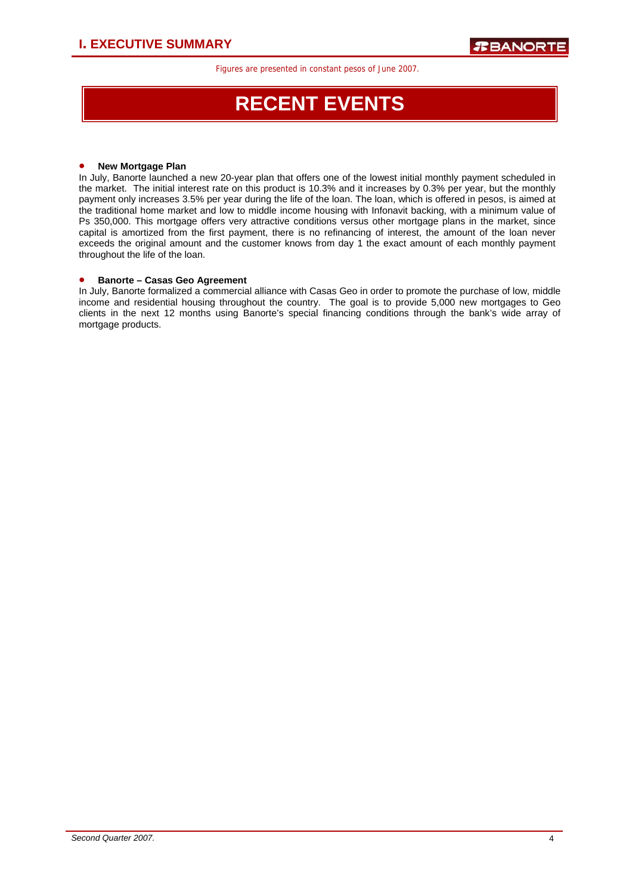# **RECENT EVENTS**

### • **New Mortgage Plan**

In July, Banorte launched a new 20-year plan that offers one of the lowest initial monthly payment scheduled in the market. The initial interest rate on this product is 10.3% and it increases by 0.3% per year, but the monthly payment only increases 3.5% per year during the life of the loan. The loan, which is offered in pesos, is aimed at the traditional home market and low to middle income housing with Infonavit backing, with a minimum value of Ps 350,000. This mortgage offers very attractive conditions versus other mortgage plans in the market, since capital is amortized from the first payment, there is no refinancing of interest, the amount of the loan never exceeds the original amount and the customer knows from day 1 the exact amount of each monthly payment throughout the life of the loan.

### • **Banorte – Casas Geo Agreement**

In July, Banorte formalized a commercial alliance with Casas Geo in order to promote the purchase of low, middle income and residential housing throughout the country. The goal is to provide 5,000 new mortgages to Geo clients in the next 12 months using Banorte's special financing conditions through the bank's wide array of mortgage products.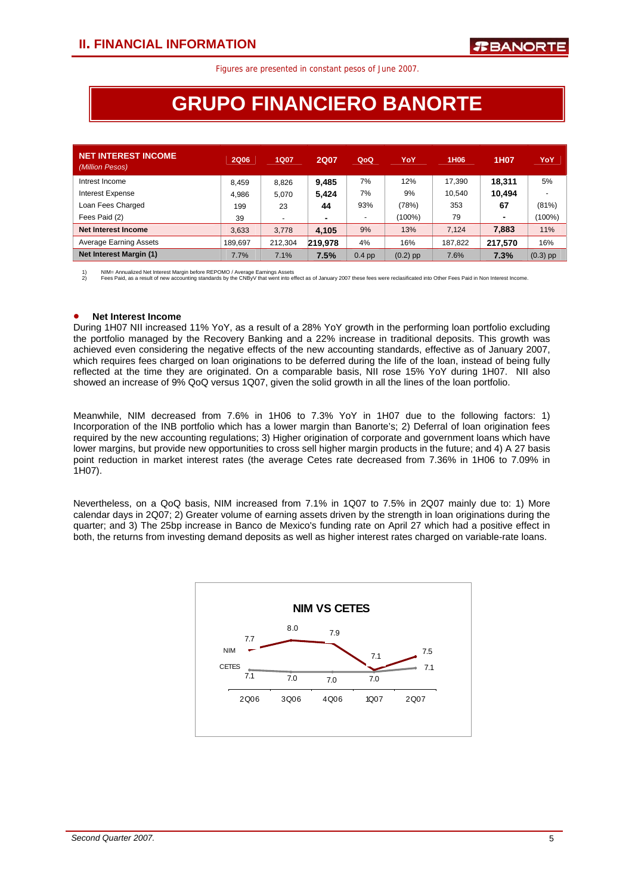# **GRUPO FINANCIERO BANORTE**

| <b>NET INTEREST INCOME</b><br>(Million Pesos) | <b>2Q06</b> | <b>1Q07</b>              | <b>2Q07</b>    | QoQ                      | YoY        | 1H <sub>06</sub> | 1H07           | YoY        |
|-----------------------------------------------|-------------|--------------------------|----------------|--------------------------|------------|------------------|----------------|------------|
| Intrest Income                                | 8.459       | 8.826                    | 9.485          | 7%                       | 12%        | 17.390           | 18.311         | 5%         |
| <b>Interest Expense</b>                       | 4.986       | 5.070                    | 5.424          | 7%                       | 9%         | 10.540           | 10.494         |            |
| Loan Fees Charged                             | 199         | 23                       | 44             | 93%                      | (78%)      | 353              | 67             | (81%)      |
| Fees Paid (2)                                 | 39          | $\overline{\phantom{a}}$ | $\blacksquare$ | $\overline{\phantom{a}}$ | $(100\%)$  | 79               | $\blacksquare$ | (100%)     |
| Net Interest Income                           | 3,633       | 3.778                    | 4.105          | 9%                       | 13%        | 7.124            | 7.883          | 11%        |
| <b>Average Earning Assets</b>                 | 189,697     | 212,304                  | 219.978        | 4%                       | 16%        | 187,822          | 217.570        | 16%        |
| Net Interest Margin (1)                       | 7.7%        | 7.1%                     | 7.5%           | $0.4$ pp                 | $(0.2)$ pp | 7.6%             | 7.3%           | $(0.3)$ pp |

1) NIM= Annualized Net Interest Margin before REPOMO / Average Earnings Assets<br>2) Fees Paid, as a result of new accounting standards by the CNByV that went into effect as of January 2007 these fees were reclasificated int

#### • **Net Interest Income**

 During 1H07 NII increased 11% YoY, as a result of a 28% YoY growth in the performing loan portfolio excluding the portfolio managed by the Recovery Banking and a 22% increase in traditional deposits. This growth was achieved even considering the negative effects of the new accounting standards, effective as of January 2007, which requires fees charged on loan originations to be deferred during the life of the loan, instead of being fully reflected at the time they are originated. On a comparable basis, NII rose 15% YoY during 1H07. NII also showed an increase of 9% QoQ versus 1Q07, given the solid growth in all the lines of the loan portfolio.

Meanwhile, NIM decreased from 7.6% in 1H06 to 7.3% YoY in 1H07 due to the following factors: 1) Incorporation of the INB portfolio which has a lower margin than Banorte's; 2) Deferral of loan origination fees required by the new accounting regulations; 3) Higher origination of corporate and government loans which have lower margins, but provide new opportunities to cross sell higher margin products in the future; and 4) A 27 basis point reduction in market interest rates (the average Cetes rate decreased from 7.36% in 1H06 to 7.09% in 1H07).

Nevertheless, on a QoQ basis, NIM increased from 7.1% in 1Q07 to 7.5% in 2Q07 mainly due to: 1) More calendar days in 2Q07; 2) Greater volume of earning assets driven by the strength in loan originations during the quarter; and 3) The 25bp increase in Banco de Mexico's funding rate on April 27 which had a positive effect in both, the returns from investing demand deposits as well as higher interest rates charged on variable-rate loans.

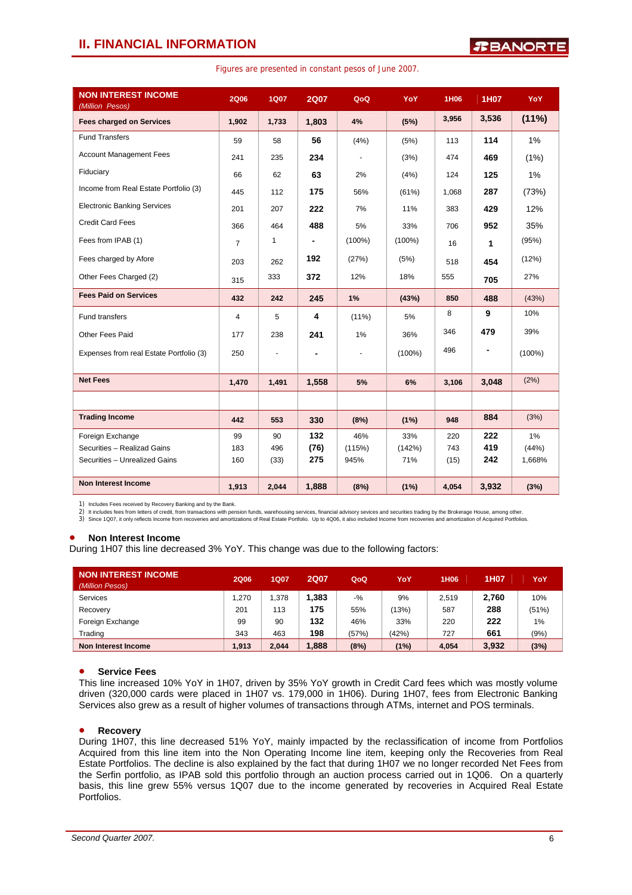### **II. FINANCIAL INFORMATION**

| <b>NON INTEREST INCOME</b><br>(Million Pesos) | 2Q06           | <b>1Q07</b> | <b>2Q07</b> | QoQ       | YoY       | 1H06  | 1H07           | YoY       |
|-----------------------------------------------|----------------|-------------|-------------|-----------|-----------|-------|----------------|-----------|
| <b>Fees charged on Services</b>               | 1,902          | 1,733       | 1,803       | 4%        | (5%)      | 3,956 | 3,536          | (11%)     |
| <b>Fund Transfers</b>                         | 59             | 58          | 56          | (4%)      | (5%)      | 113   | 114            | 1%        |
| <b>Account Management Fees</b>                | 241            | 235         | 234         |           | (3%)      | 474   | 469            | (1%)      |
| Fiduciary                                     | 66             | 62          | 63          | 2%        | (4%)      | 124   | 125            | 1%        |
| Income from Real Estate Portfolio (3)         | 445            | 112         | 175         | 56%       | (61%)     | 1,068 | 287            | (73%)     |
| <b>Electronic Banking Services</b>            | 201            | 207         | 222         | 7%        | 11%       | 383   | 429            | 12%       |
| <b>Credit Card Fees</b>                       | 366            | 464         | 488         | 5%        | 33%       | 706   | 952            | 35%       |
| Fees from IPAB (1)                            | $\overline{7}$ | 1           |             | $(100\%)$ | $(100\%)$ | 16    | 1              | (95%)     |
| Fees charged by Afore                         | 203            | 262         | 192         | (27%)     | (5%)      | 518   | 454            | (12%)     |
| Other Fees Charged (2)                        | 315            | 333         | 372         | 12%       | 18%       | 555   | 705            | 27%       |
| <b>Fees Paid on Services</b>                  | 432            | 242         | 245         | 1%        | (43%)     | 850   | 488            | (43%)     |
| <b>Fund transfers</b>                         | $\overline{4}$ | 5           | 4           | $(11\%)$  | 5%        | 8     | 9              | 10%       |
| Other Fees Paid                               | 177            | 238         | 241         | 1%        | 36%       | 346   | 479            | 39%       |
| Expenses from real Estate Portfolio (3)       | 250            | ٠           |             |           | $(100\%)$ | 496   | $\blacksquare$ | $(100\%)$ |
|                                               |                |             |             |           |           |       |                |           |
| <b>Net Fees</b>                               | 1,470          | 1,491       | 1,558       | 5%        | 6%        | 3,106 | 3.048          | (2%)      |
|                                               |                |             |             |           |           |       |                |           |
| <b>Trading Income</b>                         | 442            | 553         | 330         | (8%)      | (1%)      | 948   | 884            | (3%)      |
| Foreign Exchange                              | 99             | 90          | 132         | 46%       | 33%       | 220   | 222            | $1\%$     |
| Securities - Realizad Gains                   | 183            | 496         | (76)        | (115%)    | (142%)    | 743   | 419            | (44%)     |
| Securities - Unrealized Gains                 | 160            | (33)        | 275         | 945%      | 71%       | (15)  | 242            | 1,668%    |
| Non Interest Income                           | 1,913          | 2,044       | 1,888       | (8%)      | (1%)      | 4,054 | 3,932          | (3%)      |

Figures are presented in constant pesos of June 2007.

1) Includes Fees received by Recovery Banking and by the Bank.

2) It includes fees from letters of credit, from transactions with pension funds, warehousing services, financial advisory sevices and securities trading by the Brokerage House, among other.<br>3) Since 1Q07, it only reflects

### • **Non Interest Income**

During 1H07 this line decreased 3% YoY. This change was due to the following factors:

| NON INTEREST INCOME<br>(Million Pesos) | <b>2Q06</b> | 1Q07  | <b>2Q07</b> | QoQ   | YoY   | 1H <sub>06</sub> | 1H07  | YoY   |
|----------------------------------------|-------------|-------|-------------|-------|-------|------------------|-------|-------|
| Services                               | .270        | .378  | 1.383       | $-$ % | 9%    | 2.519            | 2,760 | 10%   |
| Recovery                               | 201         | 113   | 175         | 55%   | (13%) | 587              | 288   | (51%) |
| Foreign Exchange                       | 99          | 90    | 132         | 46%   | 33%   | 220              | 222   | $1\%$ |
| Trading                                | 343         | 463   | 198         | (57%) | (42%) | 727              | 661   | (9%)  |
| Non Interest Income                    | 1.913       | 2.044 | 1.888       | (8%)  | (1%)  | 4,054            | 3,932 | (3%)  |

### • **Service Fees**

This line increased 10% YoY in 1H07, driven by 35% YoY growth in Credit Card fees which was mostly volume driven (320,000 cards were placed in 1H07 vs. 179,000 in 1H06). During 1H07, fees from Electronic Banking Services also grew as a result of higher volumes of transactions through ATMs, internet and POS terminals.

### • **Recovery**

During 1H07, this line decreased 51% YoY, mainly impacted by the reclassification of income from Portfolios Acquired from this line item into the Non Operating Income line item, keeping only the Recoveries from Real Estate Portfolios. The decline is also explained by the fact that during 1H07 we no longer recorded Net Fees from the Serfin portfolio, as IPAB sold this portfolio through an auction process carried out in 1Q06. On a quarterly basis, this line grew 55% versus 1Q07 due to the income generated by recoveries in Acquired Real Estate Portfolios.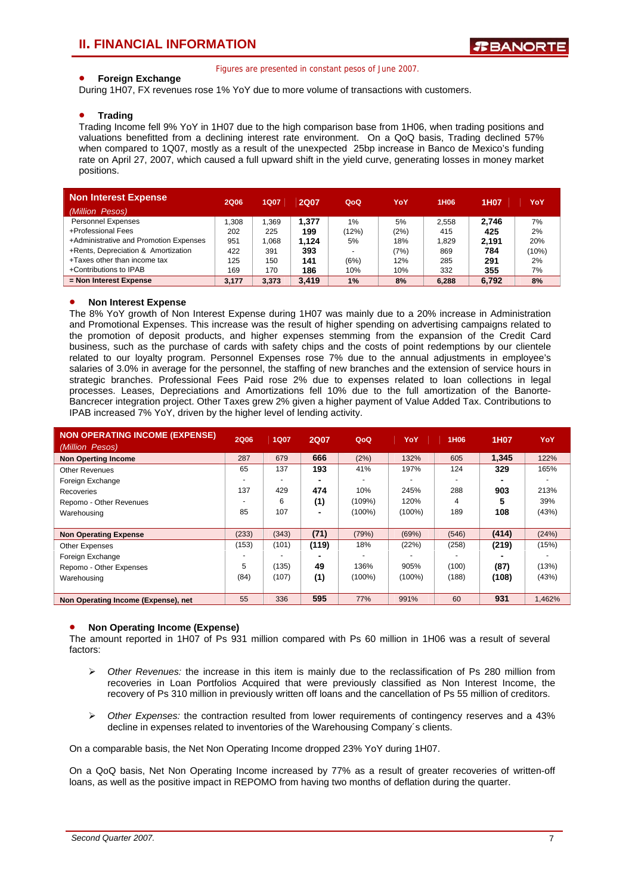### • **Foreign Exchange**

Figures are presented in constant pesos of June 2007.

During 1H07, FX revenues rose 1% YoY due to more volume of transactions with customers.

#### • **Trading**

Trading Income fell 9% YoY in 1H07 due to the high comparison base from 1H06, when trading positions and valuations benefitted from a declining interest rate environment. On a QoQ basis, Trading declined 57% when compared to 1Q07, mostly as a result of the unexpected 25bp increase in Banco de Mexico's funding rate on April 27, 2007, which caused a full upward shift in the yield curve, generating losses in money market positions.

| <b>Non Interest Expense</b>            | 2Q06  | <b>1Q07</b> | <b>2Q07</b> | QoQ                      | YoY  | 1H <sub>06</sub> | 1H07  | YoY   |
|----------------------------------------|-------|-------------|-------------|--------------------------|------|------------------|-------|-------|
| (Million Pesos)                        |       |             |             |                          |      |                  |       |       |
| <b>Personnel Expenses</b>              | .308  | .369        | 1.377       | 1%                       | 5%   | 2.558            | 2.746 | 7%    |
| +Professional Fees                     | 202   | 225         | 199         | (12%)                    | (2%) | 415              | 425   | 2%    |
| +Administrative and Promotion Expenses | 951   | .068        | 1.124       | 5%                       | 18%  | 1.829            | 2.191 | 20%   |
| +Rents, Depreciation & Amortization    | 422   | 391         | 393         | $\overline{\phantom{0}}$ | (7%) | 869              | 784   | (10%) |
| +Taxes other than income tax           | 125   | 150         | 141         | (6%)                     | 12%  | 285              | 291   | 2%    |
| +Contributions to IPAB                 | 169   | 170         | 186         | 10%                      | 10%  | 332              | 355   | 7%    |
| = Non Interest Expense                 | 3.177 | 3.373       | 3.419       | 1%                       | 8%   | 6.288            | 6.792 | 8%    |

#### • **Non Interest Expense**

The 8% YoY growth of Non Interest Expense during 1H07 was mainly due to a 20% increase in Administration and Promotional Expenses. This increase was the result of higher spending on advertising campaigns related to the promotion of deposit products, and higher expenses stemming from the expansion of the Credit Card business, such as the purchase of cards with safety chips and the costs of point redemptions by our clientele related to our loyalty program. Personnel Expenses rose 7% due to the annual adjustments in employee's salaries of 3.0% in average for the personnel, the staffing of new branches and the extension of service hours in strategic branches. Professional Fees Paid rose 2% due to expenses related to loan collections in legal processes. Leases, Depreciations and Amortizations fell 10% due to the full amortization of the Banorte-Bancrecer integration project. Other Taxes grew 2% given a higher payment of Value Added Tax. Contributions to IPAB increased 7% YoY, driven by the higher level of lending activity.

| <b>NON OPERATING INCOME (EXPENSE)</b><br>(Million Pesos) | <b>2Q06</b> | <b>1Q07</b> | <b>2Q07</b> | QoQ       | YoY       | 1H06  | 1H07  | YoY    |
|----------------------------------------------------------|-------------|-------------|-------------|-----------|-----------|-------|-------|--------|
| <b>Non Operting Income</b>                               | 287         | 679         | 666         | (2%)      | 132%      | 605   | 1.345 | 122%   |
| <b>Other Revenues</b>                                    | 65          | 137         | 193         | 41%       | 197%      | 124   | 329   | 165%   |
| Foreign Exchange                                         |             |             |             |           |           |       |       |        |
| Recoveries                                               | 137         | 429         | 474         | 10%       | 245%      | 288   | 903   | 213%   |
| Repomo - Other Revenues                                  |             | 6           | (1)         | (109%)    | 120%      | 4     | 5     | 39%    |
| Warehousing                                              | 85          | 107         |             | $(100\%)$ | $(100\%)$ | 189   | 108   | (43%)  |
|                                                          |             |             |             |           |           |       |       |        |
| <b>Non Operating Expense</b>                             | (233)       | (343)       | (71)        | (79%)     | (69%)     | (546) | (414) | (24%)  |
| Other Expenses                                           | (153)       | (101)       | (119)       | 18%       | (22%)     | (258) | (219) | (15%)  |
| Foreign Exchange                                         |             |             |             |           |           |       |       |        |
| Repomo - Other Expenses                                  | 5           | (135)       | 49          | 136%      | 905%      | (100) | (87)  | (13%)  |
| Warehousing                                              | (84)        | (107)       | (1)         | $(100\%)$ | $(100\%)$ | (188) | (108) | (43%)  |
|                                                          |             |             |             |           |           |       |       |        |
| Non Operating Income (Expense), net                      | 55          | 336         | 595         | 77%       | 991%      | 60    | 931   | 1,462% |

### • **Non Operating Income (Expense)**

The amount reported in 1H07 of Ps 931 million compared with Ps 60 million in 1H06 was a result of several factors:

- ¾ *Other Revenues:* the increase in this item is mainly due to the reclassification of Ps 280 million from recoveries in Loan Portfolios Acquired that were previously classified as Non Interest Income, the recovery of Ps 310 million in previously written off loans and the cancellation of Ps 55 million of creditors.
- ¾ *Other Expenses:* the contraction resulted from lower requirements of contingency reserves and a 43% decline in expenses related to inventories of the Warehousing Company´s clients.

On a comparable basis, the Net Non Operating Income dropped 23% YoY during 1H07.

On a QoQ basis, Net Non Operating Income increased by 77% as a result of greater recoveries of written-off loans, as well as the positive impact in REPOMO from having two months of deflation during the quarter.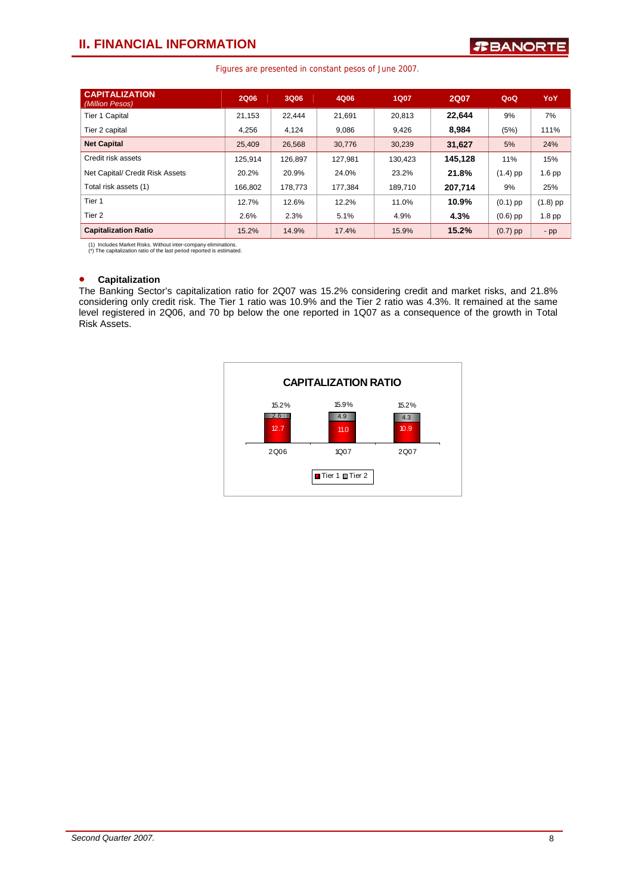### **II. FINANCIAL INFORMATION**

### Figures are presented in constant pesos of June 2007.

| <b>CAPITALIZATION</b><br>(Million Pesos) | <b>2Q06</b> | 3Q06    | 4Q06    | 1Q07    | <b>2Q07</b> | QoQ        | YoY      |
|------------------------------------------|-------------|---------|---------|---------|-------------|------------|----------|
| <b>Tier 1 Capital</b>                    | 21,153      | 22.444  | 21,691  | 20.813  | 22.644      | 9%         | 7%       |
| Tier 2 capital                           | 4,256       | 4,124   | 9,086   | 9,426   | 8,984       | (5%)       | 111%     |
| <b>Net Capital</b>                       | 25,409      | 26,568  | 30,776  | 30,239  | 31,627      | 5%         | 24%      |
| Credit risk assets                       | 125.914     | 126.897 | 127.981 | 130.423 | 145.128     | 11%        | 15%      |
| Net Capital/ Credit Risk Assets          | 20.2%       | 20.9%   | 24.0%   | 23.2%   | 21.8%       | $(1.4)$ pp | $1.6$ pp |
| Total risk assets (1)                    | 166,802     | 178,773 | 177,384 | 189,710 | 207.714     | 9%         | 25%      |
| Tier 1                                   | 12.7%       | 12.6%   | 12.2%   | 11.0%   | 10.9%       | $(0.1)$ pp | (1.8) pp |
| Tier 2                                   | 2.6%        | 2.3%    | 5.1%    | 4.9%    | 4.3%        | $(0.6)$ pp | 1.8 pp   |
| <b>Capitalization Ratio</b>              | 15.2%       | 14.9%   | 17.4%   | 15.9%   | 15.2%       | $(0.7)$ pp | $-pp$    |

(1) Includes Market Risks. Without inter-company eliminations. (\*) The capitalization ratio of the last period reported is estimated.

### • **Capitalization**

The Banking Sector's capitalization ratio for 2Q07 was 15.2% considering credit and market risks, and 21.8% considering only credit risk. The Tier 1 ratio was 10.9% and the Tier 2 ratio was 4.3%. It remained at the same level registered in 2Q06, and 70 bp below the one reported in 1Q07 as a consequence of the growth in Total Risk Assets.

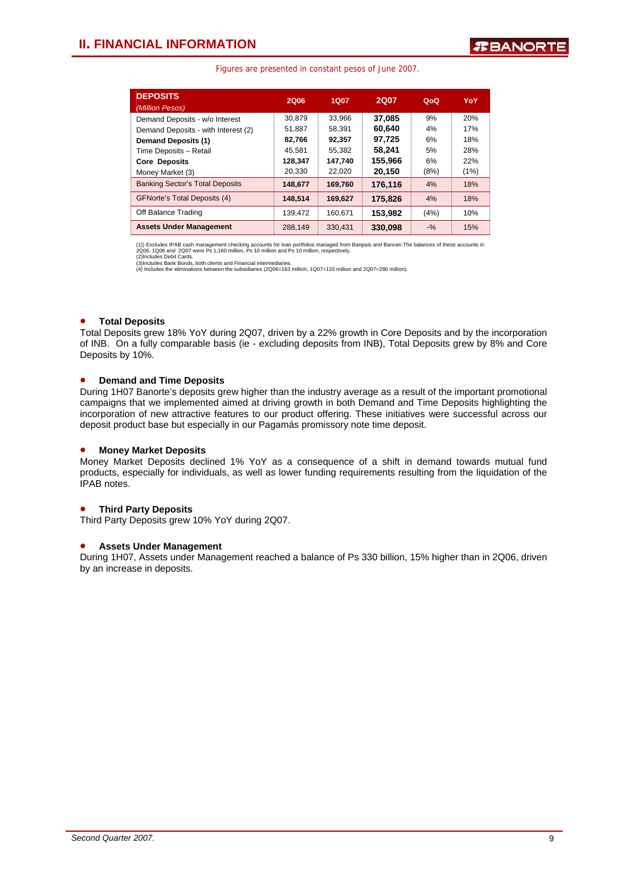| <b>DEPOSITS</b><br>(Million Pesos)     | <b>2Q06</b> | <b>1Q07</b> | <b>2Q07</b> | QoQ    | YoY  |
|----------------------------------------|-------------|-------------|-------------|--------|------|
| Demand Deposits - w/o Interest         | 30.879      | 33.966      | 37.085      | 9%     | 20%  |
| Demand Deposits - with Interest (2)    | 51,887      | 58.391      | 60.640      | 4%     | 17%  |
| <b>Demand Deposits (1)</b>             | 82,766      | 92.357      | 97.725      | 6%     | 18%  |
| Time Deposits - Retail                 | 45.581      | 55.382      | 58.241      | 5%     | 28%  |
| <b>Core Deposits</b>                   | 128,347     | 147.740     | 155.966     | 6%     | 22%  |
| Money Market (3)                       | 20,330      | 22,020      | 20,150      | (8%)   | (1%) |
| <b>Banking Sector's Total Deposits</b> | 148,677     | 169.760     | 176.116     | 4%     | 18%  |
| <b>GFNorte's Total Deposits (4)</b>    | 148.514     | 169.627     | 175.826     | 4%     | 18%  |
| Off Balance Trading                    | 139.472     | 160.671     | 153,982     | (4%)   | 10%  |
| <b>Assets Under Management</b>         | 288.149     | 330.431     | 330,098     | $-9/2$ | 15%  |

(1)) Excludes IPAB cash management checking accounts for loan portfolios managed from Banpaís and Bancen.The balances of these accounts in<br>2006. 1006 and 2007 were Ps 1,160 million, Ps 10 million and Ps 10 million, respect

### • **Total Deposits**

Total Deposits grew 18% YoY during 2Q07, driven by a 22% growth in Core Deposits and by the incorporation of INB. On a fully comparable basis (ie - excluding deposits from INB), Total Deposits grew by 8% and Core Deposits by 10%.

### • **Demand and Time Deposits**

During 1H07 Banorte's deposits grew higher than the industry average as a result of the important promotional campaigns that we implemented aimed at driving growth in both Demand and Time Deposits highlighting the incorporation of new attractive features to our product offering. These initiatives were successful across our deposit product base but especially in our Pagamás promissory note time deposit.

#### • **Money Market Deposits**

Money Market Deposits declined 1% YoY as a consequence of a shift in demand towards mutual fund products, especially for individuals, as well as lower funding requirements resulting from the liquidation of the IPAB notes.

### • **Third Party Deposits**

Third Party Deposits grew 10% YoY during 2Q07.

#### • **Assets Under Management**

During 1H07, Assets under Management reached a balance of Ps 330 billion, 15% higher than in 2Q06, driven by an increase in deposits.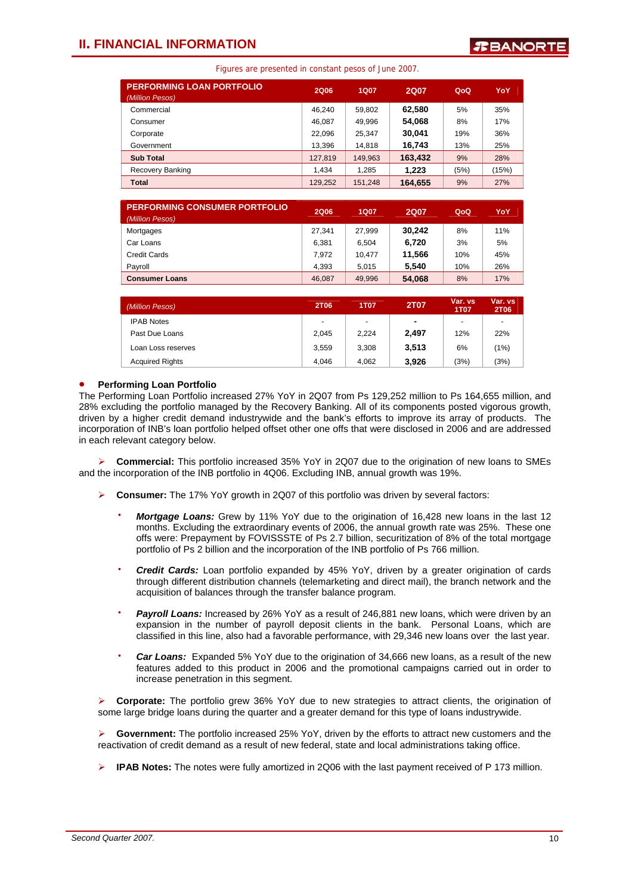| <b>PERFORMING LOAN PORTFOLIO</b><br>(Million Pesos) | <b>2Q06</b> | <b>1Q07</b> | <b>2Q07</b> | QoQ  | YoY   |
|-----------------------------------------------------|-------------|-------------|-------------|------|-------|
| Commercial                                          | 46,240      | 59,802      | 62.580      | 5%   | 35%   |
| Consumer                                            | 46.087      | 49,996      | 54,068      | 8%   | 17%   |
| Corporate                                           | 22.096      | 25,347      | 30,041      | 19%  | 36%   |
| Government                                          | 13.396      | 14,818      | 16,743      | 13%  | 25%   |
| <b>Sub Total</b>                                    | 127,819     | 149,963     | 163,432     | 9%   | 28%   |
| Recovery Banking                                    | 1.434       | 1,285       | 1.223       | (5%) | (15%) |
| <b>Total</b>                                        | 129,252     | 151.248     | 164.655     | 9%   | 27%   |

| <b>PERFORMING CONSUMER PORTFOLIO</b><br>(Million Pesos) | <b>2Q06</b> | 1Q07   | <b>2Q07</b> | QoQ | YoY |
|---------------------------------------------------------|-------------|--------|-------------|-----|-----|
| Mortgages                                               | 27.341      | 27.999 | 30,242      | 8%  | 11% |
| Car Loans                                               | 6.381       | 6.504  | 6.720       | 3%  | 5%  |
| Credit Cards                                            | 7.972       | 10.477 | 11.566      | 10% | 45% |
| Payroll                                                 | 4.393       | 5.015  | 5.540       | 10% | 26% |
| <b>Consumer Loans</b>                                   | 46.087      | 49.996 | 54.068      | 8%  | 17% |

| (Million Pesos)        | <b>2T06</b>              | <b>1T07</b> | 2T07           | Var. vs<br><b>1T07</b> | Var. vs<br><b>2T06</b>   |
|------------------------|--------------------------|-------------|----------------|------------------------|--------------------------|
| <b>IPAB Notes</b>      | $\overline{\phantom{0}}$ | ٠           | $\blacksquare$ | ۰                      | $\overline{\phantom{0}}$ |
| Past Due Loans         | 2.045                    | 2,224       | 2.497          | 12%                    | 22%                      |
| Loan Loss reserves     | 3.559                    | 3,308       | 3,513          | 6%                     | (1%)                     |
| <b>Acquired Rights</b> | 4.046                    | 4.062       | 3,926          | (3%)                   | (3%)                     |

### • **Performing Loan Portfolio**

 driven by a higher credit demand industrywide and the bank's efforts to improve its array of products. The The Performing Loan Portfolio increased 27% YoY in 2Q07 from Ps 129,252 million to Ps 164,655 million, and 28% excluding the portfolio managed by the Recovery Banking. All of its components posted vigorous growth, incorporation of INB's loan portfolio helped offset other one offs that were disclosed in 2006 and are addressed in each relevant category below.

¾ **Commercial:** This portfolio increased 35% YoY in 2Q07 due to the origination of new loans to SMEs and the incorporation of the INB portfolio in 4Q06. Excluding INB, annual growth was 19%.

- ¾ **Consumer:** The 17% YoY growth in 2Q07 of this portfolio was driven by several factors:
	- **Mortgage Loans:** Grew by 11% YoY due to the origination of 16,428 new loans in the last 12 months. Excluding the extraordinary events of 2006, the annual growth rate was 25%. These one offs were: Prepayment by FOVISSSTE of Ps 2.7 billion, securitization of 8% of the total mortgage portfolio of Ps 2 billion and the incorporation of the INB portfolio of Ps 766 million.
	- ⋅ *Credit Cards:* Loan portfolio expanded by 45% YoY, driven by a greater origination of cards through different distribution channels (telemarketing and direct mail), the branch network and the acquisition of balances through the transfer balance program.
	- **Payroll Loans:** Increased by 26% YoY as a result of 246,881 new loans, which were driven by an expansion in the number of payroll deposit clients in the bank. Personal Loans, which are classified in this line, also had a favorable performance, with 29,346 new loans over the last year.
	- Car Loans: Expanded 5% YoY due to the origination of 34,666 new loans, as a result of the new features added to this product in 2006 and the promotional campaigns carried out in order to increase penetration in this segment.

¾ **Corporate:** The portfolio grew 36% YoY due to new strategies to attract clients, the origination of some large bridge loans during the quarter and a greater demand for this type of loans industrywide.

¾ **Government:** The portfolio increased 25% YoY, driven by the efforts to attract new customers and the reactivation of credit demand as a result of new federal, state and local administrations taking office.

¾ **IPAB Notes:** The notes were fully amortized in 2Q06 with the last payment received of P 173 million.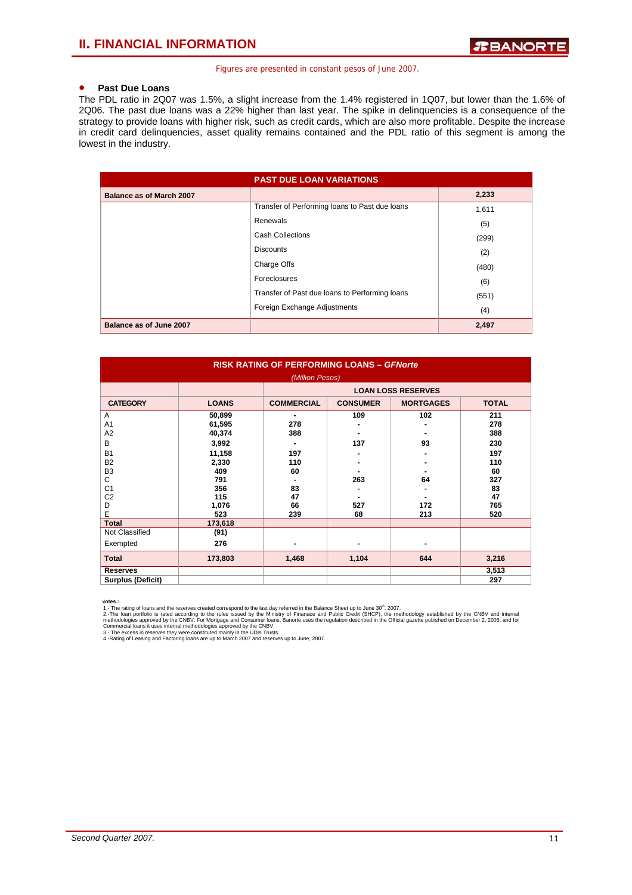### • **Past Due Loans**

The PDL ratio in 2Q07 was 1.5%, a slight increase from the 1.4% registered in 1Q07, but lower than the 1.6% of 2Q06. The past due loans was a 22% higher than last year. The spike in delinquencies is a consequence of the strategy to provide loans with higher risk, such as credit cards, which are also more profitable. Despite the increase in credit card delinquencies, asset quality remains contained and the PDL ratio of this segment is among the lowest in the industry.

|                                 | <b>PAST DUE LOAN VARIATIONS</b>                |       |
|---------------------------------|------------------------------------------------|-------|
| <b>Balance as of March 2007</b> |                                                | 2,233 |
|                                 | Transfer of Performing loans to Past due loans | 1,611 |
|                                 | Renewals                                       | (5)   |
|                                 | <b>Cash Collections</b>                        | (299) |
|                                 | <b>Discounts</b>                               | (2)   |
|                                 | Charge Offs                                    | (480) |
|                                 | Foreclosures                                   | (6)   |
|                                 | Transfer of Past due loans to Performing loans | (551) |
|                                 | Foreign Exchange Adjustments                   | (4)   |
| Balance as of June 2007         |                                                | 2,497 |

| <b>RISK RATING OF PERFORMING LOANS - GFNorte</b><br>(Million Pesos)                                                           |                                                                                             |                                                             |                          |                        |                                                                        |  |  |
|-------------------------------------------------------------------------------------------------------------------------------|---------------------------------------------------------------------------------------------|-------------------------------------------------------------|--------------------------|------------------------|------------------------------------------------------------------------|--|--|
| <b>LOAN LOSS RESERVES</b>                                                                                                     |                                                                                             |                                                             |                          |                        |                                                                        |  |  |
| <b>CATEGORY</b>                                                                                                               | <b>LOANS</b>                                                                                | <b>COMMERCIAL</b>                                           | <b>CONSUMER</b>          | <b>MORTGAGES</b>       | <b>TOTAL</b>                                                           |  |  |
| A<br>A <sub>1</sub><br>A2<br>B<br><b>B1</b><br>B <sub>2</sub><br>B <sub>3</sub><br>C<br>C <sub>1</sub><br>C <sub>2</sub><br>D | 50,899<br>61,595<br>40,374<br>3,992<br>11,158<br>2,330<br>409<br>791<br>356<br>115<br>1,076 | ۰.<br>278<br>388<br>۰<br>197<br>110<br>60<br>83<br>47<br>66 | 109<br>137<br>263<br>527 | 102<br>93<br>64<br>172 | 211<br>278<br>388<br>230<br>197<br>110<br>60<br>327<br>83<br>47<br>765 |  |  |
| E<br><b>Total</b>                                                                                                             | 523<br>173,618                                                                              | 239                                                         | 68                       | 213                    | 520                                                                    |  |  |
| Not Classified                                                                                                                | (91)                                                                                        |                                                             |                          |                        |                                                                        |  |  |
| Exempted                                                                                                                      | 276                                                                                         | -                                                           |                          | ۰                      |                                                                        |  |  |
| <b>Total</b>                                                                                                                  | 173,803                                                                                     | 1,468                                                       | 1,104                    | 644                    | 3,216                                                                  |  |  |
| <b>Reserves</b><br><b>Surplus (Deficit)</b>                                                                                   |                                                                                             |                                                             |                          |                        | 3,513<br>297                                                           |  |  |

**Votes:**<br>
1. The rating of loans and the reserves created correspond to the last day referred in the Balance Sheet up to June 30<sup>th</sup>, 2007.<br>
2. The loan portfolio is rated according to the rules issued by the Ministry of F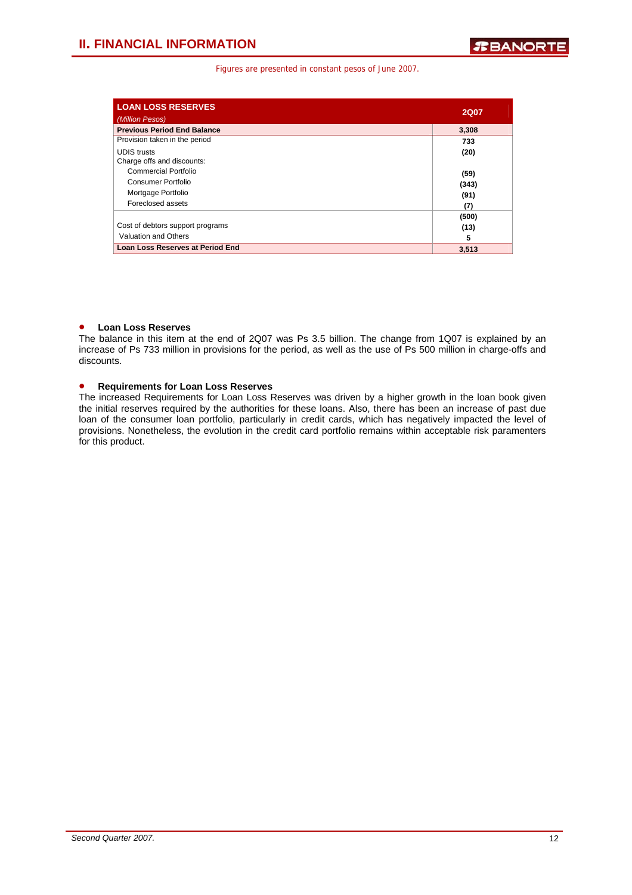| <b>LOAN LOSS RESERVES</b>          | <b>2Q07</b> |
|------------------------------------|-------------|
| (Million Pesos)                    |             |
| <b>Previous Period End Balance</b> | 3,308       |
| Provision taken in the period      | 733         |
| <b>UDIS</b> trusts                 | (20)        |
| Charge offs and discounts:         |             |
| Commercial Portfolio               | (59)        |
| Consumer Portfolio                 | (343)       |
| Mortgage Portfolio                 | (91)        |
| Foreclosed assets                  | (7)         |
|                                    | (500)       |
| Cost of debtors support programs   | (13)        |
| Valuation and Others               | 5           |
| Loan Loss Reserves at Period End   | 3.513       |

### • **Loan Loss Reserves**

The balance in this item at the end of 2Q07 was Ps 3.5 billion. The change from 1Q07 is explained by an increase of Ps 733 million in provisions for the period, as well as the use of Ps 500 million in charge-offs and discounts.

### • **Requirements for Loan Loss Reserves**

The increased Requirements for Loan Loss Reserves was driven by a higher growth in the loan book given the initial reserves required by the authorities for these loans. Also, there has been an increase of past due loan of the consumer loan portfolio, particularly in credit cards, which has negatively impacted the level of provisions. Nonetheless, the evolution in the credit card portfolio remains within acceptable risk paramenters for this product.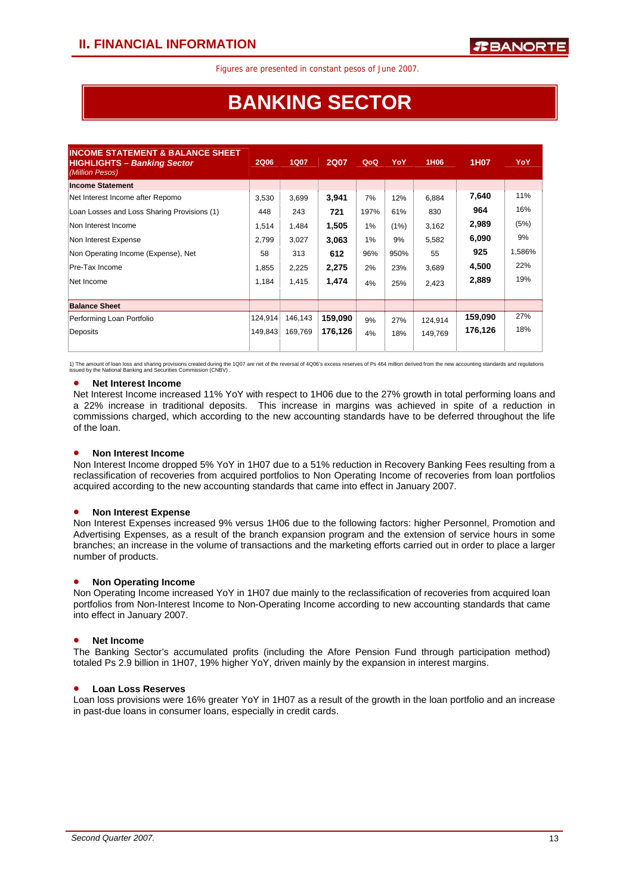# **BANKING SECTOR**

| <b>2Q06</b> | <b>1Q07</b> | <b>2Q07</b> | QoQ  | YoY  | 1H <sub>06</sub> | 1H07    | <b>YoY</b> |
|-------------|-------------|-------------|------|------|------------------|---------|------------|
|             |             |             |      |      |                  |         |            |
| 3,530       | 3,699       | 3,941       | 7%   | 12%  | 6,884            | 7,640   | 11%        |
| 448         | 243         | 721         | 197% | 61%  | 830              | 964     | 16%        |
| 1,514       | 1,484       | 1,505       | 1%   | (1%) | 3,162            | 2,989   | (5%)       |
| 2,799       | 3,027       | 3,063       | 1%   | 9%   | 5,582            | 6,090   | 9%         |
| 58          | 313         | 612         | 96%  | 950% | 55               | 925     | 1,586%     |
| 1,855       | 2,225       | 2,275       | 2%   | 23%  | 3,689            | 4,500   | 22%        |
| 1,184       | 1,415       | 1,474       | 4%   | 25%  | 2,423            | 2,889   | 19%        |
|             |             |             |      |      |                  |         |            |
| 124,914     | 146,143     | 159,090     | 9%   | 27%  | 124,914          | 159,090 | 27%        |
|             | 169,769     | 176,126     | 4%   | 18%  | 149,769          | 176,126 | 18%        |
|             |             | 149,843     |      |      |                  |         |            |

1) The amount of loan loos and sharing provisions created during the 1Q07 are net of the reversal of 4Q06's excess reserves of Ps 464 million derived from the new accounting standards and regulations<br>issued by the National

### • **Net Interest Income**

Net Interest Income increased 11% YoY with respect to 1H06 due to the 27% growth in total performing loans and a 22% increase in traditional deposits. This increase in margins was achieved in spite of a reduction in commissions charged, which according to the new accounting standards have to be deferred throughout the life of the loan.

### • **Non Interest Income**

Non Interest Income dropped 5% YoY in 1H07 due to a 51% reduction in Recovery Banking Fees resulting from a reclassification of recoveries from acquired portfolios to Non Operating Income of recoveries from loan portfolios acquired according to the new accounting standards that came into effect in January 2007.

### • **Non Interest Expense**

Non Interest Expenses increased 9% versus 1H06 due to the following factors: higher Personnel, Promotion and Advertising Expenses, as a result of the branch expansion program and the extension of service hours in some branches; an increase in the volume of transactions and the marketing efforts carried out in order to place a larger number of products.

### • **Non Operating Income**

Non Operating Income increased YoY in 1H07 due mainly to the reclassification of recoveries from acquired loan portfolios from Non-Interest Income to Non-Operating Income according to new accounting standards that came into effect in January 2007.

### • **Net Income**

The Banking Sector's accumulated profits (including the Afore Pension Fund through participation method) totaled Ps 2.9 billion in 1H07, 19% higher YoY, driven mainly by the expansion in interest margins.

### • **Loan Loss Reserves**

Loan loss provisions were 16% greater YoY in 1H07 as a result of the growth in the loan portfolio and an increase in past-due loans in consumer loans, especially in credit cards.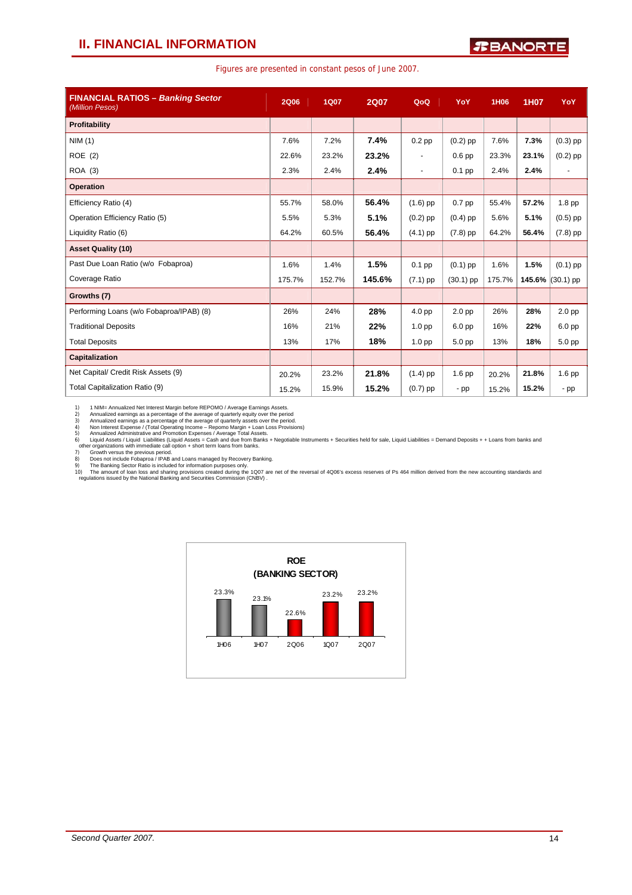### **II. FINANCIAL INFORMATION**

|  |  | Figures are presented in constant pesos of June 2007. |
|--|--|-------------------------------------------------------|
|--|--|-------------------------------------------------------|

| <b>FINANCIAL RATIOS - Banking Sector</b><br>(Million Pesos) | <b>2Q06</b> | <b>1Q07</b> | <b>2Q07</b> | QoQ                      | YoY               | 1H06   | <b>1H07</b> | YoY                |
|-------------------------------------------------------------|-------------|-------------|-------------|--------------------------|-------------------|--------|-------------|--------------------|
| Profitability                                               |             |             |             |                          |                   |        |             |                    |
| NIM(1)                                                      | 7.6%        | 7.2%        | 7.4%        | $0.2$ pp                 | $(0.2)$ pp        | 7.6%   | 7.3%        | $(0.3)$ pp         |
| ROE(2)                                                      | 22.6%       | 23.2%       | 23.2%       | $\overline{\phantom{a}}$ | $0.6$ pp          | 23.3%  | 23.1%       | $(0.2)$ pp         |
| ROA (3)                                                     | 2.3%        | 2.4%        | 2.4%        | $\blacksquare$           | $0.1$ pp          | 2.4%   | 2.4%        | $\overline{a}$     |
| <b>Operation</b>                                            |             |             |             |                          |                   |        |             |                    |
| Efficiency Ratio (4)                                        | 55.7%       | 58.0%       | 56.4%       | $(1.6)$ pp               | 0.7 pp            | 55.4%  | 57.2%       | 1.8 <sub>pp</sub>  |
| Operation Efficiency Ratio (5)                              | 5.5%        | 5.3%        | 5.1%        | $(0.2)$ pp               | $(0.4)$ pp        | 5.6%   | 5.1%        | $(0.5)$ pp         |
| Liquidity Ratio (6)                                         | 64.2%       | 60.5%       | 56.4%       | $(4.1)$ pp               | $(7.8)$ pp        | 64.2%  | 56.4%       | $(7.8)$ pp         |
| <b>Asset Quality (10)</b>                                   |             |             |             |                          |                   |        |             |                    |
| Past Due Loan Ratio (w/o Fobaproa)                          | 1.6%        | 1.4%        | 1.5%        | $0.1$ pp                 | $(0.1)$ pp        | 1.6%   | 1.5%        | $(0.1)$ pp         |
| Coverage Ratio                                              | 175.7%      | 152.7%      | 145.6%      | $(7.1)$ pp               | $(30.1)$ pp       | 175.7% |             | 145.6% $(30.1)$ pp |
| Growths (7)                                                 |             |             |             |                          |                   |        |             |                    |
| Performing Loans (w/o Fobaproa/IPAB) (8)                    | 26%         | 24%         | 28%         | 4.0 <sub>pp</sub>        | 2.0 <sub>pp</sub> | 26%    | 28%         | 2.0 <sub>pp</sub>  |
| <b>Traditional Deposits</b>                                 | 16%         | 21%         | 22%         | 1.0 <sub>pp</sub>        | $6.0$ pp          | 16%    | 22%         | 6.0 <sub>pp</sub>  |
| <b>Total Deposits</b>                                       | 13%         | 17%         | 18%         | 1.0 <sub>pp</sub>        | 5.0 pp            | 13%    | 18%         | 5.0 pp             |
| Capitalization                                              |             |             |             |                          |                   |        |             |                    |
| Net Capital/ Credit Risk Assets (9)                         | 20.2%       | 23.2%       | 21.8%       | $(1.4)$ pp               | 1.6 pp            | 20.2%  | 21.8%       | 1.6 pp             |
| Total Capitalization Ratio (9)                              | 15.2%       | 15.9%       | 15.2%       | $(0.7)$ pp               | $-pp$             | 15.2%  | 15.2%       | $-pp$              |

1) MIM= Annualized entinters Margin before REPOMO / Average Earnings Assets.<br>2) Annualized earnings as a percentage of the average of quarterly equity over the period<br>3) Annualized earnings as a percentage of the average o

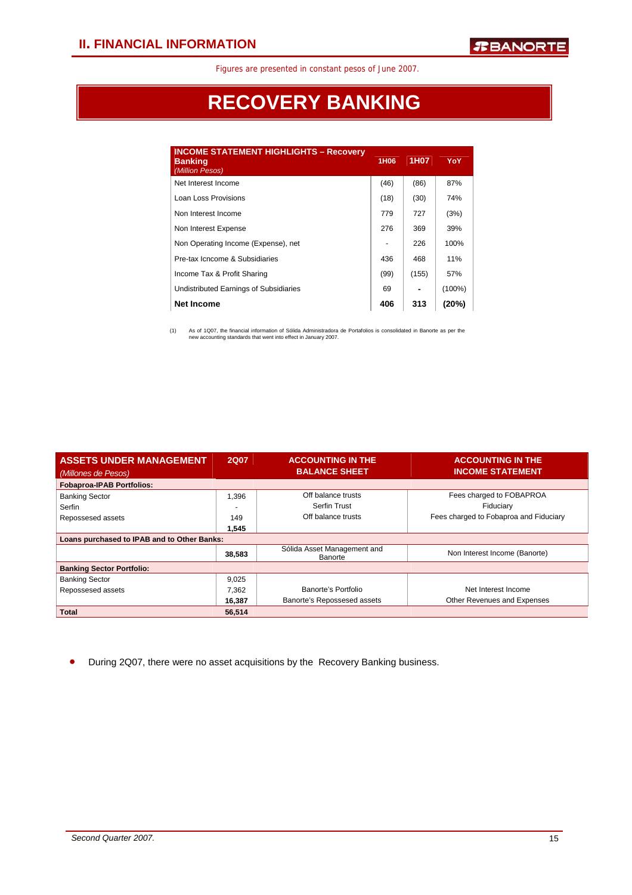# **RECOVERY BANKING**

| <b>INCOME STATEMENT HIGHLIGHTS - Recovery</b><br><b>Banking</b><br>(Million Pesos) | 1H <sub>06</sub> | 1H <sub>0</sub> 7 | YoY       |
|------------------------------------------------------------------------------------|------------------|-------------------|-----------|
| Net Interest Income                                                                | (46)             | (86)              | 87%       |
| Loan Loss Provisions                                                               | (18)             | (30)              | 74%       |
| Non Interest Income                                                                | 779              | 727               | (3%)      |
| Non Interest Expense                                                               | 276              | 369               | 39%       |
| Non Operating Income (Expense), net                                                |                  | 226               | 100%      |
| Pre-tax Icncome & Subsidiaries                                                     | 436              | 468               | 11%       |
| Income Tax & Profit Sharing                                                        | (99)             | (155)             | 57%       |
| Undistributed Earnings of Subsidiaries                                             | 69               |                   | $(100\%)$ |
| <b>Net Income</b>                                                                  | 406              | 313               | (20%)     |

(1) As of 1Q07, the financial information of Sólida Administradora de Portafolios is consolidated in Banorte as per the new accounting standards that went into effect in January 2007.

| <b>ASSETS UNDER MANAGEMENT</b>              | <b>2Q07</b> | <b>ACCOUNTING IN THE</b>               | <b>ACCOUNTING IN THE</b>               |  |  |  |  |
|---------------------------------------------|-------------|----------------------------------------|----------------------------------------|--|--|--|--|
| (Millones de Pesos)                         |             | <b>BALANCE SHEET</b>                   | <b>INCOME STATEMENT</b>                |  |  |  |  |
| <b>Fobaproa-IPAB Portfolios:</b>            |             |                                        |                                        |  |  |  |  |
| <b>Banking Sector</b>                       | 1,396       | Off balance trusts                     | Fees charged to FOBAPROA               |  |  |  |  |
| Serfin                                      |             | Serfin Trust                           | Fiduciary                              |  |  |  |  |
| Repossesed assets                           | 149         | Off balance trusts                     | Fees charged to Fobaproa and Fiduciary |  |  |  |  |
|                                             | 1,545       |                                        |                                        |  |  |  |  |
| Loans purchased to IPAB and to Other Banks: |             |                                        |                                        |  |  |  |  |
|                                             | 38,583      | Sólida Asset Management and<br>Banorte | Non Interest Income (Banorte)          |  |  |  |  |
| <b>Banking Sector Portfolio:</b>            |             |                                        |                                        |  |  |  |  |
| <b>Banking Sector</b>                       | 9,025       |                                        |                                        |  |  |  |  |
| Repossesed assets                           | 7,362       | Banorte's Portfolio                    | Net Interest Income                    |  |  |  |  |
|                                             | 16,387      | Banorte's Repossesed assets            | Other Revenues and Expenses            |  |  |  |  |
| <b>Total</b>                                | 56,514      |                                        |                                        |  |  |  |  |

• During 2Q07, there were no asset acquisitions by the Recovery Banking business.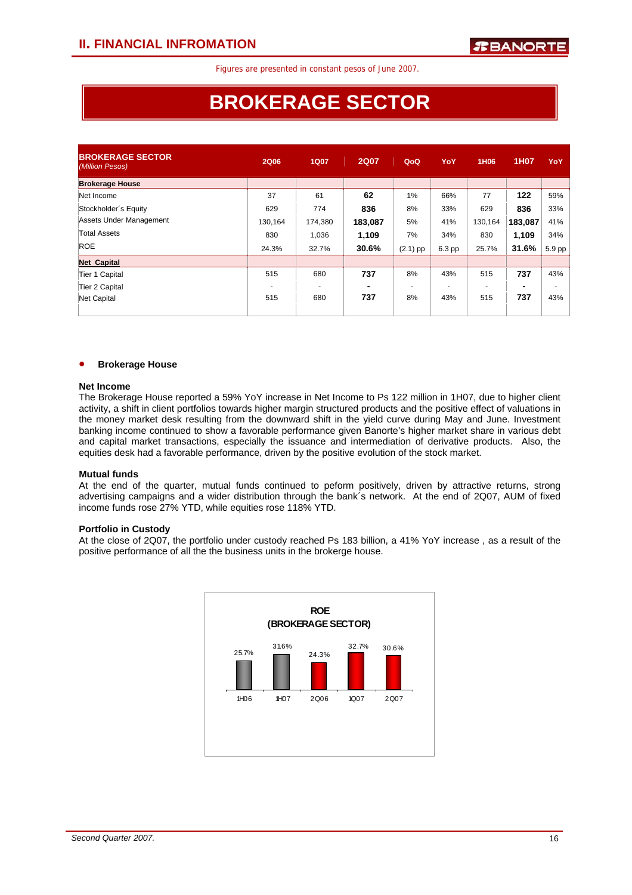# **BROKERAGE SECTOR**

| <b>BROKERAGE SECTOR</b><br>(Million Pesos) | <b>2Q06</b> | <b>1Q07</b> | <b>2Q07</b> | QoQ        | YoY    | 1H06    | 1H07    | YoY                      |
|--------------------------------------------|-------------|-------------|-------------|------------|--------|---------|---------|--------------------------|
| <b>Brokerage House</b>                     |             |             |             |            |        |         |         |                          |
| Net Income                                 | 37          | 61          | 62          | 1%         | 66%    | 77      | 122     | 59%                      |
| Stockholder's Equity                       | 629         | 774         | 836         | 8%         | 33%    | 629     | 836     | 33%                      |
| Assets Under Management                    | 130.164     | 174,380     | 183,087     | 5%         | 41%    | 130,164 | 183,087 | 41%                      |
| <b>Total Assets</b>                        | 830         | 1,036       | 1,109       | 7%         | 34%    | 830     | 1,109   | 34%                      |
| <b>ROE</b>                                 | 24.3%       | 32.7%       | 30.6%       | $(2.1)$ pp | 6.3 pp | 25.7%   | 31.6%   | 5.9 pp                   |
| <b>Net Capital</b>                         |             |             |             |            |        |         |         |                          |
| Tier 1 Capital                             | 515         | 680         | 737         | 8%         | 43%    | 515     | 737     | 43%                      |
| Tier 2 Capital                             |             |             | ۰           |            |        |         |         | $\overline{\phantom{0}}$ |
| Net Capital                                | 515         | 680         | 737         | 8%         | 43%    | 515     | 737     | 43%                      |

#### • **Brokerage House**

#### **Net Income**

The Brokerage House reported a 59% YoY increase in Net Income to Ps 122 million in 1H07, due to higher client activity, a shift in client portfolios towards higher margin structured products and the positive effect of valuations in the money market desk resulting from the downward shift in the yield curve during May and June. Investment banking income continued to show a favorable performance given Banorte's higher market share in various debt and capital market transactions, especially the issuance and intermediation of derivative products. Also, the equities desk had a favorable performance, driven by the positive evolution of the stock market.

### **Mutual funds**

At the end of the quarter, mutual funds continued to peform positively, driven by attractive returns, strong advertising campaigns and a wider distribution through the bank´s network. At the end of 2Q07, AUM of fixed income funds rose 27% YTD, while equities rose 118% YTD.

### **Portfolio in Custody**

At the close of 2Q07, the portfolio under custody reached Ps 183 billion, a 41% YoY increase , as a result of the positive performance of all the the business units in the brokerge house.

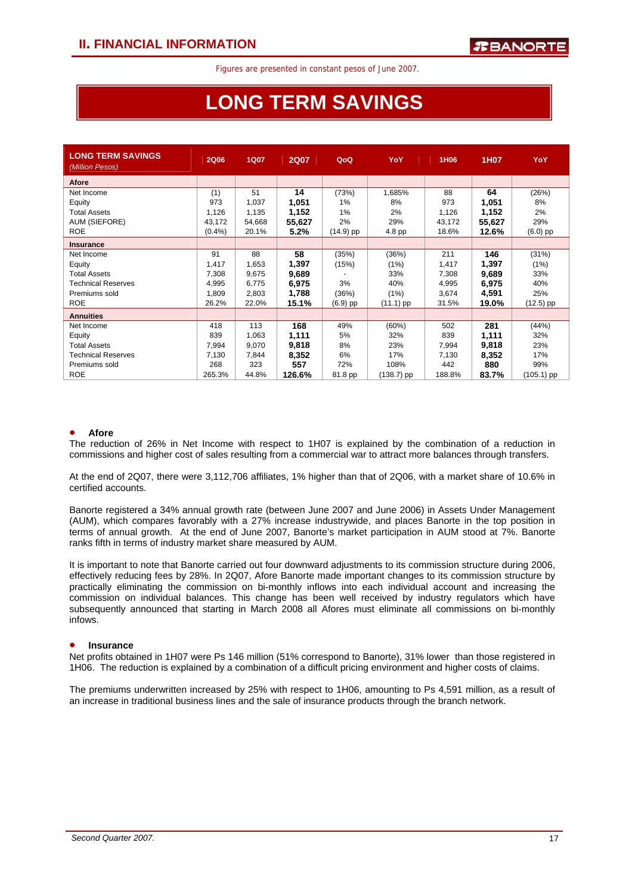# **LONG TERM SAVINGS**

| <b>LONG TERM SAVINGS</b><br>(Million Pesos) | <b>2Q06</b> | <b>1Q07</b> | <b>2Q07</b> | QoQ         | YoY         | 1H06   | 1H07   | <b>YoY</b>   |
|---------------------------------------------|-------------|-------------|-------------|-------------|-------------|--------|--------|--------------|
| Afore                                       |             |             |             |             |             |        |        |              |
| Net Income                                  | (1)         | 51          | 14          | (73%)       | 1,685%      | 88     | 64     | (26%)        |
| Equity                                      | 973         | 1,037       | 1,051       | 1%          | 8%          | 973    | 1,051  | 8%           |
| <b>Total Assets</b>                         | 1,126       | 1,135       | 1,152       | 1%          | 2%          | 1,126  | 1,152  | 2%           |
| AUM (SIEFORE)                               | 43,172      | 54,668      | 55,627      | 2%          | 29%         | 43,172 | 55,627 | 29%          |
| <b>ROE</b>                                  | (0.4%       | 20.1%       | 5.2%        | $(14.9)$ pp | 4.8 pp      | 18.6%  | 12.6%  | $(6.0)$ pp   |
| <b>Insurance</b>                            |             |             |             |             |             |        |        |              |
| Net Income                                  | 91          | 88          | 58          | (35%)       | (36%)       | 211    | 146    | (31%)        |
| Equity                                      | 1,417       | 1,653       | 1,397       | (15%)       | (1%)        | 1,417  | 1,397  | (1%)         |
| <b>Total Assets</b>                         | 7,308       | 9,675       | 9,689       |             | 33%         | 7,308  | 9,689  | 33%          |
| <b>Technical Reserves</b>                   | 4,995       | 6,775       | 6,975       | 3%          | 40%         | 4,995  | 6,975  | 40%          |
| Premiums sold                               | 1,809       | 2,803       | 1,788       | (36%)       | (1%)        | 3,674  | 4,591  | 25%          |
| <b>ROE</b>                                  | 26.2%       | 22.0%       | 15.1%       | (6.9) pp    | $(11.1)$ pp | 31.5%  | 19.0%  | $(12.5)$ pp  |
| <b>Annuities</b>                            |             |             |             |             |             |        |        |              |
| Net Income                                  | 418         | 113         | 168         | 49%         | (60%)       | 502    | 281    | (44%)        |
| Equity                                      | 839         | 1,063       | 1,111       | 5%          | 32%         | 839    | 1,111  | 32%          |
| <b>Total Assets</b>                         | 7,994       | 9,070       | 9,818       | 8%          | 23%         | 7,994  | 9,818  | 23%          |
| <b>Technical Reserves</b>                   | 7,130       | 7,844       | 8,352       | 6%          | 17%         | 7,130  | 8,352  | 17%          |
| Premiums sold                               | 268         | 323         | 557         | 72%         | 108%        | 442    | 880    | 99%          |
| <b>ROE</b>                                  | 265.3%      | 44.8%       | 126.6%      | 81.8 pp     | (138.7) pp  | 188.8% | 83.7%  | $(105.1)$ pp |

#### • **Afore**

The reduction of 26% in Net Income with respect to 1H07 is explained by the combination of a reduction in commissions and higher cost of sales resulting from a commercial war to attract more balances through transfers.

At the end of 2Q07, there were 3,112,706 affiliates, 1% higher than that of 2Q06, with a market share of 10.6% in certified accounts.

Banorte registered a 34% annual growth rate (between June 2007 and June 2006) in Assets Under Management (AUM), which compares favorably with a 27% increase industrywide, and places Banorte in the top position in terms of annual growth. At the end of June 2007, Banorte's market participation in AUM stood at 7%. Banorte ranks fifth in terms of industry market share measured by AUM.

It is important to note that Banorte carried out four downward adjustments to its commission structure during 2006, effectively reducing fees by 28%. In 2Q07, Afore Banorte made important changes to its commission structure by practically eliminating the commission on bi-monthly inflows into each individual account and increasing the commission on individual balances. This change has been well received by industry regulators which have subsequently announced that starting in March 2008 all Afores must eliminate all commissions on bi-monthly infows.

### • **Insurance**

Net profits obtained in 1H07 were Ps 146 million (51% correspond to Banorte), 31% lower than those registered in 1H06. The reduction is explained by a combination of a difficult pricing environment and higher costs of claims.

The premiums underwritten increased by 25% with respect to 1H06, amounting to Ps 4,591 million, as a result of an increase in traditional business lines and the sale of insurance products through the branch network.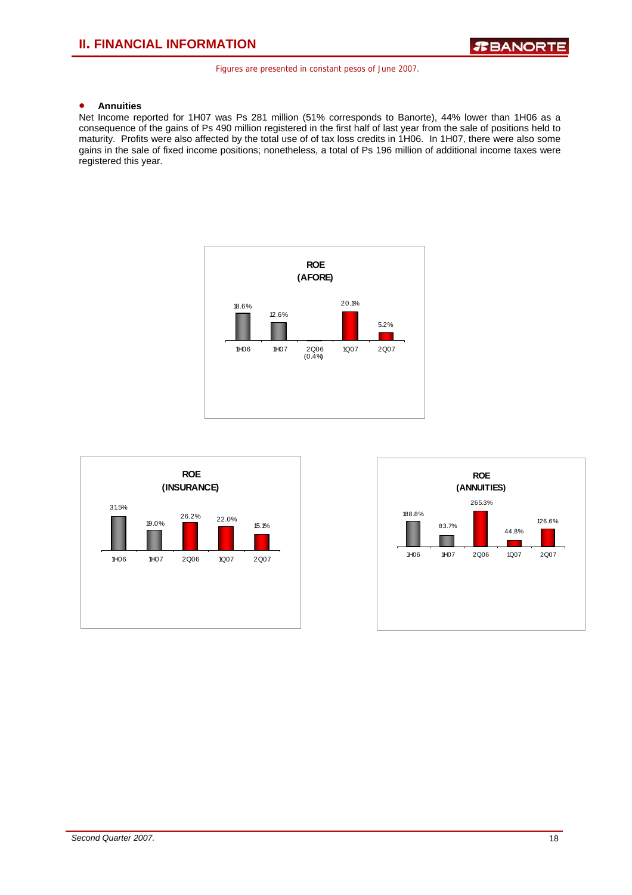### • **Annuities**

Net Income reported for 1H07 was Ps 281 million (51% corresponds to Banorte), 44% lower than 1H06 as a consequence of the gains of Ps 490 million registered in the first half of last year from the sale of positions held to maturity. Profits were also affected by the total use of of tax loss credits in 1H06. In 1H07, there were also some gains in the sale of fixed income positions; nonetheless, a total of Ps 196 million of additional income taxes were registered this year.





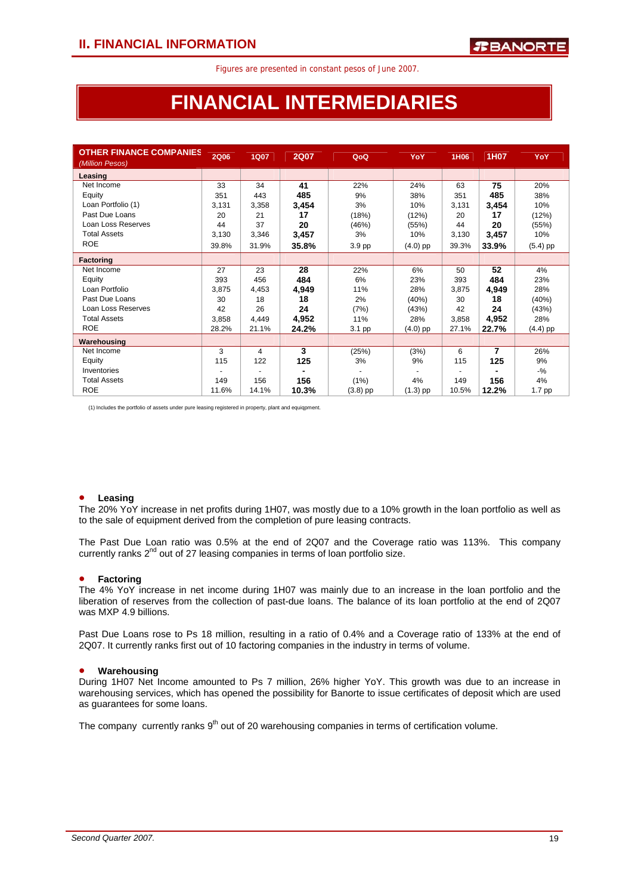# **FINANCIAL INTERMEDIARIES**

| <b>OTHER FINANCE COMPANIES</b><br>(Million Pesos) | <b>2Q06</b> | <b>1Q07</b> | <b>2Q07</b> | QoQ        | YoY        | 1H06  | 1H07  | YoY        |
|---------------------------------------------------|-------------|-------------|-------------|------------|------------|-------|-------|------------|
| Leasing                                           |             |             |             |            |            |       |       |            |
| Net Income                                        | 33          | 34          | 41          | 22%        | 24%        | 63    | 75    | 20%        |
| Equity                                            | 351         | 443         | 485         | 9%         | 38%        | 351   | 485   | 38%        |
| Loan Portfolio (1)                                | 3,131       | 3,358       | 3,454       | 3%         | 10%        | 3,131 | 3,454 | 10%        |
| Past Due Loans                                    | 20          | 21          | 17          | (18%)      | (12%)      | 20    | 17    | (12%)      |
| Loan Loss Reserves                                | 44          | 37          | 20          | (46%)      | (55%)      | 44    | 20    | (55%)      |
| <b>Total Assets</b>                               | 3,130       | 3,346       | 3,457       | 3%         | 10%        | 3,130 | 3,457 | 10%        |
| <b>ROE</b>                                        | 39.8%       | 31.9%       | 35.8%       | 3.9 pp     | $(4.0)$ pp | 39.3% | 33.9% | $(5.4)$ pp |
| <b>Factoring</b>                                  |             |             |             |            |            |       |       |            |
| Net Income                                        | 27          | 23          | 28          | 22%        | 6%         | 50    | 52    | 4%         |
| Equity                                            | 393         | 456         | 484         | 6%         | 23%        | 393   | 484   | 23%        |
| Loan Portfolio                                    | 3,875       | 4,453       | 4,949       | 11%        | 28%        | 3,875 | 4,949 | 28%        |
| Past Due Loans                                    | 30          | 18          | 18          | 2%         | (40%)      | 30    | 18    | (40%)      |
| Loan Loss Reserves                                | 42          | 26          | 24          | (7%)       | (43%)      | 42    | 24    | (43%)      |
| <b>Total Assets</b>                               | 3,858       | 4,449       | 4,952       | 11%        | 28%        | 3,858 | 4,952 | 28%        |
| <b>ROE</b>                                        | 28.2%       | 21.1%       | 24.2%       | 3.1 pp     | (4.0) pp   | 27.1% | 22.7% | $(4.4)$ pp |
| Warehousing                                       |             |             |             |            |            |       |       |            |
| Net Income                                        | 3           | 4           | 3           | (25%)      | (3%)       | 6     | 7     | 26%        |
| Equity                                            | 115         | 122         | 125         | 3%         | 9%         | 115   | 125   | 9%         |
| Inventories                                       |             |             |             |            |            |       |       | $-9/6$     |
| <b>Total Assets</b>                               | 149         | 156         | 156         | (1%)       | 4%         | 149   | 156   | 4%         |
| <b>ROE</b>                                        | 11.6%       | 14.1%       | 10.3%       | $(3.8)$ pp | $(1.3)$ pp | 10.5% | 12.2% | 1.7 pp     |

(1) Includes the portfolio of assets under pure leasing registered in property, plant and equiqpment.

### • **Leasing**

The 20% YoY increase in net profits during 1H07, was mostly due to a 10% growth in the loan portfolio as well as to the sale of equipment derived from the completion of pure leasing contracts.

The Past Due Loan ratio was 0.5% at the end of 2Q07 and the Coverage ratio was 113%. This company currently ranks  $2<sup>nd</sup>$  out of 27 leasing companies in terms of loan portfolio size.

### • **Factoring**

The 4% YoY increase in net income during 1H07 was mainly due to an increase in the loan portfolio and the liberation of reserves from the collection of past-due loans. The balance of its loan portfolio at the end of 2Q07 was MXP 4.9 billions.

Past Due Loans rose to Ps 18 million, resulting in a ratio of 0.4% and a Coverage ratio of 133% at the end of 2Q07. It currently ranks first out of 10 factoring companies in the industry in terms of volume.

#### • **Warehousing**

During 1H07 Net Income amounted to Ps 7 million, 26% higher YoY. This growth was due to an increase in warehousing services, which has opened the possibility for Banorte to issue certificates of deposit which are used as guarantees for some loans.

The company currently ranks  $9<sup>th</sup>$  out of 20 warehousing companies in terms of certification volume.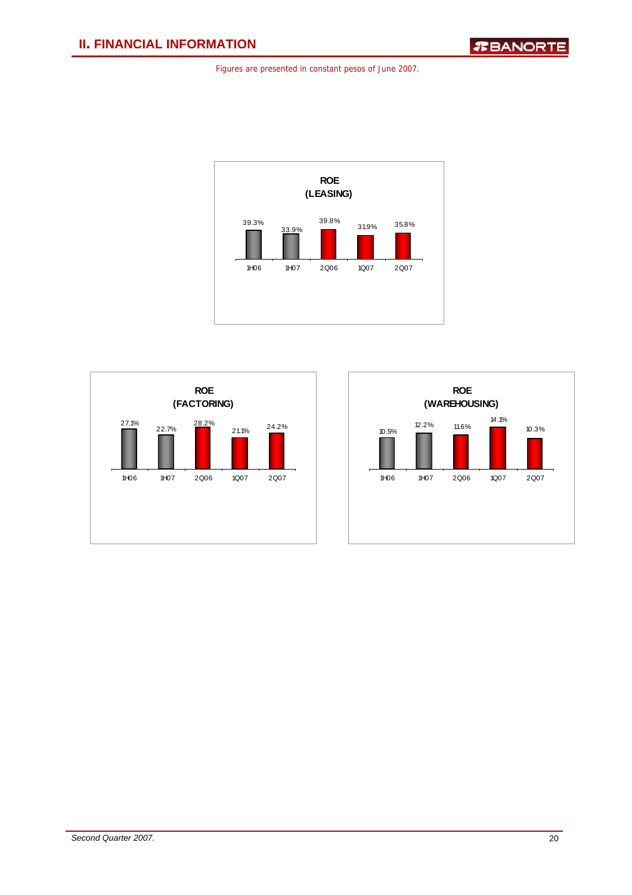



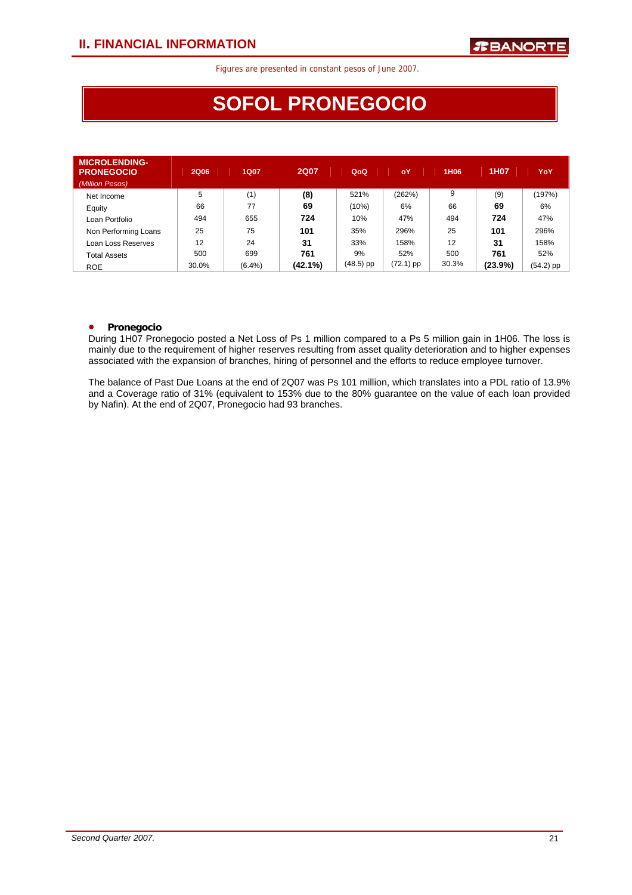# **SOFOL PRONEGOCIO**

| <b>MICROLENDING-</b><br><b>PRONEGOCIO</b><br>(Million Pesos) | <b>2Q06</b> | <b>1Q07</b> | <b>2Q07</b> | QoQ         | oY        | 1H06  | 1H07    | YoY         |
|--------------------------------------------------------------|-------------|-------------|-------------|-------------|-----------|-------|---------|-------------|
| Net Income                                                   | 5           | (1)         | (8)         | 521%        | (262%)    | 9     | (9)     | (197%)      |
| Equity                                                       | 66          | 77          | 69          | (10%)       | 6%        | 66    | 69      | 6%          |
| Loan Portfolio                                               | 494         | 655         | 724         | 10%         | 47%       | 494   | 724     | 47%         |
| Non Performing Loans                                         | 25          | 75          | 101         | 35%         | 296%      | 25    | 101     | 296%        |
| Loan Loss Reserves                                           | 12          | 24          | 31          | 33%         | 158%      | 12    | 31      | 158%        |
| <b>Total Assets</b>                                          | 500         | 699         | 761         | 9%          | 52%       | 500   | 761     | 52%         |
| <b>ROE</b>                                                   | 30.0%       | $(6.4\%)$   | (42.1%)     | $(48.5)$ pp | (72.1) pp | 30.3% | (23.9%) | $(54.2)$ pp |

### • **Pronegocio**

During 1H07 Pronegocio posted a Net Loss of Ps 1 million compared to a Ps 5 million gain in 1H06. The loss is mainly due to the requirement of higher reserves resulting from asset quality deterioration and to higher expenses associated with the expansion of branches, hiring of personnel and the efforts to reduce employee turnover.

The balance of Past Due Loans at the end of 2Q07 was Ps 101 million, which translates into a PDL ratio of 13.9% and a Coverage ratio of 31% (equivalent to 153% due to the 80% guarantee on the value of each loan provided by Nafin). At the end of 2Q07, Pronegocio had 93 branches.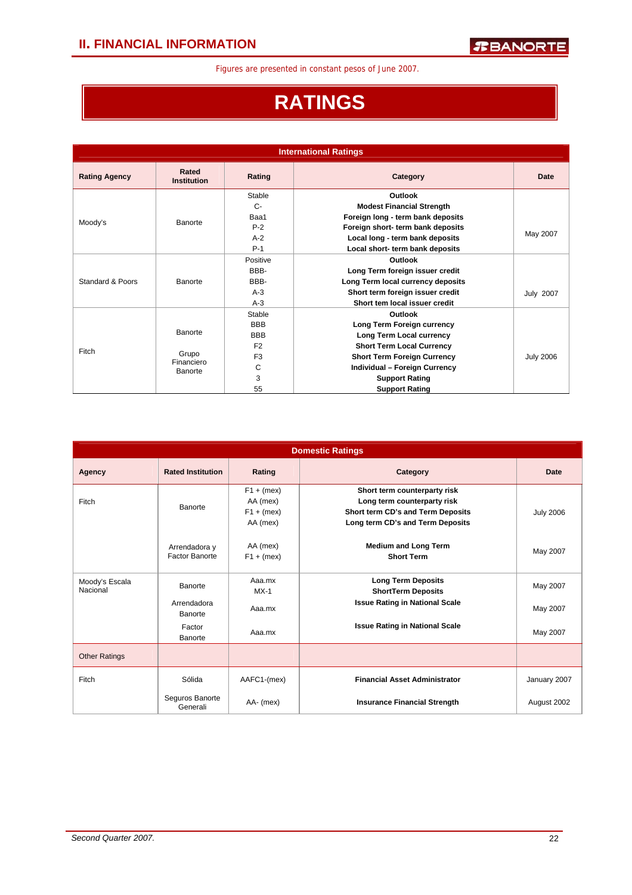# **RATINGS**

| <b>International Ratings</b> |                             |                                                |                                                                                                           |                  |  |  |  |  |  |
|------------------------------|-----------------------------|------------------------------------------------|-----------------------------------------------------------------------------------------------------------|------------------|--|--|--|--|--|
| <b>Rating Agency</b>         | Rated<br><b>Institution</b> | Rating                                         | Category                                                                                                  | Date             |  |  |  |  |  |
|                              |                             | Stable<br>$C -$                                | Outlook<br><b>Modest Financial Strength</b>                                                               |                  |  |  |  |  |  |
| Moody's                      | Banorte                     | Baa1<br>$P-2$<br>$A-2$                         | Foreign long - term bank deposits<br>Foreign short- term bank deposits<br>Local long - term bank deposits | May 2007         |  |  |  |  |  |
|                              |                             | $P-1$<br>Positive                              | Local short- term bank deposits<br>Outlook                                                                |                  |  |  |  |  |  |
| Standard & Poors             | Banorte                     | BBB-<br>BBB-                                   | Long Term foreign issuer credit<br>Long Term local currency deposits                                      |                  |  |  |  |  |  |
|                              |                             | $A-3$<br>$A-3$                                 | Short term foreign issuer credit<br>Short tem local issuer credit                                         | <b>July 2007</b> |  |  |  |  |  |
|                              | Banorte                     | Stable<br><b>BBB</b>                           | Outlook<br>Long Term Foreign currency                                                                     |                  |  |  |  |  |  |
| Fitch                        | Grupo                       | <b>BBB</b><br>F <sub>2</sub><br>F <sub>3</sub> | Long Term Local currency<br><b>Short Term Local Currency</b><br><b>Short Term Foreign Currency</b>        | <b>July 2006</b> |  |  |  |  |  |
|                              | Financiero<br>Banorte       | C<br>3                                         | Individual - Foreign Currency<br><b>Support Rating</b>                                                    |                  |  |  |  |  |  |
|                              |                             | 55                                             | <b>Support Rating</b>                                                                                     |                  |  |  |  |  |  |

|                            |                                 |                                                      | <b>Domestic Ratings</b>                                                                                                              |                  |
|----------------------------|---------------------------------|------------------------------------------------------|--------------------------------------------------------------------------------------------------------------------------------------|------------------|
| Agency                     | <b>Rated Institution</b>        | Rating                                               | Category                                                                                                                             | Date             |
| Fitch                      | Banorte                         | $F1 + (mex)$<br>AA (mex)<br>$F1 + (mex)$<br>AA (mex) | Short term counterparty risk<br>Long term counterparty risk<br>Short term CD's and Term Deposits<br>Long term CD's and Term Deposits | <b>July 2006</b> |
|                            | Arrendadora y<br>Factor Banorte | AA (mex)<br>$F1 + (mex)$                             | <b>Medium and Long Term</b><br><b>Short Term</b>                                                                                     | May 2007         |
| Moody's Escala<br>Nacional | Banorte                         | Aaa.mx<br>$MX-1$                                     | <b>Long Term Deposits</b><br><b>ShortTerm Deposits</b>                                                                               | May 2007         |
|                            | Arrendadora<br>Banorte          | Aaa.mx                                               | <b>Issue Rating in National Scale</b>                                                                                                | May 2007         |
|                            | Factor<br>Banorte               | Aaa.mx                                               | <b>Issue Rating in National Scale</b>                                                                                                | May 2007         |
| <b>Other Ratings</b>       |                                 |                                                      |                                                                                                                                      |                  |
| Fitch                      | Sólida                          | AAFC1-(mex)                                          | <b>Financial Asset Administrator</b>                                                                                                 | January 2007     |
|                            | Seguros Banorte<br>Generali     | AA- (mex)                                            | <b>Insurance Financial Strength</b>                                                                                                  | August 2002      |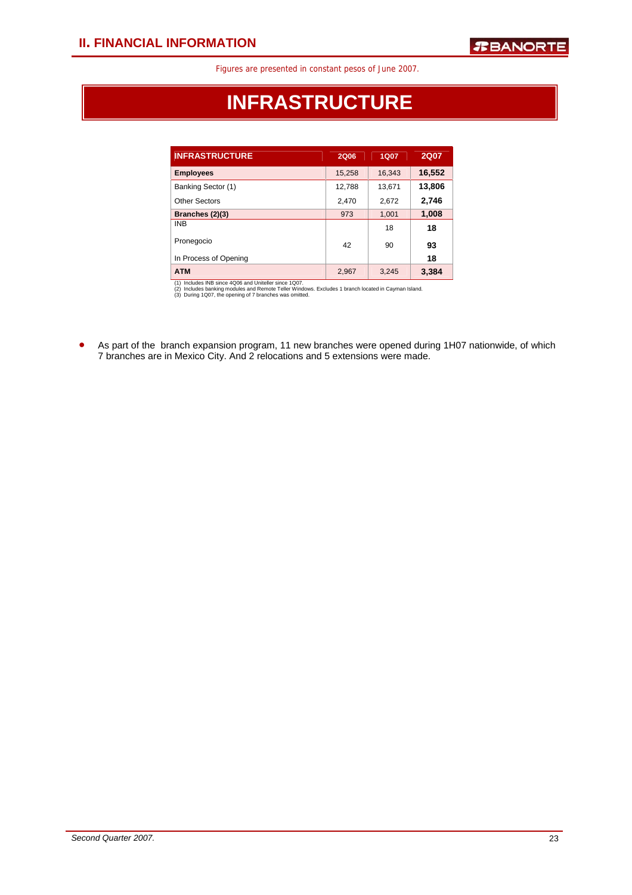# **INFRASTRUCTURE**

| <b>INFRASTRUCTURE</b> | 2Q06   | 1Q07   | <b>2Q07</b> |
|-----------------------|--------|--------|-------------|
| <b>Employees</b>      | 15,258 | 16,343 | 16,552      |
| Banking Sector (1)    | 12,788 | 13,671 | 13,806      |
| Other Sectors         | 2,470  | 2,672  | 2,746       |
| Branches (2)(3)       | 973    | 1,001  | 1,008       |
| <b>INB</b>            |        | 18     | 18          |
| Pronegocio            | 42     | 90     | 93          |
| In Process of Opening |        |        | 18          |
| <b>ATM</b>            | 2,967  | 3,245  | 3,384       |

(1) Includes INB since 4Q06 and Uniteller since 1Q07.<br>(2) Includes banking modules and Remote Teller Windows. Excludes 1 branch located in Cayman Island.<br>(3) During 1Q07, the opening of 7 branches was omitted.

• As part of the branch expansion program, 11 new branches were opened during 1H07 nationwide, of which 7 branches are in Mexico City. And 2 relocations and 5 extensions were made.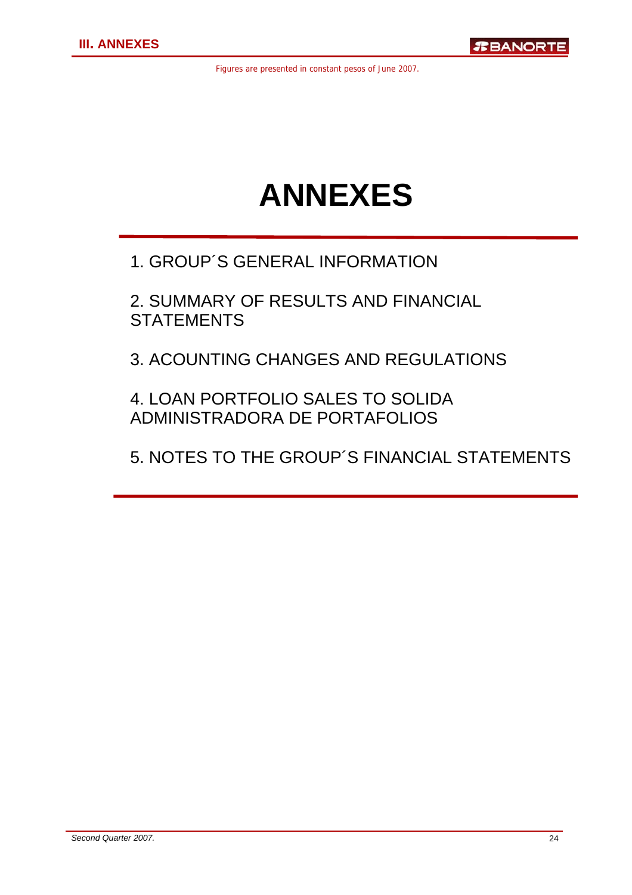# **ANNEXES**

### 1. GROUP´S GENERAL INFORMATION

2. SUMMARY OF RESULTS AND FINANCIAL **STATEMENTS** 

3. ACOUNTING CHANGES AND REGULATIONS

### 4. LOAN PORTFOLIO SALES TO SOLIDA ADMINISTRADORA DE PORTAFOLIOS

5. NOTES TO THE GROUP´S FINANCIAL STATEMENTS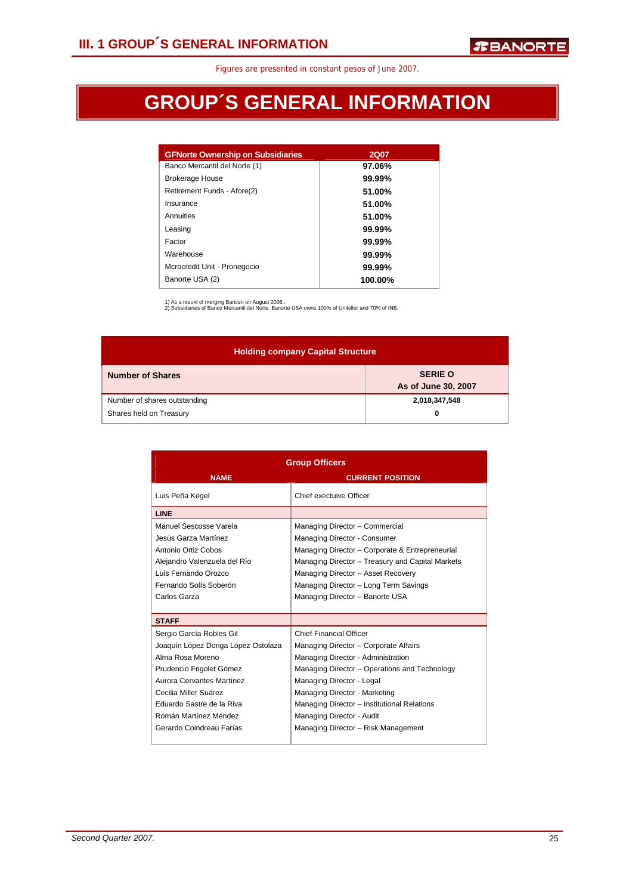# **GROUP´S GENERAL INFORMATION**

| <b>GFNorte Ownership on Subsidiaries</b> | <b>2Q07</b> |
|------------------------------------------|-------------|
| Banco Mercantil del Norte (1)            | 97.06%      |
| <b>Brokerage House</b>                   | 99.99%      |
| Retirement Funds - Afore(2)              | 51.00%      |
| Insurance                                | 51.00%      |
| Annuities                                | 51.00%      |
| Leasing                                  | 99.99%      |
| Factor                                   | 99.99%      |
| Warehouse                                | 99.99%      |
| Mcrocredit Unit - Pronegocio             | 99.99%      |
| Banorte USA (2)                          | 100.00%     |

1) As a resukt of merging Bancen on August 2006.. 2) Subsidiaries of Banco Mercantil del Norte. Banorte USA owns 100% of Uniteller and 70% of INB.

**Holding company Capital Structure Number of Shares SERIE O SERIE O As of June 30, 2007**  Number of shares outstanding **2,018,347,548 2** Shares held on Treasury **0 0** 

|                                     | <b>Group Officers</b>                            |
|-------------------------------------|--------------------------------------------------|
| <b>NAME</b>                         | <b>CURRENT POSITION</b>                          |
| Luis Peña Kegel                     | Chief exectuive Officer                          |
| <b>LINE</b>                         |                                                  |
| Manuel Sescosse Varela              | Managing Director - Commercial                   |
| Jesús Garza Martínez                | Managing Director - Consumer                     |
| Antonio Ortiz Cobos                 | Managing Director - Corporate & Entrepreneurial  |
| Alejandro Valenzuela del Río        | Managing Director - Treasury and Capital Markets |
| Luis Fernando Orozco                | Managing Director - Asset Recovery               |
| Fernando Solís Soberón              | Managing Director - Long Term Savings            |
| Carlos Garza                        | Managing Director - Banorte USA                  |
|                                     |                                                  |
| <b>STAFF</b>                        |                                                  |
| Sergio García Robles Gil            | <b>Chief Financial Officer</b>                   |
| Joaquín López Doriga López Ostolaza | Managing Director - Corporate Affairs            |
| Alma Rosa Moreno                    | Managing Director - Administration               |
| Prudencio Frigolet Gómez            | Managing Director - Operations and Technology    |
| Aurora Cervantes Martínez           | Managing Director - Legal                        |
| Cecilia Miller Suárez               | Managing Director - Marketing                    |
| Eduardo Sastre de la Riva           | Managing Director - Institutional Relations      |
| Román Martínez Méndez               | Managing Director - Audit                        |
| Gerardo Coindreau Farías            | Managing Director - Risk Management              |
|                                     |                                                  |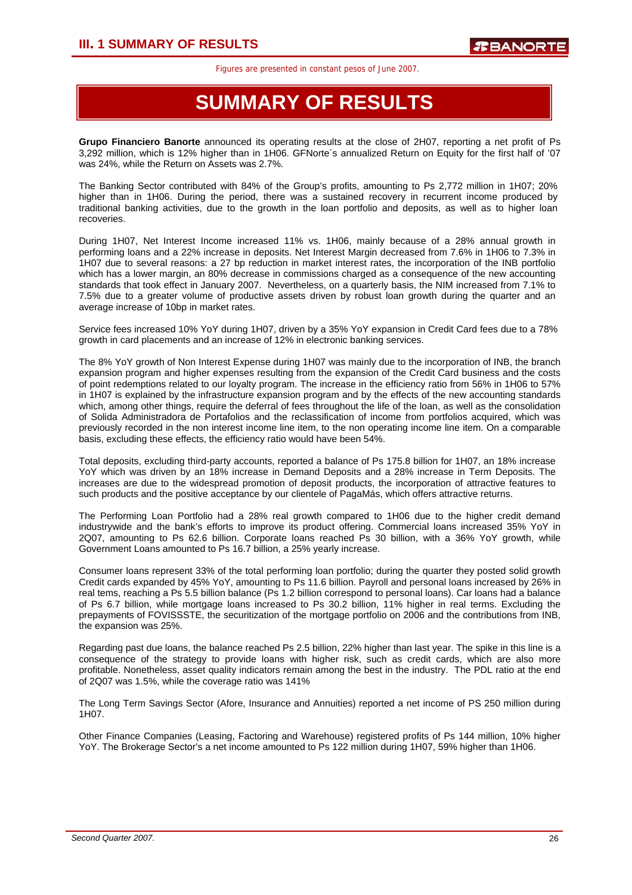## **SUMMARY OF RESULTS**

**Grupo Financiero Banorte** announced its operating results at the close of 2H07, reporting a net profit of Ps 3,292 million, which is 12% higher than in 1H06. GFNorte´s annualized Return on Equity for the first half of '07 was 24%, while the Return on Assets was 2.7%.

The Banking Sector contributed with 84% of the Group's profits, amounting to Ps 2,772 million in 1H07; 20% higher than in 1H06. During the period, there was a sustained recovery in recurrent income produced by traditional banking activities, due to the growth in the loan portfolio and deposits, as well as to higher loan recoveries.

During 1H07, Net Interest Income increased 11% vs. 1H06, mainly because of a 28% annual growth in performing loans and a 22% increase in deposits. Net Interest Margin decreased from 7.6% in 1H06 to 7.3% in 1H07 due to several reasons: a 27 bp reduction in market interest rates, the incorporation of the INB portfolio which has a lower margin, an 80% decrease in commissions charged as a consequence of the new accounting standards that took effect in January 2007. Nevertheless, on a quarterly basis, the NIM increased from 7.1% to 7.5% due to a greater volume of productive assets driven by robust loan growth during the quarter and an average increase of 10bp in market rates.

Service fees increased 10% YoY during 1H07, driven by a 35% YoY expansion in Credit Card fees due to a 78% growth in card placements and an increase of 12% in electronic banking services.

The 8% YoY growth of Non Interest Expense during 1H07 was mainly due to the incorporation of INB, the branch expansion program and higher expenses resulting from the expansion of the Credit Card business and the costs of point redemptions related to our loyalty program. The increase in the efficiency ratio from 56% in 1H06 to 57% in 1H07 is explained by the infrastructure expansion program and by the effects of the new accounting standards which, among other things, require the deferral of fees throughout the life of the loan, as well as the consolidation of Solida Administradora de Portafolios and the reclassification of income from portfolios acquired, which was previously recorded in the non interest income line item, to the non operating income line item. On a comparable basis, excluding these effects, the efficiency ratio would have been 54%.

Total deposits, excluding third-party accounts, reported a balance of Ps 175.8 billion for 1H07, an 18% increase YoY which was driven by an 18% increase in Demand Deposits and a 28% increase in Term Deposits. The increases are due to the widespread promotion of deposit products, the incorporation of attractive features to such products and the positive acceptance by our clientele of PagaMás, which offers attractive returns.

The Performing Loan Portfolio had a 28% real growth compared to 1H06 due to the higher credit demand industrywide and the bank's efforts to improve its product offering. Commercial loans increased 35% YoY in 2Q07, amounting to Ps 62.6 billion. Corporate loans reached Ps 30 billion, with a 36% YoY growth, while Government Loans amounted to Ps 16.7 billion, a 25% yearly increase.

Consumer loans represent 33% of the total performing loan portfolio; during the quarter they posted solid growth Credit cards expanded by 45% YoY, amounting to Ps 11.6 billion. Payroll and personal loans increased by 26% in real tems, reaching a Ps 5.5 billion balance (Ps 1.2 billion correspond to personal loans). Car loans had a balance of Ps 6.7 billion, while mortgage loans increased to Ps 30.2 billion, 11% higher in real terms. Excluding the prepayments of FOVISSSTE, the securitization of the mortgage portfolio on 2006 and the contributions from INB, the expansion was 25%.

Regarding past due loans, the balance reached Ps 2.5 billion, 22% higher than last year. The spike in this line is a consequence of the strategy to provide loans with higher risk, such as credit cards, which are also more profitable. Nonetheless, asset quality indicators remain among the best in the industry. The PDL ratio at the end of 2Q07 was 1.5%, while the coverage ratio was 141%

The Long Term Savings Sector (Afore, Insurance and Annuities) reported a net income of PS 250 million during 1H07.

Other Finance Companies (Leasing, Factoring and Warehouse) registered profits of Ps 144 million, 10% higher YoY. The Brokerage Sector's a net income amounted to Ps 122 million during 1H07, 59% higher than 1H06.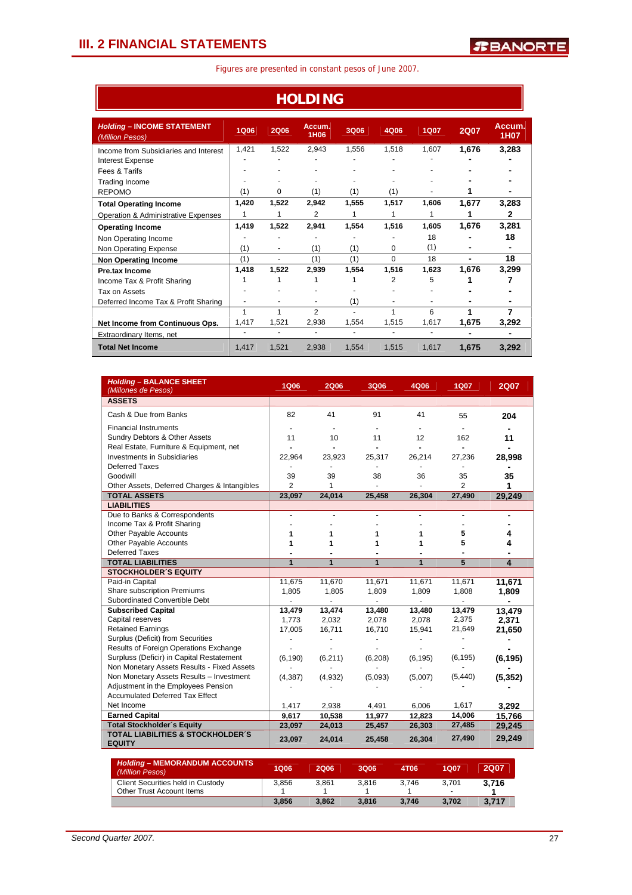ř.

| <b>HOLDING</b>                                       |                |                |                |       |                |             |                          |                |  |
|------------------------------------------------------|----------------|----------------|----------------|-------|----------------|-------------|--------------------------|----------------|--|
| <b>Holding - INCOME STATEMENT</b><br>(Million Pesos) | <b>1Q06</b>    | <b>2Q06</b>    | Accum.<br>1H06 | 3Q06  | 4Q06           | <b>1Q07</b> | <b>2Q07</b>              | Accum.<br>1H07 |  |
| Income from Subsidiaries and Interest                | 1,421          | 1,522          | 2,943          | 1,556 | 1,518          | 1,607       | 1,676                    | 3,283          |  |
| Interest Expense                                     |                |                |                |       |                |             |                          |                |  |
| Fees & Tarifs                                        |                |                |                |       |                |             |                          |                |  |
| <b>Trading Income</b>                                |                |                |                |       |                |             |                          |                |  |
| <b>REPOMO</b>                                        | (1)            | $\Omega$       | (1)            | (1)   | (1)            |             |                          |                |  |
| <b>Total Operating Income</b>                        | 1,420          | 1.522          | 2,942          | 1,555 | 1,517          | 1.606       | 1,677                    | 3,283          |  |
| Operation & Administrative Expenses                  | 1              | 1              | 2              |       |                |             |                          | 2              |  |
| <b>Operating Income</b>                              | 1,419          | 1,522          | 2.941          | 1,554 | 1.516          | 1.605       | 1,676                    | 3,281          |  |
| Non Operating Income                                 |                |                |                |       |                | 18          |                          | 18             |  |
| Non Operating Expense                                | (1)            |                | (1)            | (1)   | 0              | (1)         |                          |                |  |
| <b>Non Operating Income</b>                          | (1)            |                | (1)            | (1)   | $\Omega$       | 18          | $\overline{a}$           | 18             |  |
| <b>Pre.tax Income</b>                                | 1,418          | 1,522          | 2.939          | 1,554 | 1,516          | 1,623       | 1,676                    | 3,299          |  |
| Income Tax & Profit Sharing                          | 1              |                | 1              |       | $\overline{2}$ | 5           |                          |                |  |
| Tax on Assets                                        |                |                |                |       |                |             |                          |                |  |
| Deferred Income Tax & Profit Sharing                 |                |                |                | (1)   |                |             |                          |                |  |
|                                                      | 1              | 1              | $\mathfrak{p}$ |       | 1              | 6           |                          | 7              |  |
| Net Income from Continuous Ops.                      | 1,417          | 1,521          | 2,938          | 1,554 | 1,515          | 1,617       | 1,675                    | 3,292          |  |
| Extraordinary Items, net                             | $\blacksquare$ | $\blacksquare$ | $\blacksquare$ | ٠     | ٠              | ٠           | $\overline{\phantom{0}}$ |                |  |
| <b>Total Net Income</b>                              | 1,417          | 1,521          | 2.938          | 1,554 | 1,515          | 1,617       | 1,675                    | 3,292          |  |

| <b>Holding - BALANCE SHEET</b><br>(Millones de Pesos)         | <b>1Q06</b>    | <b>2Q06</b>    | 3Q06         | 4Q06           | <b>1Q07</b>    | <b>2Q07</b>             |
|---------------------------------------------------------------|----------------|----------------|--------------|----------------|----------------|-------------------------|
| <b>ASSETS</b>                                                 |                |                |              |                |                |                         |
| Cash & Due from Banks                                         | 82             | 41             | 91           | 41             | 55             | 204                     |
| <b>Financial Instruments</b>                                  |                | $\frac{1}{2}$  |              | $\blacksquare$ |                |                         |
| Sundry Debtors & Other Assets                                 | 11             | 10             | 11           | 12             | 162            | 11                      |
| Real Estate, Furniture & Equipment, net                       |                |                |              | ÷              |                |                         |
| <b>Investments in Subsidiaries</b>                            | 22,964         | 23,923         | 25,317       | 26,214         | 27,236         | 28,998                  |
| Deferred Taxes                                                |                | $\blacksquare$ |              |                |                |                         |
| Goodwill                                                      | 39             | 39             | 38           | 36             | 35             | 35                      |
| Other Assets, Deferred Charges & Intangibles                  | $\overline{2}$ | 1              |              |                | $\overline{2}$ | 1                       |
| <b>TOTAL ASSETS</b>                                           | 23,097         | 24,014         | 25,458       | 26,304         | 27,490         | 29,249                  |
| <b>LIABILITIES</b>                                            |                |                |              |                |                |                         |
| Due to Banks & Correspondents                                 |                |                |              |                | Ĭ.             |                         |
| Income Tax & Profit Sharing                                   |                |                |              |                |                |                         |
| Other Payable Accounts                                        | 1              | 1              | 1            | 1              | 5              | 4                       |
| Other Payable Accounts                                        | 1              | 1              | 1            | 1              | 5              | 4                       |
| <b>Deferred Taxes</b>                                         |                |                |              |                |                |                         |
| <b>TOTAL LIABILITIES</b>                                      | $\mathbf{1}$   | $\mathbf{1}$   | $\mathbf{1}$ | 1              | $\overline{5}$ | $\overline{\mathbf{4}}$ |
| <b>STOCKHOLDER'S EQUITY</b>                                   |                |                |              |                |                |                         |
| Paid-in Capital                                               | 11,675         | 11,670         | 11,671       | 11,671         | 11,671         | 11,671                  |
| Share subscription Premiums                                   | 1,805          | 1,805          | 1,809        | 1,809          | 1,808          | 1,809                   |
| Subordinated Convertible Debt                                 |                |                |              |                |                |                         |
| <b>Subscribed Capital</b>                                     | 13,479         | 13,474         | 13,480       | 13,480         | 13,479         | 13,479                  |
| Capital reserves                                              | 1,773          | 2,032          | 2,078        | 2,078          | 2,375          | 2,371                   |
| <b>Retained Earnings</b>                                      | 17,005         | 16,711         | 16,710       | 15,941         | 21,649         | 21,650                  |
| Surplus (Deficit) from Securities                             |                |                |              |                |                |                         |
| Results of Foreign Operations Exchange                        |                |                |              |                |                |                         |
| Surpluss (Deficir) in Capital Restatement                     | (6, 190)       | (6, 211)       | (6, 208)     | (6, 195)       | (6, 195)       | (6, 195)                |
| Non Monetary Assets Results - Fixed Assets                    |                |                |              |                |                |                         |
| Non Monetary Assets Results - Investment                      | (4, 387)       | (4,932)        | (5,093)      | (5,007)        | (5, 440)       | (5, 352)                |
| Adjustment in the Employees Pension                           |                |                |              |                |                |                         |
| <b>Accumulated Deferred Tax Effect</b>                        |                |                |              |                |                |                         |
| Net Income                                                    | 1,417          | 2,938          | 4,491        | 6,006          | 1,617          | 3,292                   |
| <b>Earned Capital</b>                                         | 9,617          | 10,538         | 11,977       | 12,823         | 14,006         | 15,766                  |
| <b>Total Stockholder's Equity</b>                             | 23,097         | 24,013         | 25,457       | 26,303         | 27,485         | 29,245                  |
| <b>TOTAL LIABILITIES &amp; STOCKHOLDER'S</b><br><b>EQUITY</b> | 23,097         | 24,014         | 25,458       | 26,304         | 27,490         | 29,249                  |

| <b>Holding - MEMORANDUM ACCOUNTS</b><br>(Million Pesos) | <b>1Q06</b> | 2006  | 3Q06  | 4T06  | 1Q07  | <b>2Q07</b> |
|---------------------------------------------------------|-------------|-------|-------|-------|-------|-------------|
| Client Securities held in Custody                       | 3.856       | 3.861 | 3.816 | 3.746 | 3.701 | 3.716       |
| Other Trust Account Items                               |             |       |       |       | -     |             |
|                                                         | 3.856       | 3.862 | 3.816 | 3.746 | 3.702 | 3.717       |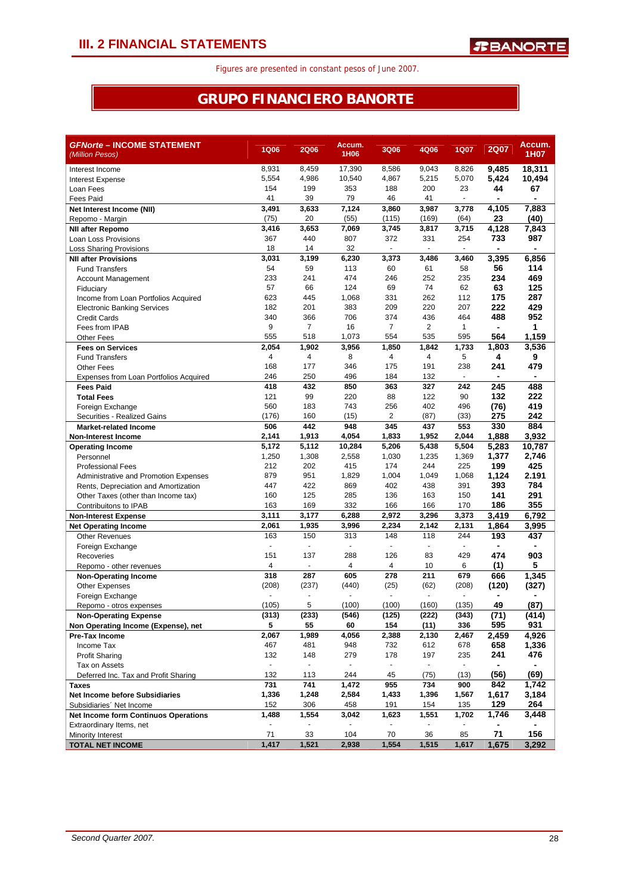### **GRUPO FINANCIERO BANORTE**

| <b>GFNorte - INCOME STATEMENT</b><br>(Million Pesos) | <b>1Q06</b>    | <b>2Q06</b>      | Accum.<br>1H <sub>06</sub> | <b>3Q06</b>              | 4Q06           | 1Q07           | <b>2Q07</b>    | Accum.<br>1H07 |
|------------------------------------------------------|----------------|------------------|----------------------------|--------------------------|----------------|----------------|----------------|----------------|
| Interest Income                                      | 8,931          | 8,459            | 17,390                     | 8.586                    | 9,043          | 8,826          | 9.485          | 18,311         |
| <b>Interest Expense</b>                              | 5,554          | 4,986            | 10,540                     | 4,867                    | 5,215          | 5,070          | 5,424          | 10,494         |
| Loan Fees                                            | 154            | 199              | 353                        | 188                      | 200            | 23             | 44             | 67             |
| <b>Fees Paid</b>                                     | 41             | 39               | 79                         | 46                       | 41             | ٠              |                |                |
| Net Interest Income (NII)                            | 3,491          | 3,633            | 7,124                      | 3,860                    | 3,987          | 3,778          | 4,105          | 7,883          |
| Repomo - Margin                                      | (75)           | 20               | (55)                       | (115)                    | (169)          | (64)           | 23             | (40)           |
| <b>NII after Repomo</b>                              | 3,416          | 3,653            | 7,069                      | 3,745                    | 3,817          | 3,715          | 4,128          | 7,843          |
| Loan Loss Provisions                                 | 367            | 440              | 807                        | 372                      | 331            | 254            | 733            | 987            |
| <b>Loss Sharing Provisions</b>                       | 18             | 14               | 32                         |                          | $\blacksquare$ | $\blacksquare$ |                | $\blacksquare$ |
| <b>NII after Provisions</b>                          | 3,031          | 3,199            | 6,230                      | 3,373                    | 3,486          | 3,460          | 3,395          | 6,856          |
| <b>Fund Transfers</b>                                | 54             | 59               | 113                        | 60                       | 61             | 58             | 56             | 114            |
| <b>Account Management</b>                            | 233            | 241              | 474                        | 246                      | 252            | 235            | 234            | 469            |
| Fiduciary                                            | 57             | 66               | 124                        | 69                       | 74             | 62             | 63             | 125            |
| Income from Loan Portfolios Acquired                 | 623            | 445              | 1,068                      | 331                      | 262            | 112            | 175            | 287            |
| <b>Electronic Banking Services</b>                   | 182            | 201              | 383                        | 209                      | 220            | 207            | 222            | 429            |
| <b>Credit Cards</b>                                  | 340            | 366              | 706                        | 374                      | 436            | 464            | 488            | 952            |
| Fees from IPAB                                       | 9              | 7                | 16                         | 7                        | $\overline{2}$ | $\mathbf{1}$   | $\blacksquare$ | 1              |
| <b>Other Fees</b>                                    | 555            | 518              | 1,073                      | 554                      | 535            | 595            | 564            | 1,159          |
| <b>Fees on Services</b>                              | 2,054          | 1,902            | 3,956                      | 1,850                    | 1,842          | 1,733          | 1,803          | 3,536          |
| <b>Fund Transfers</b>                                | 4              | 4                | 8                          | 4                        | 4              | 5              | 4              | 9              |
| <b>Other Fees</b>                                    | 168            | 177              | 346                        | 175                      | 191            | 238            | 241            | 479            |
| Expenses from Loan Portfolios Acquired               | 246            | 250              | 496                        | 184                      | 132            | $\sim$         | $\blacksquare$ | ٠              |
| <b>Fees Paid</b>                                     | 418            | 432              | 850                        | 363                      | 327            | 242            | 245            | 488            |
| <b>Total Fees</b>                                    | 121            | 99               | 220                        | 88                       | 122            | 90             | 132            | 222            |
| Foreign Exchange                                     | 560            | 183              | 743                        | 256                      | 402            | 496            | (76)           | 419            |
| Securities - Realized Gains                          | (176)<br>506   | 160<br>442       | (15)                       | 2                        | (87)<br>437    | (33)<br>553    | 275            | 242            |
| <b>Market-related Income</b>                         | 2,141          | 1,913            | 948<br>4,054               | 345<br>1,833             | 1,952          | 2,044          | 330<br>1,888   | 884<br>3,932   |
| Non-Interest Income                                  | 5,172          | 5,112            | 10,284                     | 5,206                    | 5,438          | 5,504          | 5,283          | 10,787         |
| <b>Operating Income</b><br>Personnel                 | 1,250          | 1,308            | 2,558                      | 1,030                    | 1,235          | 1,369          | 1,377          | 2,746          |
| <b>Professional Fees</b>                             | 212            | 202              | 415                        | 174                      | 244            | 225            | 199            | 425            |
| Administrative and Promotion Expenses                | 879            | 951              | 1,829                      | 1,004                    | 1,049          | 1,068          | 1,124          | 2.191          |
| Rents, Depreciation and Amortization                 | 447            | 422              | 869                        | 402                      | 438            | 391            | 393            | 784            |
| Other Taxes (other than Income tax)                  | 160            | 125              | 285                        | 136                      | 163            | 150            | 141            | 291            |
| Contribuitons to IPAB                                | 163            | 169              | 332                        | 166                      | 166            | 170            | 186            | 355            |
| <b>Non-Interest Expense</b>                          | 3,111          | 3,177            | 6,288                      | 2,972                    | 3,296          | 3,373          | 3,419          | 6,792          |
| <b>Net Operating Income</b>                          | 2,061          | 1,935            | 3,996                      | 2,234                    | 2,142          | 2,131          | 1,864          | 3,995          |
| <b>Other Revenues</b>                                | 163            | 150              | 313                        | 148                      | 118            | 244            | 193            | 437            |
| Foreign Exchange                                     | ÷,             | $\blacksquare$   | $\blacksquare$             |                          | $\blacksquare$ |                |                |                |
| Recoveries                                           | 151            | 137              | 288                        | 126                      | 83             | 429            | 474            | 903            |
| Repomo - other revenues                              | 4              | $\mathbf{r}$     | 4                          | 4                        | 10             | 6              | (1)            | 5              |
| <b>Non-Operating Income</b>                          | 318            | 287              | 605                        | 278                      | 211            | 679            | 666            | 1,345          |
| <b>Other Expenses</b>                                | (208)          | (237)            | (440)                      | (25)                     | (62)           | (208)          | (120)          | (327)          |
| Foreign Exchange                                     |                | ÷,               |                            | ä,                       | $\blacksquare$ |                |                |                |
| Repomo - otros expenses                              | (105)          | 5                | (100)                      | (100)                    | (160)          | (135)          | 49             | (87)           |
| <b>Non-Operating Expense</b>                         | (313)          | (233)            | (546)                      | (125)                    | (222)          | (343)          | (71)           | (414)          |
| Non Operating Income (Expense), net                  | 5              | 55               | 60                         | 154                      | (11)           | 336            | 595            | 931            |
| <b>Pre-Tax Income</b>                                | 2,067          | 1,989            | 4,056                      | 2,388                    | 2,130          | 2,467          | 2,459          | 4,926          |
| Income Tax                                           | 467            | 481              | 948                        | 732                      | 612            | 678            | 658            | 1,336          |
| <b>Profit Sharing</b>                                | 132            | 148              | 279                        | 178                      | 197            | 235            | 241            | 476            |
| Tax on Assets                                        | $\blacksquare$ | $\blacksquare$   | $\blacksquare$             | $\overline{\phantom{a}}$ | $\blacksquare$ | $\blacksquare$ |                |                |
| Deferred Inc. Tax and Profit Sharing                 | 132            | 113              | 244                        | 45                       | (75)           | (13)           | (56)           | (69)           |
| <b>Taxes</b>                                         | 731            | $\overline{741}$ | 1,472                      | 955                      | 734            | 900            | 842            | 1,742          |
| <b>Net Income before Subsidiaries</b>                | 1,336          | 1,248            | 2,584                      | 1,433                    | 1,396          | 1,567          | 1,617          | 3,184          |
| Subsidiaries' Net Income                             | 152            | 306              | 458                        | 191                      | 154            | 135            | 129            | 264            |
| <b>Net Income form Continuos Operations</b>          | 1,488          | 1,554            | 3,042                      | 1,623                    | 1,551          | 1,702          | 1,746          | 3,448          |
| Extraordinary Items, net                             |                |                  |                            |                          |                |                |                |                |
| Minority Interest                                    | 71             | 33               | 104                        | 70                       | 36             | 85             | 71             | 156            |
| <b>TOTAL NET INCOME</b>                              | 1,417          | 1,521            | 2,938                      | 1,554                    | 1,515          | 1,617          | 1,675          | 3,292          |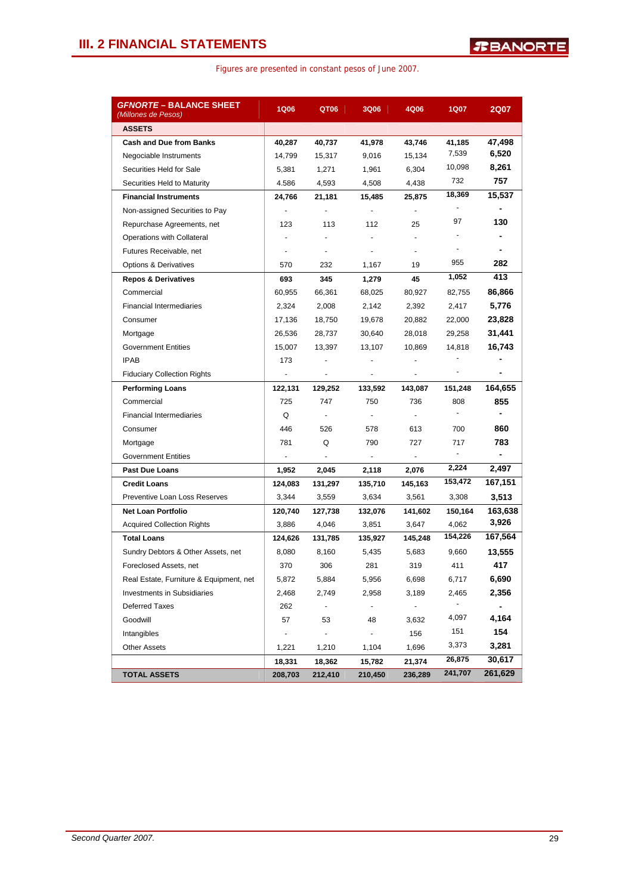| <b>GFNORTE - BALANCE SHEET</b><br>(Millones de Pesos) | <b>1Q06</b>              | QT06                     | <b>3Q06</b>              | 4Q06                     | <b>1Q07</b>              | <b>2Q07</b>    |
|-------------------------------------------------------|--------------------------|--------------------------|--------------------------|--------------------------|--------------------------|----------------|
| <b>ASSETS</b>                                         |                          |                          |                          |                          |                          |                |
| <b>Cash and Due from Banks</b>                        | 40,287                   | 40,737                   | 41,978                   | 43,746                   | 41,185                   | 47,498         |
| Negociable Instruments                                | 14,799                   | 15,317                   | 9,016                    | 15,134                   | 7,539                    | 6,520          |
| Securities Held for Sale                              | 5,381                    | 1,271                    | 1,961                    | 6,304                    | 10,098                   | 8,261          |
| Securities Held to Maturity                           | 4.586                    | 4,593                    | 4,508                    | 4,438                    | 732                      | 757            |
| <b>Financial Instruments</b>                          | 24,766                   | 21,181                   | 15,485                   | 25,875                   | 18,369                   | 15,537         |
| Non-assigned Securities to Pay                        | $\blacksquare$           |                          | $\overline{\phantom{a}}$ | $\blacksquare$           |                          |                |
| Repurchase Agreements, net                            | 123                      | 113                      | 112                      | 25                       | 97                       | 130            |
| Operations with Collateral                            |                          |                          |                          | $\mathbf{r}$             |                          |                |
| Futures Receivable, net                               |                          | $\overline{\phantom{a}}$ | $\overline{\phantom{a}}$ | $\overline{\phantom{a}}$ | $\overline{\phantom{a}}$ | -              |
| <b>Options &amp; Derivatives</b>                      | 570                      | 232                      | 1,167                    | 19                       | 955                      | 282            |
| <b>Repos &amp; Derivatives</b>                        | 693                      | 345                      | 1,279                    | 45                       | 1,052                    | 413            |
| Commercial                                            | 60,955                   | 66,361                   | 68,025                   | 80,927                   | 82,755                   | 86,866         |
| <b>Financial Intermediaries</b>                       | 2,324                    | 2.008                    | 2,142                    | 2,392                    | 2,417                    | 5,776          |
| Consumer                                              | 17,136                   | 18,750                   | 19,678                   | 20,882                   | 22,000                   | 23,828         |
| Mortgage                                              | 26,536                   | 28,737                   | 30,640                   | 28,018                   | 29,258                   | 31,441         |
| <b>Government Entities</b>                            | 15,007                   | 13,397                   | 13,107                   | 10,869                   | 14,818                   | 16,743         |
| <b>IPAB</b>                                           | 173                      | $\overline{\phantom{a}}$ | $\blacksquare$           | $\blacksquare$           |                          |                |
| <b>Fiduciary Collection Rights</b>                    | $\overline{\phantom{a}}$ | $\overline{\phantom{a}}$ | $\overline{\phantom{a}}$ | $\overline{\phantom{a}}$ |                          | -              |
| <b>Performing Loans</b>                               | 122,131                  | 129,252                  | 133,592                  | 143,087                  | 151,248                  | 164,655        |
| Commercial                                            | 725                      | 747                      | 750                      | 736                      | 808                      | 855            |
| <b>Financial Intermediaries</b>                       | Q                        | $\sim$                   | $\blacksquare$           | $\blacksquare$           | $\blacksquare$           | -              |
| Consumer                                              | 446                      | 526                      | 578                      | 613                      | 700                      | 860            |
| Mortgage                                              | 781                      | Q                        | 790                      | 727                      | 717                      | 783            |
| <b>Government Entities</b>                            | $\blacksquare$           | $\blacksquare$           | $\overline{\phantom{a}}$ | ٠                        | $\blacksquare$           | $\blacksquare$ |
| <b>Past Due Loans</b>                                 | 1,952                    | 2,045                    | 2,118                    | 2,076                    | 2,224                    | 2,497          |
| <b>Credit Loans</b>                                   | 124,083                  | 131,297                  | 135,710                  | 145,163                  | 153,472                  | 167,151        |
| Preventive Loan Loss Reserves                         | 3,344                    | 3,559                    | 3,634                    | 3,561                    | 3,308                    | 3,513          |
| <b>Net Loan Portfolio</b>                             | 120,740                  | 127,738                  | 132,076                  | 141,602                  | 150,164                  | 163,638        |
| <b>Acquired Collection Rights</b>                     | 3,886                    | 4,046                    | 3,851                    | 3,647                    | 4,062                    | 3,926          |
| <b>Total Loans</b>                                    | 124,626                  | 131,785                  | 135,927                  | 145,248                  | 154,226                  | 167,564        |
| Sundry Debtors & Other Assets, net                    | 8,080                    | 8,160                    | 5,435                    | 5,683                    | 9,660                    | 13,555         |
| Foreclosed Assets, net                                | 370                      | 306                      | 281                      | 319                      | 411                      | 417            |
| Real Estate, Furniture & Equipment, net               | 5,872                    | 5,884                    | 5,956                    | 6,698                    | 6,717                    | 6,690          |
| <b>Investments in Subsidiaries</b>                    | 2,468                    | 2,749                    | 2,958                    | 3,189                    | 2,465                    | 2,356          |
| <b>Deferred Taxes</b>                                 | 262                      | $\overline{\phantom{a}}$ | $\overline{\phantom{a}}$ | $\blacksquare$           | $\frac{1}{2}$            | -              |
| Goodwill                                              | 57                       | 53                       | 48                       | 3,632                    | 4,097                    | 4,164          |
| Intangibles                                           |                          |                          | $\blacksquare$           | 156                      | 151                      | 154            |
| <b>Other Assets</b>                                   | 1,221                    | 1,210                    | 1,104                    | 1,696                    | 3,373                    | 3,281          |
|                                                       | 18,331                   | 18,362                   | 15,782                   | 21,374                   | 26,875                   | 30,617         |
| <b>TOTAL ASSETS</b>                                   | 208,703                  | 212,410                  | 210,450                  | 236,289                  | 241,707                  | 261,629        |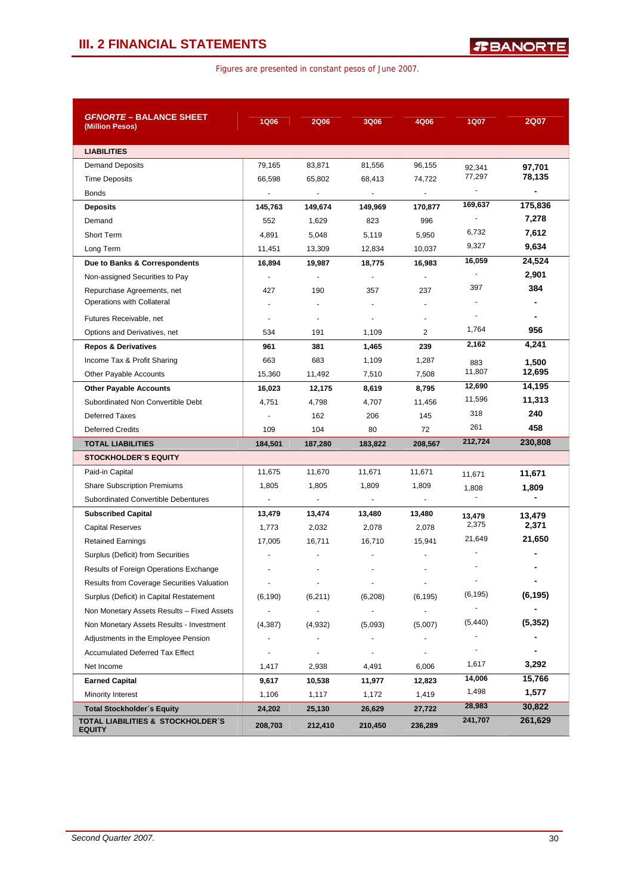| <i>GFNORTE</i> – BALANCE SHEET<br>(Million Pesos)  | <b>1Q06</b>              | <b>2Q06</b>              | 3Q06                     | 4Q06                     | <b>1Q07</b>              | <b>2Q07</b>              |
|----------------------------------------------------|--------------------------|--------------------------|--------------------------|--------------------------|--------------------------|--------------------------|
|                                                    |                          |                          |                          |                          |                          |                          |
| <b>LIABILITIES</b>                                 |                          |                          |                          |                          |                          |                          |
| <b>Demand Deposits</b>                             | 79,165                   | 83,871                   | 81,556                   | 96,155                   | 92,341                   | 97,701                   |
| <b>Time Deposits</b>                               | 66,598                   | 65,802                   | 68,413                   | 74,722                   | 77,297                   | 78,135                   |
| <b>Bonds</b>                                       | $\blacksquare$           | $\blacksquare$           | $\blacksquare$           | $\blacksquare$           | $\overline{\phantom{a}}$ | $\overline{\phantom{a}}$ |
| <b>Deposits</b>                                    | 145,763                  | 149,674                  | 149,969                  | 170,877                  | 169,637                  | 175,836                  |
| Demand                                             | 552                      | 1,629                    | 823                      | 996                      | $\overline{\phantom{a}}$ | 7,278                    |
| Short Term                                         | 4,891                    | 5,048                    | 5,119                    | 5,950                    | 6,732                    | 7,612                    |
| Long Term                                          | 11,451                   | 13,309                   | 12,834                   | 10,037                   | 9,327                    | 9,634                    |
| Due to Banks & Correspondents                      | 16,894                   | 19,987                   | 18,775                   | 16,983                   | 16,059                   | 24,524                   |
| Non-assigned Securities to Pay                     | ÷.                       | $\sim$                   | $\blacksquare$           | $\blacksquare$           |                          | 2,901                    |
| Repurchase Agreements, net                         | 427                      | 190                      | 357                      | 237                      | 397                      | 384                      |
| Operations with Collateral                         |                          | ÷,                       |                          |                          |                          |                          |
| Futures Receivable, net                            |                          | $\overline{\phantom{a}}$ | ٠                        |                          | $\blacksquare$           |                          |
| Options and Derivatives, net                       | 534                      | 191                      | 1,109                    | 2                        | 1,764                    | 956                      |
| <b>Repos &amp; Derivatives</b>                     | 961                      | 381                      | 1,465                    | 239                      | 2,162                    | 4,241                    |
| Income Tax & Profit Sharing                        | 663                      | 683                      | 1,109                    | 1,287                    | 883                      | 1,500                    |
| Other Payable Accounts                             | 15,360                   | 11,492                   | 7,510                    | 7,508                    | 11,807                   | 12,695                   |
| <b>Other Payable Accounts</b>                      | 16,023                   | 12,175                   | 8,619                    | 8,795                    | 12,690                   | 14,195                   |
| Subordinated Non Convertible Debt                  | 4,751                    | 4,798                    | 4,707                    | 11,456                   | 11,596                   | 11,313                   |
| <b>Deferred Taxes</b>                              | $\overline{\phantom{a}}$ | 162                      | 206                      | 145                      | 318                      | 240                      |
| <b>Deferred Credits</b>                            | 109                      | 104                      | 80                       | 72                       | 261                      | 458                      |
| <b>TOTAL LIABILITIES</b>                           | 184,501                  | 187,280                  | 183,822                  | 208,567                  | 212,724                  | 230,808                  |
| <b>STOCKHOLDER S EQUITY</b>                        |                          |                          |                          |                          |                          |                          |
| Paid-in Capital                                    | 11,675                   | 11,670                   | 11,671                   | 11,671                   | 11,671                   | 11,671                   |
| <b>Share Subscription Premiums</b>                 | 1,805                    | 1,805                    | 1,809                    | 1,809                    | 1,808                    | 1,809                    |
| Subordinated Convertible Debentures                | $\blacksquare$           | $\blacksquare$           | $\overline{\phantom{a}}$ |                          | $\blacksquare$           | $\overline{\phantom{0}}$ |
| <b>Subscribed Capital</b>                          | 13,479                   | 13,474                   | 13,480                   | 13,480                   | 13,479                   | 13,479                   |
| <b>Capital Reserves</b>                            | 1,773                    | 2,032                    | 2,078                    | 2,078                    | 2,375                    | 2,371                    |
| <b>Retained Earnings</b>                           | 17,005                   | 16,711                   | 16,710                   | 15.941                   | 21,649                   | 21,650                   |
| Surplus (Deficit) from Securities                  |                          |                          |                          |                          |                          |                          |
| Results of Foreign Operations Exchange             |                          |                          |                          |                          |                          |                          |
| Results from Coverage Securities Valuation         | $\blacksquare$           | $\blacksquare$           | $\blacksquare$           | $\overline{\phantom{a}}$ | $\overline{\phantom{a}}$ | -                        |
| Surplus (Deficit) in Capital Restatement           | (6, 190)                 | (6, 211)                 | (6, 208)                 | (6, 195)                 | (6, 195)                 | (6, 195)                 |
| Non Monetary Assets Results - Fixed Assets         |                          | $\blacksquare$           | $\blacksquare$           | $\blacksquare$           | ۰                        |                          |
| Non Monetary Assets Results - Investment           | (4,387)                  | (4,932)                  | (5,093)                  | (5,007)                  | (5, 440)                 | (5, 352)                 |
| Adjustments in the Employee Pension                |                          |                          | $\overline{\phantom{a}}$ |                          |                          |                          |
| <b>Accumulated Deferred Tax Effect</b>             | $\blacksquare$           | $\blacksquare$           | $\blacksquare$           | $\blacksquare$           |                          |                          |
| Net Income                                         | 1,417                    | 2,938                    | 4,491                    | 6,006                    | 1,617                    | 3,292                    |
| <b>Earned Capital</b>                              | 9,617                    | 10,538                   | 11,977                   | 12,823                   | 14,006                   | 15,766                   |
| Minority Interest                                  | 1,106                    | 1,117                    | 1,172                    | 1,419                    | 1,498                    | 1,577                    |
| <b>Total Stockholder's Equity</b>                  | 24,202                   | 25,130                   | 26,629                   | 27,722                   | 28,983                   | 30,822                   |
| TOTAL LIABILITIES & STOCKHOLDER'S<br><b>EQUITY</b> | 208,703                  | 212,410                  | 210,450                  | 236,289                  | 241,707                  | 261,629                  |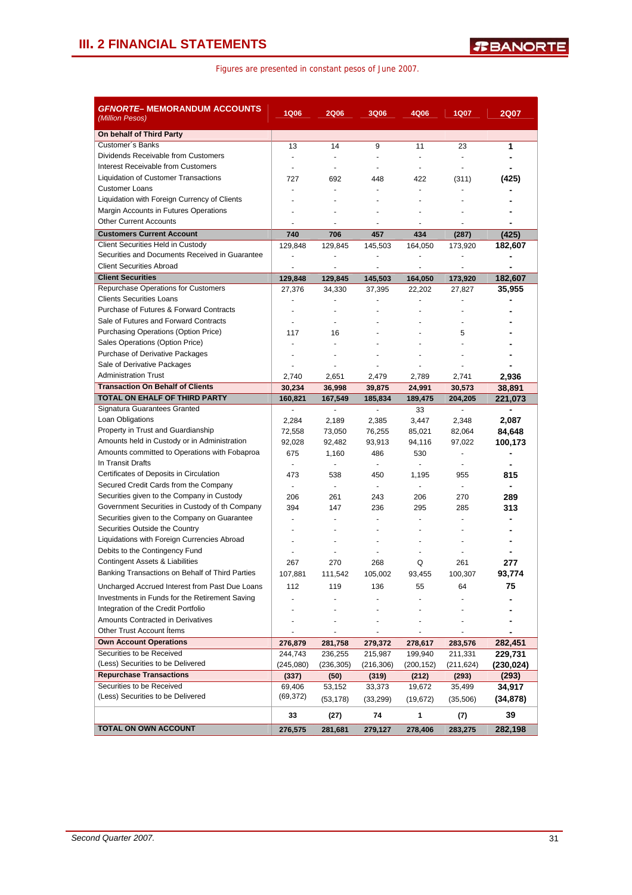| GFNORTE– MEMORANDUM ACCOUNTS<br>(Million Pesos)                          | <b>1Q06</b>              | <b>2Q06</b>          | <b>3Q06</b>     | 4Q06        | <b>1Q07</b>              | <b>2Q07</b>              |
|--------------------------------------------------------------------------|--------------------------|----------------------|-----------------|-------------|--------------------------|--------------------------|
| On behalf of Third Party                                                 |                          |                      |                 |             |                          |                          |
| Customer's Banks                                                         | 13                       | 14                   | 9               | 11          | 23                       | 1                        |
| Dividends Receivable from Customers                                      |                          | $\sim$               |                 | ä,          | $\overline{\phantom{a}}$ |                          |
| Interest Receivable from Customers                                       |                          | $\blacksquare$       |                 | ä,          | $\overline{a}$           |                          |
| <b>Liquidation of Customer Transactions</b>                              | 727                      | 692                  | 448             | 422         | (311)                    | (425)                    |
| <b>Customer Loans</b>                                                    | $\blacksquare$           | $\overline{a}$       | $\blacksquare$  | ٠           | $\overline{\phantom{a}}$ |                          |
| Liquidation with Foreign Currency of Clients                             |                          |                      |                 |             |                          |                          |
| Margin Accounts in Futures Operations                                    |                          |                      |                 |             |                          |                          |
| <b>Other Current Accounts</b>                                            |                          |                      |                 |             |                          |                          |
| <b>Customers Current Account</b>                                         | 740                      | 706                  | 457             | 434         | (287)                    | (425)                    |
| Client Securities Held in Custody                                        | 129,848                  | 129,845              | 145,503         | 164,050     | 173,920                  | 182,607                  |
| Securities and Documents Received in Guarantee                           |                          |                      |                 |             |                          |                          |
| <b>Client Securities Abroad</b>                                          |                          |                      |                 |             |                          |                          |
| <b>Client Securities</b>                                                 | 129,848                  | 129,845              | 145,503         | 164,050     | 173,920                  | 182,607                  |
| Repurchase Operations for Customers                                      | 27,376                   | 34,330               | 37,395          | 22,202      | 27,827                   | 35,955                   |
| <b>Clients Securities Loans</b>                                          |                          |                      |                 |             |                          |                          |
| Purchase of Futures & Forward Contracts                                  | $\overline{\phantom{a}}$ | $\ddot{\phantom{1}}$ |                 |             |                          |                          |
| Sale of Futures and Forward Contracts                                    |                          |                      |                 |             |                          |                          |
| Purchasing Operations (Option Price)                                     | 117                      | 16                   |                 |             | 5                        |                          |
| Sales Operations (Option Price)                                          |                          |                      |                 |             |                          |                          |
| <b>Purchase of Derivative Packages</b>                                   |                          |                      |                 |             |                          |                          |
| Sale of Derivative Packages                                              |                          |                      |                 |             |                          |                          |
| <b>Administration Trust</b>                                              | 2,740                    | 2,651                | 2,479           | 2,789       | 2,741                    | 2,936                    |
| <b>Transaction On Behalf of Clients</b><br>TOTAL ON EHALF OF THIRD PARTY | 30,234                   | 36,998               | 39,875          | 24,991      | 30,573                   | 38,891                   |
| Signatura Guarantees Granted                                             | 160,821                  | 167,549<br>$\sim$    | 185,834<br>÷    | 189,475     | 204,205<br>$\sim$        | 221,073                  |
| Loan Obligations                                                         | $\blacksquare$           |                      |                 | 33<br>3,447 |                          |                          |
| Property in Trust and Guardianship                                       | 2,284<br>72,558          | 2,189<br>73,050      | 2,385<br>76,255 | 85,021      | 2,348<br>82,064          | 2,087<br>84,648          |
| Amounts held in Custody or in Administration                             | 92,028                   | 92,482               | 93,913          | 94,116      | 97,022                   | 100,173                  |
| Amounts committed to Operations with Fobaproa                            | 675                      | 1,160                | 486             | 530         |                          |                          |
| In Transit Drafts                                                        | $\frac{1}{2}$            | $\sim$               | $\blacksquare$  |             | $\sim$                   |                          |
| Certificates of Deposits in Circulation                                  | 473                      | 538                  | 450             | 1,195       | 955                      | 815                      |
| Secured Credit Cards from the Company                                    | $\blacksquare$           | $\sim$               | $\sim$          | $\sim$      | $\sim$                   | $\overline{\phantom{0}}$ |
| Securities given to the Company in Custody                               | 206                      | 261                  | 243             | 206         | 270                      | 289                      |
| Government Securities in Custody of th Company                           | 394                      | 147                  | 236             | 295         | 285                      | 313                      |
| Securities given to the Company on Guarantee                             |                          |                      |                 |             |                          |                          |
| Securities Outside the Country                                           |                          |                      |                 |             |                          |                          |
| Liquidations with Foreign Currencies Abroad                              |                          |                      |                 |             |                          |                          |
| Debits to the Contingency Fund                                           |                          |                      |                 |             |                          |                          |
| Contingent Assets & Liabilities                                          | 267                      | 270                  | 268             | Q           | 261                      | 277                      |
| Banking Transactions on Behalf of Third Parties                          | 107,881                  | 111,542              | 105,002         | 93,455      | 100,307                  | 93,774                   |
| Uncharged Accrued Interest from Past Due Loans                           | 112                      | 119                  | 136             | 55          | 64                       | 75                       |
| Investments in Funds for the Retirement Saving                           |                          |                      |                 |             |                          |                          |
| Integration of the Credit Portfolio                                      |                          |                      |                 |             |                          |                          |
| Amounts Contracted in Derivatives                                        |                          |                      |                 |             |                          |                          |
| Other Trust Account Items                                                |                          |                      |                 |             |                          |                          |
| <b>Own Account Operations</b>                                            | 276,879                  | 281,758              | 279,372         | 278,617     | 283,576                  | 282,451                  |
| Securities to be Received                                                | 244,743                  | 236,255              | 215,987         | 199,940     | 211,331                  | 229,731                  |
| (Less) Securities to be Delivered                                        | (245,080)                | (236, 305)           | (216, 306)      | (200, 152)  | (211,624)                | (230,024)                |
| <b>Repurchase Transactions</b>                                           | (337)                    | (50)                 | (319)           | (212)       | (293)                    | (293)                    |
| Securities to be Received                                                | 69,406                   | 53,152               | 33,373          | 19,672      | 35,499                   | 34,917                   |
| (Less) Securities to be Delivered                                        | (69, 372)                | (53, 178)            | (33, 299)       | (19, 672)   | (35, 506)                | (34, 878)                |
|                                                                          | 33                       | (27)                 | 74              | 1           | (7)                      | 39                       |
| TOTAL ON OWN ACCOUNT                                                     | 276,575                  | 281,681              | 279,127         | 278,406     | 283,275                  | 282,198                  |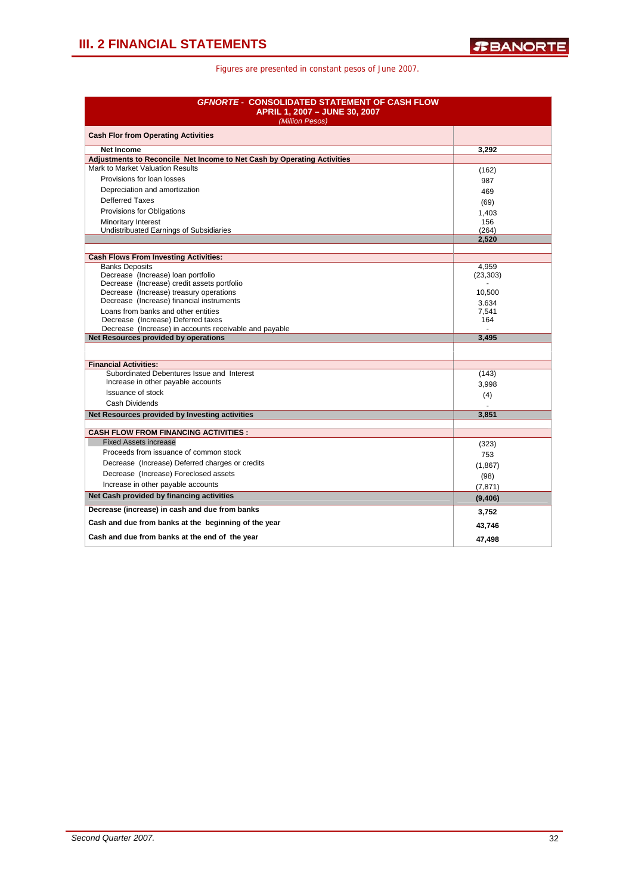| <b>GFNORTE - CONSOLIDATED STATEMENT OF CASH FLOW</b><br>APRIL 1, 2007 - JUNE 30, 2007<br>(Million Pesos) |                      |  |  |
|----------------------------------------------------------------------------------------------------------|----------------------|--|--|
| <b>Cash Flor from Operating Activities</b>                                                               |                      |  |  |
| <b>Net Income</b>                                                                                        | 3,292                |  |  |
| Adjustments to Reconcile Net Income to Net Cash by Operating Activities                                  |                      |  |  |
| Mark to Market Valuation Results                                                                         | (162)                |  |  |
| Provisions for loan losses                                                                               | 987                  |  |  |
| Depreciation and amortization                                                                            | 469                  |  |  |
| <b>Defferred Taxes</b>                                                                                   | (69)                 |  |  |
| Provisions for Obligations                                                                               | 1,403                |  |  |
| Minoritary Interest                                                                                      | 156                  |  |  |
| Undistribuated Earnings of Subsidiaries                                                                  | (264)                |  |  |
|                                                                                                          | 2,520                |  |  |
| <b>Cash Flows From Investing Activities:</b>                                                             |                      |  |  |
| <b>Banks Deposits</b>                                                                                    | 4.959                |  |  |
| Decrease (Increase) loan portfolio                                                                       | (23, 303)            |  |  |
| Decrease (Increase) credit assets portfolio                                                              |                      |  |  |
| Decrease (Increase) treasury operations                                                                  | 10,500               |  |  |
| Decrease (Increase) financial instruments                                                                | 3.634                |  |  |
| Loans from banks and other entities<br>Decrease (Increase) Deferred taxes                                | 7.541<br>164         |  |  |
| Decrease (Increase) in accounts receivable and payable                                                   |                      |  |  |
| Net Resources provided by operations                                                                     | 3.495                |  |  |
|                                                                                                          |                      |  |  |
| <b>Financial Activities:</b>                                                                             |                      |  |  |
| Subordinated Debentures Issue and Interest                                                               | (143)                |  |  |
| Increase in other payable accounts                                                                       | 3,998                |  |  |
| Issuance of stock                                                                                        | (4)                  |  |  |
| Cash Dividends                                                                                           |                      |  |  |
| Net Resources provided by Investing activities                                                           | 3.851                |  |  |
| <b>CASH FLOW FROM FINANCING ACTIVITIES:</b>                                                              |                      |  |  |
| <b>Fixed Assets increase</b>                                                                             | (323)                |  |  |
| Proceeds from issuance of common stock                                                                   | 753                  |  |  |
| Decrease (Increase) Deferred charges or credits                                                          |                      |  |  |
| Decrease (Increase) Foreclosed assets                                                                    | (1,867)              |  |  |
| Increase in other payable accounts                                                                       | (98)                 |  |  |
| Net Cash provided by financing activities                                                                | (7, 871)<br>(9, 406) |  |  |
| Decrease (increase) in cash and due from banks                                                           |                      |  |  |
|                                                                                                          | 3,752                |  |  |
| Cash and due from banks at the beginning of the year                                                     | 43,746               |  |  |
| Cash and due from banks at the end of the year                                                           | 47.498               |  |  |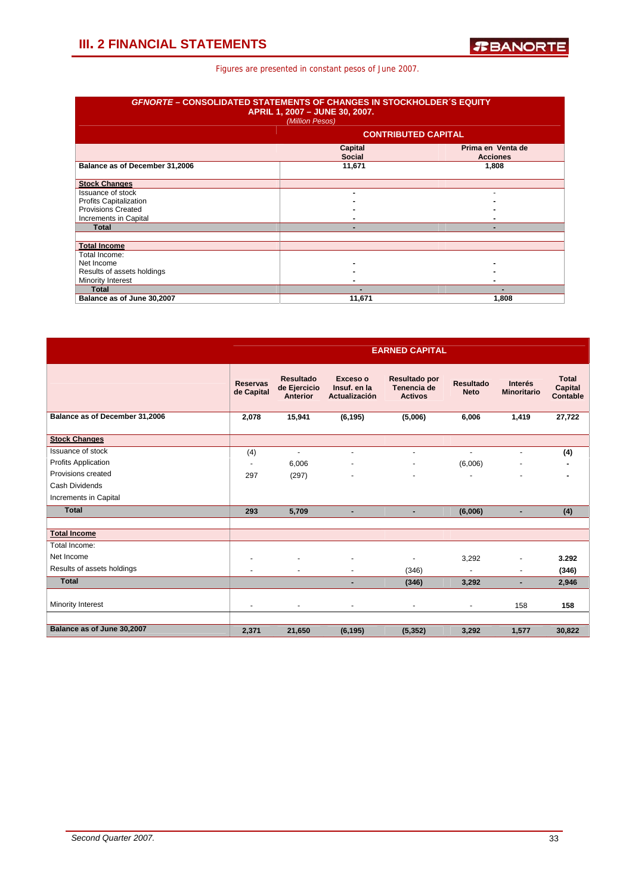| <b>GFNORTE – CONSOLIDATED STATEMENTS OF CHANGES IN STOCKHOLDER 'S EQUITY</b> | APRIL 1, 2007 - JUNE 30, 2007.<br>(Million Pesos) |                                      |  |  |  |  |  |
|------------------------------------------------------------------------------|---------------------------------------------------|--------------------------------------|--|--|--|--|--|
|                                                                              | <b>CONTRIBUTED CAPITAL</b>                        |                                      |  |  |  |  |  |
|                                                                              | Capital<br><b>Social</b>                          | Prima en Venta de<br><b>Acciones</b> |  |  |  |  |  |
| Balance as of December 31,2006                                               | 11,671                                            | 1,808                                |  |  |  |  |  |
| <b>Stock Changes</b>                                                         |                                                   |                                      |  |  |  |  |  |
| Issuance of stock                                                            |                                                   |                                      |  |  |  |  |  |
| <b>Profits Capitalization</b>                                                |                                                   |                                      |  |  |  |  |  |
| <b>Provisions Created</b>                                                    |                                                   |                                      |  |  |  |  |  |
| Increments in Capital                                                        |                                                   |                                      |  |  |  |  |  |
| <b>Total</b>                                                                 |                                                   | -                                    |  |  |  |  |  |
|                                                                              |                                                   |                                      |  |  |  |  |  |
| <b>Total Income</b>                                                          |                                                   |                                      |  |  |  |  |  |
| Total Income:                                                                |                                                   |                                      |  |  |  |  |  |
| Net Income                                                                   |                                                   |                                      |  |  |  |  |  |
| Results of assets holdings                                                   |                                                   |                                      |  |  |  |  |  |
| Minority Interest                                                            |                                                   |                                      |  |  |  |  |  |
| <b>Total</b>                                                                 |                                                   |                                      |  |  |  |  |  |
| Balance as of June 30,2007                                                   | 11,671                                            | 1,808                                |  |  |  |  |  |

|                                | <b>EARNED CAPITAL</b>         |                                              |                                                  |                                                |                                 |                                      |                                     |  |  |
|--------------------------------|-------------------------------|----------------------------------------------|--------------------------------------------------|------------------------------------------------|---------------------------------|--------------------------------------|-------------------------------------|--|--|
|                                | <b>Reservas</b><br>de Capital | <b>Resultado</b><br>de Ejercicio<br>Anterior | Exceso o<br>Insuf. en la<br><b>Actualización</b> | Resultado por<br>Tenencia de<br><b>Activos</b> | <b>Resultado</b><br><b>Neto</b> | <b>Interés</b><br><b>Minoritario</b> | <b>Total</b><br>Capital<br>Contable |  |  |
| Balance as of December 31,2006 | 2,078                         | 15,941                                       | (6, 195)                                         | (5,006)                                        | 6,006                           | 1,419                                | 27,722                              |  |  |
| <b>Stock Changes</b>           |                               |                                              |                                                  |                                                |                                 |                                      |                                     |  |  |
| Issuance of stock              | (4)                           | $\blacksquare$                               | $\blacksquare$                                   | $\blacksquare$                                 | $\blacksquare$                  | ۰                                    | (4)                                 |  |  |
| <b>Profits Application</b>     | $\blacksquare$                | 6,006                                        |                                                  |                                                | (6,006)                         |                                      |                                     |  |  |
| Provisions created             | 297                           | (297)                                        |                                                  | $\overline{\phantom{a}}$                       |                                 |                                      |                                     |  |  |
| Cash Dividends                 |                               |                                              |                                                  |                                                |                                 |                                      |                                     |  |  |
| Increments in Capital          |                               |                                              |                                                  |                                                |                                 |                                      |                                     |  |  |
| <b>Total</b>                   | 293                           | 5,709                                        | ٠                                                | ٠                                              | (6,006)                         | ٠                                    | (4)                                 |  |  |
|                                |                               |                                              |                                                  |                                                |                                 |                                      |                                     |  |  |
| <b>Total Income</b>            |                               |                                              |                                                  |                                                |                                 |                                      |                                     |  |  |
| Total Income:                  |                               |                                              |                                                  |                                                |                                 |                                      |                                     |  |  |
| Net Income                     |                               |                                              |                                                  |                                                | 3,292                           |                                      | 3.292                               |  |  |
| Results of assets holdings     |                               |                                              |                                                  | (346)                                          |                                 |                                      | (346)                               |  |  |
| <b>Total</b>                   |                               |                                              | -                                                | (346)                                          | 3,292                           | ٠                                    | 2,946                               |  |  |
| Minority Interest              |                               |                                              | $\blacksquare$                                   | $\overline{\phantom{a}}$                       | ۰                               | 158                                  | 158                                 |  |  |
|                                |                               |                                              |                                                  |                                                |                                 |                                      |                                     |  |  |
| Balance as of June 30,2007     | 2,371                         | 21,650                                       | (6, 195)                                         | (5, 352)                                       | 3,292                           | 1,577                                | 30,822                              |  |  |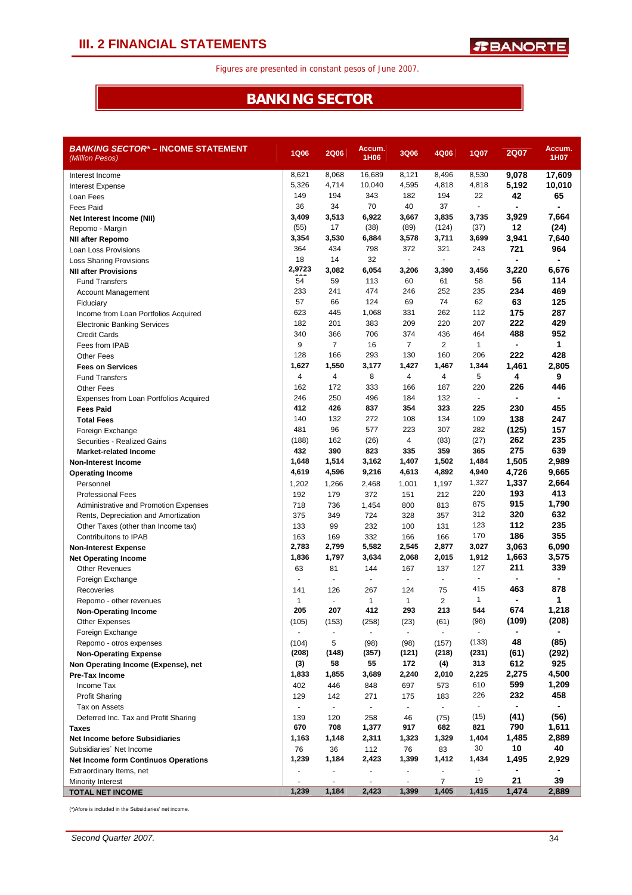### **BANKING SECTOR**

| <b>BANKING SECTOR* – INCOME STATEMENT</b><br>(Million Pesos) | <b>1Q06</b>              | <b>2Q06</b>    | Accum.<br>1H06           | <b>3Q06</b>                 | 4Q06           | 1Q07           | <b>2Q07</b>              | Accum.<br>1H07           |
|--------------------------------------------------------------|--------------------------|----------------|--------------------------|-----------------------------|----------------|----------------|--------------------------|--------------------------|
| Interest Income                                              | 8,621                    | 8,068          | 16,689                   | 8,121                       | 8,496          | 8,530          | 9,078                    | 17,609                   |
| Interest Expense                                             | 5,326                    | 4,714          | 10,040                   | 4,595                       | 4,818          | 4,818          | 5,192                    | 10,010                   |
| Loan Fees                                                    | 149                      | 194            | 343                      | 182                         | 194            | 22             | 42                       | 65                       |
| <b>Fees Paid</b>                                             | 36                       | 34             | 70                       | 40                          | 37             |                | $\blacksquare$           |                          |
| Net Interest Income (NII)                                    | 3,409                    | 3,513          | 6,922                    | 3,667                       | 3,835          | 3,735          | 3,929                    | 7,664                    |
| Repomo - Margin                                              | (55)                     | 17             | (38)                     | (89)                        | (124)          | (37)           | 12                       | (24)                     |
| <b>NII after Repomo</b>                                      | 3,354                    | 3,530          | 6,884                    | 3,578                       | 3,711          | 3,699          | 3,941                    | 7,640                    |
| Loan Loss Provisions                                         | 364                      | 434            | 798                      | 372                         | 321            | 243            | 721                      | 964                      |
| <b>Loss Sharing Provisions</b>                               | 18                       | 14             | 32                       | $\blacksquare$              | $\blacksquare$ |                |                          | $\overline{\phantom{0}}$ |
| <b>NII after Provisions</b>                                  | 2,9723                   | 3,082          | 6,054                    | 3,206                       | 3,390          | 3,456          | 3,220                    | 6,676                    |
| <b>Fund Transfers</b>                                        | 54                       | 59             | 113                      | 60                          | 61             | 58             | 56                       | 114                      |
| <b>Account Management</b>                                    | 233                      | 241            | 474                      | 246                         | 252            | 235            | 234                      | 469                      |
| Fiduciary                                                    | 57                       | 66             | 124                      | 69                          | 74             | 62             | 63                       | 125                      |
| Income from Loan Portfolios Acquired                         | 623                      | 445            | 1,068                    | 331                         | 262            | 112            | 175                      | 287                      |
| <b>Electronic Banking Services</b>                           | 182                      | 201            | 383                      | 209                         | 220            | 207            | 222                      | 429                      |
| <b>Credit Cards</b>                                          | 340                      | 366            | 706                      | 374                         | 436            | 464            | 488                      | 952                      |
| Fees from IPAB                                               | 9                        | $\overline{7}$ | 16                       | $\overline{7}$              | 2              | 1              | $\blacksquare$           | $\mathbf{1}$             |
| Other Fees                                                   | 128                      | 166            | 293                      | 130                         | 160            | 206            | 222                      | 428                      |
| <b>Fees on Services</b>                                      | 1,627                    | 1,550          | 3,177                    | 1,427                       | 1,467          | 1,344          | 1,461                    | 2,805                    |
| <b>Fund Transfers</b>                                        | 4                        | 4              | 8                        | 4                           | 4              | 5              | 4                        | 9                        |
| Other Fees                                                   | 162                      | 172            | 333                      | 166                         | 187            | 220            | 226                      | 446                      |
| Expenses from Loan Portfolios Acquired                       | 246                      | 250            | 496                      | 184                         | 132            | $\blacksquare$ | $\overline{a}$           |                          |
| <b>Fees Paid</b>                                             | 412                      | 426            | 837                      | 354                         | 323            | 225            | 230                      | 455                      |
| <b>Total Fees</b>                                            | 140                      | 132            | 272                      | 108                         | 134            | 109            | 138                      | 247                      |
| Foreign Exchange                                             | 481                      | 96             | 577                      | 223                         | 307            | 282            | (125)                    | 157                      |
| Securities - Realized Gains                                  | (188)                    | 162            | (26)                     | 4                           | (83)           | (27)           | 262                      | 235                      |
| <b>Market-related Income</b>                                 | 432                      | 390            | 823                      | 335                         | 359            | 365            | 275                      | 639                      |
| <b>Non-Interest Income</b>                                   | 1,648                    | 1,514          | 3,162                    | 1,407                       | 1,502          | 1,484          | 1,505                    | 2,989                    |
| <b>Operating Income</b>                                      | 4,619                    | 4,596          | 9,216                    | 4,613                       | 4,892          | 4,940          | 4,726                    | 9,665                    |
| Personnel                                                    | 1,202                    | 1,266          | 2,468                    | 1,001                       | 1,197          | 1,327          | 1,337                    | 2,664                    |
| <b>Professional Fees</b>                                     | 192                      | 179            | 372                      | 151                         | 212            | 220            | 193                      | 413                      |
| Administrative and Promotion Expenses                        | 718                      | 736            | 1,454                    | 800                         | 813            | 875            | 915                      | 1,790                    |
| Rents, Depreciation and Amortization                         | 375                      | 349            | 724                      | 328                         | 357            | 312            | 320                      | 632                      |
| Other Taxes (other than Income tax)                          | 133                      | 99             | 232                      | 100                         | 131            | 123            | 112                      | 235                      |
| Contribuitons to IPAB                                        | 163                      | 169            | 332                      | 166                         | 166            | 170            | 186                      | 355                      |
| <b>Non-Interest Expense</b>                                  | 2,783                    | 2,799          | 5,582                    | 2,545                       | 2,877          | 3,027          | 3,063                    | 6,090                    |
| <b>Net Operating Income</b>                                  | 1,836                    | 1,797          | 3,634                    | 2,068                       | 2,015          | 1,912          | 1,663                    | 3,575                    |
| <b>Other Revenues</b>                                        | 63                       | 81             | 144                      | 167                         | 137            | 127            | 211                      | 339                      |
| Foreign Exchange                                             | ÷.                       | $\overline{a}$ | $\blacksquare$           |                             | ÷.             | $\blacksquare$ | $\blacksquare$           |                          |
| Recoveries                                                   | 141                      | 126            | 267                      | 124                         | 75             | 415            | 463                      | 878                      |
| Repomo - other revenues                                      | 1                        | $\blacksquare$ | 1                        | $\mathbf{1}$                | $\overline{2}$ | 1              | $\overline{\phantom{a}}$ | 1                        |
| <b>Non-Operating Income</b>                                  | 205                      | 207            | 412                      | 293                         | 213            | 544            | 674                      | 1,218                    |
| Other Expenses                                               | (105)                    | (153)          | (258)                    | (23)                        | (61)           | (98)           | (109)                    | (208)                    |
| Foreign Exchange                                             | $\overline{\phantom{a}}$ | $\blacksquare$ |                          | $\blacksquare$              | $\blacksquare$ |                |                          |                          |
| Repomo - otros expenses                                      | (104)                    | 5              | (98)                     | (98)                        | (157)          | (133)          | 48                       | (85)                     |
| <b>Non-Operating Expense</b>                                 | (208)                    | (148)          | (357)                    | (121)                       | (218)          | (231)          | (61)                     | (292)                    |
| Non Operating Income (Expense), net                          | (3)                      | 58             | 55                       | 172                         | (4)            | 313            | 612                      | 925                      |
| <b>Pre-Tax Income</b>                                        | 1,833                    | 1,855          | 3,689                    | 2,240                       | 2,010          | 2,225          | 2,275                    | 4,500                    |
| Income Tax                                                   | 402                      | 446            | 848                      | 697                         | 573            | 610            | 599                      | 1,209                    |
| <b>Profit Sharing</b>                                        | 129                      | 142            | 271                      | 175                         | 183            | 226            | 232                      | 458                      |
| Tax on Assets                                                | $\blacksquare$           | $\blacksquare$ | $\blacksquare$           | $\mathcal{L}_{\mathcal{A}}$ | $\sim$         | ٠              | -                        | ۰                        |
| Deferred Inc. Tax and Profit Sharing                         | 139                      | 120            | 258                      | 46                          | (75)           | (15)           | (41)                     | (56)                     |
| <b>Taxes</b>                                                 | 670                      | 708            | 1,377                    | 917                         | 682            | 821            | 790                      | 1,611                    |
| <b>Net Income before Subsidiaries</b>                        | 1,163                    | 1,148          | 2,311                    | 1,323                       | 1,329          | 1,404          | 1,485                    | 2,889                    |
| Subsidiaries' Net Income                                     | 76                       | 36             | 112                      | 76                          | 83             | 30             | 10                       | 40                       |
| <b>Net Income form Continuos Operations</b>                  | 1,239                    | 1,184          | 2,423                    | 1,399                       | 1,412          | 1,434          | 1,495                    | 2,929                    |
| Extraordinary Items, net                                     |                          | $\blacksquare$ | $\overline{\phantom{m}}$ |                             | $\blacksquare$ |                |                          |                          |
| <b>Minority Interest</b>                                     |                          |                |                          |                             | $\overline{7}$ | 19             | 21                       | 39                       |
| <b>TOTAL NET INCOME</b>                                      | 1,239                    | 1,184          | 2,423                    | 1,399                       | 1,405          | 1,415          | 1,474                    | 2,889                    |

(\*)Afore is included in the Subsidiaries' net income.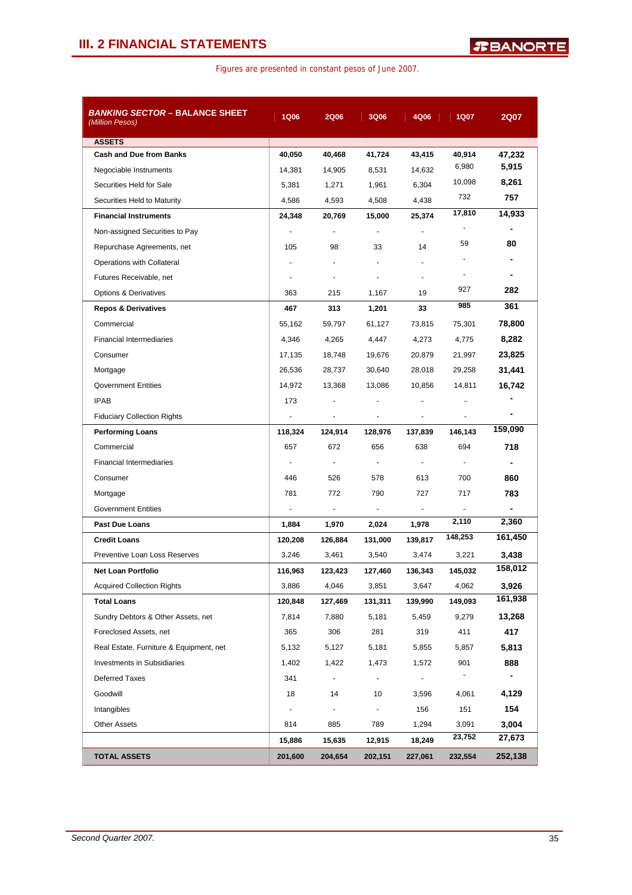| <i>BANKING SECTOR –</i> BALANCE SHEET<br>(Million Pesos) | <b>1Q06</b>              | <b>2Q06</b>              | <b>3Q06</b>    | 4Q06           | <b>1Q07</b>    | <b>2Q07</b> |
|----------------------------------------------------------|--------------------------|--------------------------|----------------|----------------|----------------|-------------|
| <b>ASSETS</b>                                            |                          |                          |                |                |                |             |
| <b>Cash and Due from Banks</b>                           | 40,050                   | 40,468                   | 41,724         | 43,415         | 40,914         | 47,232      |
| Negociable Instruments                                   | 14,381                   | 14,905                   | 8,531          | 14,632         | 6,980          | 5,915       |
| Securities Held for Sale                                 | 5,381                    | 1,271                    | 1,961          | 6,304          | 10,098         | 8,261       |
| Securities Held to Maturity                              | 4,586                    | 4,593                    | 4,508          | 4,438          | 732            | 757         |
| <b>Financial Instruments</b>                             | 24,348                   | 20,769                   | 15,000         | 25.374         | 17,810         | 14,933      |
| Non-assigned Securities to Pay                           |                          | ÷                        | ÷              |                |                | -           |
| Repurchase Agreements, net                               | 105                      | 98                       | 33             | 14             | 59             | 80          |
| Operations with Collateral                               |                          | $\blacksquare$           |                |                |                |             |
| Futures Receivable, net                                  |                          | $\overline{\phantom{a}}$ | ٠              |                |                |             |
| <b>Options &amp; Derivatives</b>                         | 363                      | 215                      | 1,167          | 19             | 927            | 282         |
| <b>Repos &amp; Derivatives</b>                           | 467                      | 313                      | 1,201          | 33             | 985            | 361         |
| Commercial                                               | 55,162                   | 59,797                   | 61,127         | 73,815         | 75,301         | 78,800      |
| <b>Financial Intermediaries</b>                          | 4,346                    | 4,265                    | 4,447          | 4,273          | 4,775          | 8,282       |
| Consumer                                                 | 17,135                   | 18,748                   | 19,676         | 20,879         | 21,997         | 23,825      |
| Mortgage                                                 | 26,536                   | 28,737                   | 30,640         | 28,018         | 29,258         | 31,441      |
| <b>Qovernment Entities</b>                               | 14,972                   | 13,368                   | 13,086         | 10,856         | 14,811         | 16,742      |
| <b>IPAB</b>                                              | 173                      |                          |                |                |                |             |
| <b>Fiduciary Collection Rights</b>                       |                          | ÷                        | $\overline{a}$ | $\blacksquare$ | $\blacksquare$ | -           |
| <b>Performing Loans</b>                                  | 118,324                  | 124,914                  | 128,976        | 137,839        | 146,143        | 159,090     |
| Commercial                                               | 657                      | 672                      | 656            | 638            | 694            | 718         |
| <b>Financial Intermediaries</b>                          | $\overline{\phantom{a}}$ | $\blacksquare$           | $\blacksquare$ | $\sim$         | ÷.             |             |
| Consumer                                                 | 446                      | 526                      | 578            | 613            | 700            | 860         |
| Mortgage                                                 | 781                      | 772                      | 790            | 727            | 717            | 783         |
| <b>Government Entities</b>                               |                          | $\blacksquare$           | $\blacksquare$ | $\blacksquare$ | $\blacksquare$ | -           |
| <b>Past Due Loans</b>                                    | 1,884                    | 1,970                    | 2,024          | 1,978          | 2,110          | 2,360       |
| <b>Credit Loans</b>                                      | 120,208                  | 126,884                  | 131,000        | 139,817        | 148,253        | 161,450     |
| Preventive Loan Loss Reserves                            | 3,246                    | 3,461                    | 3,540          | 3,474          | 3,221          | 3,438       |
| Net Loan Portfolio                                       | 116,963                  | 123,423                  | 127,460        | 136,343        | 145,032        | 158,012     |
| <b>Acquired Collection Rights</b>                        | 3,886                    | 4,046                    | 3,851          | 3,647          | 4,062          | 3,926       |
| <b>Total Loans</b>                                       | 120,848                  | 127,469                  | 131,311        | 139,990        | 149,093        | 161,938     |
| Sundry Debtors & Other Assets, net                       | 7,814                    | 7,880                    | 5,181          | 5,459          | 9,279          | 13,268      |
| Foreclosed Assets, net                                   | 365                      | 306                      | 281            | 319            | 411            | 417         |
| Real Estate, Furniture & Equipment, net                  | 5,132                    | 5,127                    | 5,181          | 5,855          | 5,857          | 5,813       |
| Investments in Subsidiaries                              | 1,402                    | 1,422                    | 1,473          | 1,572          | 901            | 888         |
| <b>Deferred Taxes</b>                                    | 341                      | $\overline{\phantom{a}}$ | $\frac{1}{2}$  |                | $\blacksquare$ | ۰           |
| Goodwill                                                 | 18                       | 14                       | 10             | 3,596          | 4,061          | 4,129       |
| Intangibles                                              | $\overline{\phantom{a}}$ | $\overline{\phantom{a}}$ | $\blacksquare$ | 156            | 151            | 154         |
| <b>Other Assets</b>                                      | 814                      | 885                      | 789            | 1,294          | 3,091          | 3,004       |
|                                                          | 15,886                   | 15,635                   | 12,915         | 18,249         | 23,752         | 27,673      |
| <b>TOTAL ASSETS</b>                                      | 201,600                  | 204,654                  | 202,151        | 227,061        | 232,554        | 252,138     |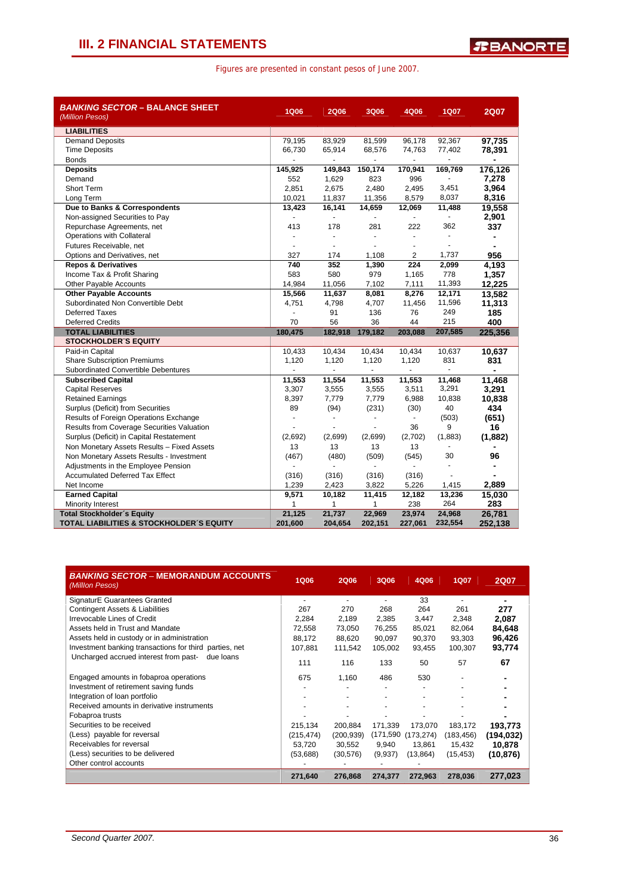| <b>BANKING SECTOR - BALANCE SHEET</b><br>(Million Pesos)                    | <b>1Q06</b>    | <b>2Q06</b>              | <b>3Q06</b>     | 4Q06                     | <b>1Q07</b>              | <b>2Q07</b>     |
|-----------------------------------------------------------------------------|----------------|--------------------------|-----------------|--------------------------|--------------------------|-----------------|
| <b>LIABILITIES</b>                                                          |                |                          |                 |                          |                          |                 |
| <b>Demand Deposits</b>                                                      | 79,195         | 83,929                   | 81,599          | 96,178                   | 92,367                   | 97,735          |
| <b>Time Deposits</b>                                                        | 66,730         | 65,914                   | 68,576          | 74,763                   | 77,402                   | 78,391          |
| <b>Bonds</b>                                                                | $\blacksquare$ | $\blacksquare$           | $\blacksquare$  | $\overline{\phantom{a}}$ | ÷,                       | $\blacksquare$  |
| <b>Deposits</b>                                                             | 145,925        | 149,843                  | 150,174         | 170,941                  | 169,769                  | 176,126         |
| Demand                                                                      | 552            | 1,629                    | 823             | 996                      |                          | 7,278           |
| <b>Short Term</b>                                                           | 2,851          | 2,675                    | 2,480           | 2,495                    | 3,451                    | 3,964           |
| Long Term                                                                   | 10,021         | 11,837                   | 11,356          | 8,579                    | 8,037                    | 8,316           |
| Due to Banks & Correspondents                                               | 13,423         | 16,141                   | 14,659          | 12,069                   | 11,488                   | 19,558          |
| Non-assigned Securities to Pay                                              | $\blacksquare$ | ä,                       | $\blacksquare$  | $\sim$                   | $\blacksquare$           | 2,901           |
| Repurchase Agreements, net                                                  | 413            | 178                      | 281             | 222                      | 362                      | 337             |
| Operations with Collateral                                                  |                | ٠                        | $\blacksquare$  | $\overline{\phantom{a}}$ | $\overline{\phantom{a}}$ |                 |
| Futures Receivable, net                                                     | ÷              | $\blacksquare$           | L.              | ÷                        | ä,                       |                 |
| Options and Derivatives, net                                                | 327            | 174                      | 1,108           | 2                        | 1,737                    | 956             |
| <b>Repos &amp; Derivatives</b>                                              | 740            | 352                      | 1,390           | 224                      | 2,099                    | 4,193           |
| Income Tax & Profit Sharing                                                 | 583            | 580                      | 979             | 1,165                    | 778                      | 1,357           |
| <b>Other Payable Accounts</b>                                               | 14,984         | 11,056                   | 7,102           | 7,111                    | 11,393                   | 12,225          |
| <b>Other Payable Accounts</b>                                               | 15,566         | 11,637                   | 8,081           | 8,276                    | 12,171                   | 13,582          |
| Subordinated Non Convertible Debt                                           | 4,751          | 4,798                    | 4,707           | 11,456                   | 11,596                   | 11,313          |
| <b>Deferred Taxes</b>                                                       |                | 91                       | 136             | 76                       | 249                      | 185             |
| <b>Deferred Credits</b>                                                     | 70             | 56                       | 36              | 44                       | 215                      | 400             |
| <b>TOTAL LIABILITIES</b>                                                    | 180,475        | 182,918                  | 179,182         | 203,088                  | 207,585                  | 225.356         |
| <b>STOCKHOLDER S EQUITY</b>                                                 |                |                          |                 |                          |                          |                 |
| Paid-in Capital                                                             | 10,433         | 10,434                   | 10,434<br>1,120 | 10,434                   | 10,637<br>831            | 10,637          |
| <b>Share Subscription Premiums</b><br>Subordinated Convertible Debentures   | 1,120          | 1,120                    | ÷.              | 1,120                    | $\blacksquare$           | 831             |
| <b>Subscribed Capital</b>                                                   | 11,553         |                          |                 |                          | 11,468                   |                 |
| <b>Capital Reserves</b>                                                     | 3,307          | 11,554<br>3,555          | 11,553<br>3,555 | 11,553<br>3,511          | 3,291                    | 11,468<br>3,291 |
| <b>Retained Earnings</b>                                                    | 8,397          | 7,779                    | 7,779           | 6,988                    | 10,838                   |                 |
|                                                                             |                | (94)                     | (231)           |                          | 40                       | 10,838<br>434   |
| Surplus (Deficit) from Securities<br>Results of Foreign Operations Exchange | 89             |                          |                 | (30)<br>$\blacksquare$   | (503)                    | (651)           |
| Results from Coverage Securities Valuation                                  | ÷              | $\overline{\phantom{a}}$ | $\overline{a}$  |                          | 9                        | 16              |
| Surplus (Deficit) in Capital Restatement                                    |                |                          |                 |                          |                          |                 |
|                                                                             |                |                          |                 | 36                       |                          |                 |
|                                                                             | (2,692)        | (2,699)                  | (2,699)         | (2,702)                  | (1,883)                  | (1,882)         |
| Non Monetary Assets Results - Fixed Assets                                  | 13             | 13                       | 13              | 13                       | $\blacksquare$           |                 |
| Non Monetary Assets Results - Investment                                    | (467)          | (480)                    | (509)           | (545)                    | 30<br>÷.                 | 96              |
| Adjustments in the Employee Pension                                         | ä,             | ÷.                       | $\blacksquare$  | $\blacksquare$           |                          | $\blacksquare$  |
| <b>Accumulated Deferred Tax Effect</b>                                      | (316)          | (316)                    | (316)           | (316)                    |                          |                 |
| Net Income                                                                  | 1,239          | 2,423                    | 3,822           | 5,226                    | 1,415                    | 2,889           |
| <b>Earned Capital</b>                                                       | 9,571<br>1     | 10,182<br>$\mathbf{1}$   | 11,415<br>1     | 12,182                   | 13,236<br>264            | 15,030          |
| Minority Interest<br><b>Total Stockholder's Equity</b>                      | 21,125         | 21,737                   | 22,969          | 238<br>23,974            | 24,968                   | 283<br>26,781   |

| <b>BANKING SECTOR - MEMORANDUM ACCOUNTS</b><br>(Million Pesos) | <b>1Q06</b> | <b>2Q06</b> | 3Q06     | 4Q06       | <b>1Q07</b> | <b>2Q07</b> |
|----------------------------------------------------------------|-------------|-------------|----------|------------|-------------|-------------|
| <b>SignaturE Guarantees Granted</b>                            |             |             |          | 33         |             | -           |
| <b>Contingent Assets &amp; Liabilities</b>                     | 267         | 270         | 268      | 264        | 261         | 277         |
| Irrevocable Lines of Credit                                    | 2,284       | 2,189       | 2,385    | 3,447      | 2,348       | 2.087       |
| Assets held in Trust and Mandate                               | 72,558      | 73,050      | 76,255   | 85,021     | 82,064      | 84,648      |
| Assets held in custody or in administration                    | 88.172      | 88.620      | 90.097   | 90,370     | 93,303      | 96,426      |
| Investment banking transactions for third parties, net         | 107.881     | 111.542     | 105.002  | 93.455     | 100,307     | 93,774      |
| Uncharged accrued interest from past-<br>due loans             | 111         | 116         | 133      | 50         | 57          | 67          |
| Engaged amounts in fobaproa operations                         | 675         | 1,160       | 486      | 530        |             |             |
| Investment of retirement saving funds                          |             |             |          |            |             |             |
| Integration of loan portfolio                                  |             |             |          |            |             |             |
| Received amounts in derivative instruments                     |             |             |          |            |             |             |
| Fobaproa trusts                                                |             |             |          |            |             |             |
| Securities to be received                                      | 215,134     | 200,884     | 171.339  | 173,070    | 183,172     | 193,773     |
| (Less) payable for reversal                                    | (215, 474)  | (200, 939)  | (171,590 | (173, 274) | (183,456)   | (194, 032)  |
| Receivables for reversal                                       | 53,720      | 30,552      | 9,940    | 13,861     | 15,432      | 10,878      |
| (Less) securities to be delivered                              | (53,688)    | (30,576)    | (9,937)  | (13, 864)  | (15, 453)   | (10, 876)   |
| Other control accounts                                         |             |             |          |            |             |             |
|                                                                | 271,640     | 276,868     | 274,377  | 272,963    | 278,036     | 277.023     |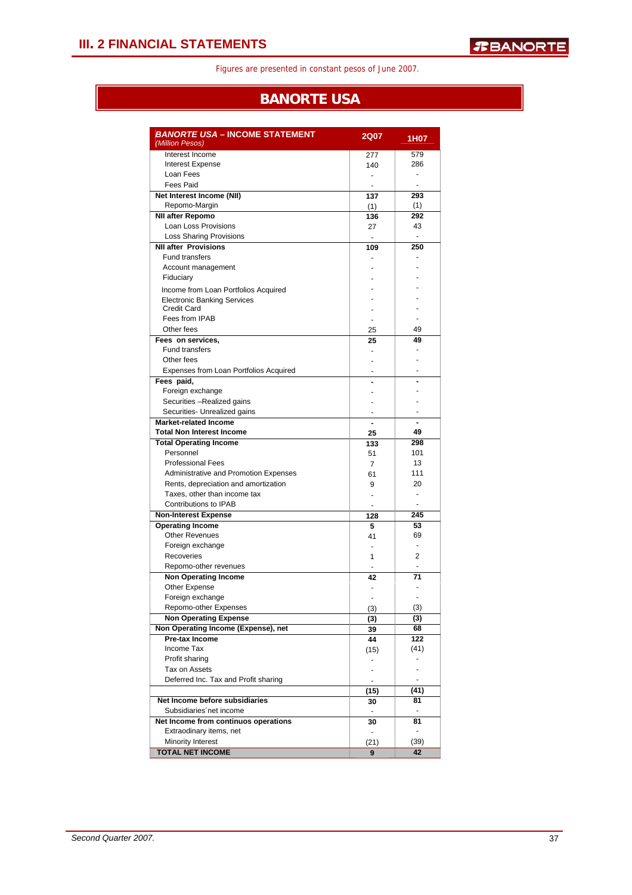### **BANORTE USA**

| Interest Income<br>579<br>277<br>Interest Expense<br>286<br>140<br>Loan Fees<br>$\blacksquare$<br>$\overline{a}$<br><b>Fees Paid</b><br>٠<br>$\overline{\phantom{a}}$<br>Net Interest Income (NII)<br>293<br>137<br>Repomo-Margin<br>(1)<br>(1)<br><b>NII after Repomo</b><br>292<br>136<br>Loan Loss Provisions<br>43<br>27<br><b>Loss Sharing Provisions</b><br>$\blacksquare$<br>$\blacksquare$<br><b>NII after Provisions</b><br>250<br>109<br><b>Fund transfers</b><br>÷.<br>Account management<br>Fiduciary<br>Income from Loan Portfolios Acquired<br><b>Electronic Banking Services</b><br><b>Credit Card</b><br>Fees from IPAB<br>٠<br>Other fees<br>49<br>25<br>Fees on services,<br>49<br>25<br><b>Fund transfers</b><br>Other fees<br>Expenses from Loan Portfolios Acquired<br>$\blacksquare$<br>Fees paid,<br>Foreign exchange<br>Securities -Realized gains<br>Securities- Unrealized gains<br>$\blacksquare$<br>Market-related Income<br>٠<br><b>Total Non Interest Income</b><br>49<br>25<br><b>Total Operating Income</b><br>298<br>133<br>Personnel<br>101<br>51<br><b>Professional Fees</b><br>13<br>7<br>Administrative and Promotion Expenses<br>111<br>61<br>Rents, depreciation and amortization<br>20<br>9<br>Taxes, other than income tax<br>Contributions to IPAB<br>$\overline{a}$<br><b>Non-Interest Expense</b><br>245<br>128<br><b>Operating Income</b><br>53<br>5<br><b>Other Revenues</b><br>69<br>41<br>Foreign exchange<br>٠<br>Recoveries<br>2<br>1<br>Repomo-other revenues<br><b>Non Operating Income</b><br>71<br>42<br>Other Expense<br>٠<br>Foreign exchange<br>Ĭ.<br>Repomo-other Expenses<br>(3)<br>(3)<br><b>Non Operating Expense</b><br>(3)<br>(3)<br>Non Operating Income (Expense), net<br>68<br>39<br>Pre-tax Income<br>122<br>44<br>Income Tax<br>(41)<br>(15)<br>Profit sharing<br>۰<br>Tax on Assets<br>٠<br>Deferred Inc. Tax and Profit sharing<br>-<br>(41)<br>(15)<br>Net Income before subsidiaries<br>81<br>30<br>Subsidiaries net income<br>Net Income from continuos operations<br>81<br>30<br>Extraodinary items, net<br>$\overline{\phantom{a}}$<br>۰<br>Minority Interest<br>(39)<br>(21) | <b>BANORTE USA - INCOME STATEMENT</b><br>(Million Pesos) | <b>2Q07</b> | 1H07 |
|----------------------------------------------------------------------------------------------------------------------------------------------------------------------------------------------------------------------------------------------------------------------------------------------------------------------------------------------------------------------------------------------------------------------------------------------------------------------------------------------------------------------------------------------------------------------------------------------------------------------------------------------------------------------------------------------------------------------------------------------------------------------------------------------------------------------------------------------------------------------------------------------------------------------------------------------------------------------------------------------------------------------------------------------------------------------------------------------------------------------------------------------------------------------------------------------------------------------------------------------------------------------------------------------------------------------------------------------------------------------------------------------------------------------------------------------------------------------------------------------------------------------------------------------------------------------------------------------------------------------------------------------------------------------------------------------------------------------------------------------------------------------------------------------------------------------------------------------------------------------------------------------------------------------------------------------------------------------------------------------------------------------------------------------------------------------------------------------------------------------------------------------------------|----------------------------------------------------------|-------------|------|
|                                                                                                                                                                                                                                                                                                                                                                                                                                                                                                                                                                                                                                                                                                                                                                                                                                                                                                                                                                                                                                                                                                                                                                                                                                                                                                                                                                                                                                                                                                                                                                                                                                                                                                                                                                                                                                                                                                                                                                                                                                                                                                                                                          |                                                          |             |      |
|                                                                                                                                                                                                                                                                                                                                                                                                                                                                                                                                                                                                                                                                                                                                                                                                                                                                                                                                                                                                                                                                                                                                                                                                                                                                                                                                                                                                                                                                                                                                                                                                                                                                                                                                                                                                                                                                                                                                                                                                                                                                                                                                                          |                                                          |             |      |
|                                                                                                                                                                                                                                                                                                                                                                                                                                                                                                                                                                                                                                                                                                                                                                                                                                                                                                                                                                                                                                                                                                                                                                                                                                                                                                                                                                                                                                                                                                                                                                                                                                                                                                                                                                                                                                                                                                                                                                                                                                                                                                                                                          |                                                          |             |      |
|                                                                                                                                                                                                                                                                                                                                                                                                                                                                                                                                                                                                                                                                                                                                                                                                                                                                                                                                                                                                                                                                                                                                                                                                                                                                                                                                                                                                                                                                                                                                                                                                                                                                                                                                                                                                                                                                                                                                                                                                                                                                                                                                                          |                                                          |             |      |
|                                                                                                                                                                                                                                                                                                                                                                                                                                                                                                                                                                                                                                                                                                                                                                                                                                                                                                                                                                                                                                                                                                                                                                                                                                                                                                                                                                                                                                                                                                                                                                                                                                                                                                                                                                                                                                                                                                                                                                                                                                                                                                                                                          |                                                          |             |      |
|                                                                                                                                                                                                                                                                                                                                                                                                                                                                                                                                                                                                                                                                                                                                                                                                                                                                                                                                                                                                                                                                                                                                                                                                                                                                                                                                                                                                                                                                                                                                                                                                                                                                                                                                                                                                                                                                                                                                                                                                                                                                                                                                                          |                                                          |             |      |
|                                                                                                                                                                                                                                                                                                                                                                                                                                                                                                                                                                                                                                                                                                                                                                                                                                                                                                                                                                                                                                                                                                                                                                                                                                                                                                                                                                                                                                                                                                                                                                                                                                                                                                                                                                                                                                                                                                                                                                                                                                                                                                                                                          |                                                          |             |      |
|                                                                                                                                                                                                                                                                                                                                                                                                                                                                                                                                                                                                                                                                                                                                                                                                                                                                                                                                                                                                                                                                                                                                                                                                                                                                                                                                                                                                                                                                                                                                                                                                                                                                                                                                                                                                                                                                                                                                                                                                                                                                                                                                                          |                                                          |             |      |
|                                                                                                                                                                                                                                                                                                                                                                                                                                                                                                                                                                                                                                                                                                                                                                                                                                                                                                                                                                                                                                                                                                                                                                                                                                                                                                                                                                                                                                                                                                                                                                                                                                                                                                                                                                                                                                                                                                                                                                                                                                                                                                                                                          |                                                          |             |      |
|                                                                                                                                                                                                                                                                                                                                                                                                                                                                                                                                                                                                                                                                                                                                                                                                                                                                                                                                                                                                                                                                                                                                                                                                                                                                                                                                                                                                                                                                                                                                                                                                                                                                                                                                                                                                                                                                                                                                                                                                                                                                                                                                                          |                                                          |             |      |
|                                                                                                                                                                                                                                                                                                                                                                                                                                                                                                                                                                                                                                                                                                                                                                                                                                                                                                                                                                                                                                                                                                                                                                                                                                                                                                                                                                                                                                                                                                                                                                                                                                                                                                                                                                                                                                                                                                                                                                                                                                                                                                                                                          |                                                          |             |      |
|                                                                                                                                                                                                                                                                                                                                                                                                                                                                                                                                                                                                                                                                                                                                                                                                                                                                                                                                                                                                                                                                                                                                                                                                                                                                                                                                                                                                                                                                                                                                                                                                                                                                                                                                                                                                                                                                                                                                                                                                                                                                                                                                                          |                                                          |             |      |
|                                                                                                                                                                                                                                                                                                                                                                                                                                                                                                                                                                                                                                                                                                                                                                                                                                                                                                                                                                                                                                                                                                                                                                                                                                                                                                                                                                                                                                                                                                                                                                                                                                                                                                                                                                                                                                                                                                                                                                                                                                                                                                                                                          |                                                          |             |      |
|                                                                                                                                                                                                                                                                                                                                                                                                                                                                                                                                                                                                                                                                                                                                                                                                                                                                                                                                                                                                                                                                                                                                                                                                                                                                                                                                                                                                                                                                                                                                                                                                                                                                                                                                                                                                                                                                                                                                                                                                                                                                                                                                                          |                                                          |             |      |
|                                                                                                                                                                                                                                                                                                                                                                                                                                                                                                                                                                                                                                                                                                                                                                                                                                                                                                                                                                                                                                                                                                                                                                                                                                                                                                                                                                                                                                                                                                                                                                                                                                                                                                                                                                                                                                                                                                                                                                                                                                                                                                                                                          |                                                          |             |      |
|                                                                                                                                                                                                                                                                                                                                                                                                                                                                                                                                                                                                                                                                                                                                                                                                                                                                                                                                                                                                                                                                                                                                                                                                                                                                                                                                                                                                                                                                                                                                                                                                                                                                                                                                                                                                                                                                                                                                                                                                                                                                                                                                                          |                                                          |             |      |
|                                                                                                                                                                                                                                                                                                                                                                                                                                                                                                                                                                                                                                                                                                                                                                                                                                                                                                                                                                                                                                                                                                                                                                                                                                                                                                                                                                                                                                                                                                                                                                                                                                                                                                                                                                                                                                                                                                                                                                                                                                                                                                                                                          |                                                          |             |      |
|                                                                                                                                                                                                                                                                                                                                                                                                                                                                                                                                                                                                                                                                                                                                                                                                                                                                                                                                                                                                                                                                                                                                                                                                                                                                                                                                                                                                                                                                                                                                                                                                                                                                                                                                                                                                                                                                                                                                                                                                                                                                                                                                                          |                                                          |             |      |
|                                                                                                                                                                                                                                                                                                                                                                                                                                                                                                                                                                                                                                                                                                                                                                                                                                                                                                                                                                                                                                                                                                                                                                                                                                                                                                                                                                                                                                                                                                                                                                                                                                                                                                                                                                                                                                                                                                                                                                                                                                                                                                                                                          |                                                          |             |      |
|                                                                                                                                                                                                                                                                                                                                                                                                                                                                                                                                                                                                                                                                                                                                                                                                                                                                                                                                                                                                                                                                                                                                                                                                                                                                                                                                                                                                                                                                                                                                                                                                                                                                                                                                                                                                                                                                                                                                                                                                                                                                                                                                                          |                                                          |             |      |
|                                                                                                                                                                                                                                                                                                                                                                                                                                                                                                                                                                                                                                                                                                                                                                                                                                                                                                                                                                                                                                                                                                                                                                                                                                                                                                                                                                                                                                                                                                                                                                                                                                                                                                                                                                                                                                                                                                                                                                                                                                                                                                                                                          |                                                          |             |      |
|                                                                                                                                                                                                                                                                                                                                                                                                                                                                                                                                                                                                                                                                                                                                                                                                                                                                                                                                                                                                                                                                                                                                                                                                                                                                                                                                                                                                                                                                                                                                                                                                                                                                                                                                                                                                                                                                                                                                                                                                                                                                                                                                                          |                                                          |             |      |
|                                                                                                                                                                                                                                                                                                                                                                                                                                                                                                                                                                                                                                                                                                                                                                                                                                                                                                                                                                                                                                                                                                                                                                                                                                                                                                                                                                                                                                                                                                                                                                                                                                                                                                                                                                                                                                                                                                                                                                                                                                                                                                                                                          |                                                          |             |      |
|                                                                                                                                                                                                                                                                                                                                                                                                                                                                                                                                                                                                                                                                                                                                                                                                                                                                                                                                                                                                                                                                                                                                                                                                                                                                                                                                                                                                                                                                                                                                                                                                                                                                                                                                                                                                                                                                                                                                                                                                                                                                                                                                                          |                                                          |             |      |
|                                                                                                                                                                                                                                                                                                                                                                                                                                                                                                                                                                                                                                                                                                                                                                                                                                                                                                                                                                                                                                                                                                                                                                                                                                                                                                                                                                                                                                                                                                                                                                                                                                                                                                                                                                                                                                                                                                                                                                                                                                                                                                                                                          |                                                          |             |      |
|                                                                                                                                                                                                                                                                                                                                                                                                                                                                                                                                                                                                                                                                                                                                                                                                                                                                                                                                                                                                                                                                                                                                                                                                                                                                                                                                                                                                                                                                                                                                                                                                                                                                                                                                                                                                                                                                                                                                                                                                                                                                                                                                                          |                                                          |             |      |
|                                                                                                                                                                                                                                                                                                                                                                                                                                                                                                                                                                                                                                                                                                                                                                                                                                                                                                                                                                                                                                                                                                                                                                                                                                                                                                                                                                                                                                                                                                                                                                                                                                                                                                                                                                                                                                                                                                                                                                                                                                                                                                                                                          |                                                          |             |      |
|                                                                                                                                                                                                                                                                                                                                                                                                                                                                                                                                                                                                                                                                                                                                                                                                                                                                                                                                                                                                                                                                                                                                                                                                                                                                                                                                                                                                                                                                                                                                                                                                                                                                                                                                                                                                                                                                                                                                                                                                                                                                                                                                                          |                                                          |             |      |
|                                                                                                                                                                                                                                                                                                                                                                                                                                                                                                                                                                                                                                                                                                                                                                                                                                                                                                                                                                                                                                                                                                                                                                                                                                                                                                                                                                                                                                                                                                                                                                                                                                                                                                                                                                                                                                                                                                                                                                                                                                                                                                                                                          |                                                          |             |      |
|                                                                                                                                                                                                                                                                                                                                                                                                                                                                                                                                                                                                                                                                                                                                                                                                                                                                                                                                                                                                                                                                                                                                                                                                                                                                                                                                                                                                                                                                                                                                                                                                                                                                                                                                                                                                                                                                                                                                                                                                                                                                                                                                                          |                                                          |             |      |
|                                                                                                                                                                                                                                                                                                                                                                                                                                                                                                                                                                                                                                                                                                                                                                                                                                                                                                                                                                                                                                                                                                                                                                                                                                                                                                                                                                                                                                                                                                                                                                                                                                                                                                                                                                                                                                                                                                                                                                                                                                                                                                                                                          |                                                          |             |      |
|                                                                                                                                                                                                                                                                                                                                                                                                                                                                                                                                                                                                                                                                                                                                                                                                                                                                                                                                                                                                                                                                                                                                                                                                                                                                                                                                                                                                                                                                                                                                                                                                                                                                                                                                                                                                                                                                                                                                                                                                                                                                                                                                                          |                                                          |             |      |
|                                                                                                                                                                                                                                                                                                                                                                                                                                                                                                                                                                                                                                                                                                                                                                                                                                                                                                                                                                                                                                                                                                                                                                                                                                                                                                                                                                                                                                                                                                                                                                                                                                                                                                                                                                                                                                                                                                                                                                                                                                                                                                                                                          |                                                          |             |      |
|                                                                                                                                                                                                                                                                                                                                                                                                                                                                                                                                                                                                                                                                                                                                                                                                                                                                                                                                                                                                                                                                                                                                                                                                                                                                                                                                                                                                                                                                                                                                                                                                                                                                                                                                                                                                                                                                                                                                                                                                                                                                                                                                                          |                                                          |             |      |
|                                                                                                                                                                                                                                                                                                                                                                                                                                                                                                                                                                                                                                                                                                                                                                                                                                                                                                                                                                                                                                                                                                                                                                                                                                                                                                                                                                                                                                                                                                                                                                                                                                                                                                                                                                                                                                                                                                                                                                                                                                                                                                                                                          |                                                          |             |      |
|                                                                                                                                                                                                                                                                                                                                                                                                                                                                                                                                                                                                                                                                                                                                                                                                                                                                                                                                                                                                                                                                                                                                                                                                                                                                                                                                                                                                                                                                                                                                                                                                                                                                                                                                                                                                                                                                                                                                                                                                                                                                                                                                                          |                                                          |             |      |
|                                                                                                                                                                                                                                                                                                                                                                                                                                                                                                                                                                                                                                                                                                                                                                                                                                                                                                                                                                                                                                                                                                                                                                                                                                                                                                                                                                                                                                                                                                                                                                                                                                                                                                                                                                                                                                                                                                                                                                                                                                                                                                                                                          |                                                          |             |      |
|                                                                                                                                                                                                                                                                                                                                                                                                                                                                                                                                                                                                                                                                                                                                                                                                                                                                                                                                                                                                                                                                                                                                                                                                                                                                                                                                                                                                                                                                                                                                                                                                                                                                                                                                                                                                                                                                                                                                                                                                                                                                                                                                                          |                                                          |             |      |
|                                                                                                                                                                                                                                                                                                                                                                                                                                                                                                                                                                                                                                                                                                                                                                                                                                                                                                                                                                                                                                                                                                                                                                                                                                                                                                                                                                                                                                                                                                                                                                                                                                                                                                                                                                                                                                                                                                                                                                                                                                                                                                                                                          |                                                          |             |      |
|                                                                                                                                                                                                                                                                                                                                                                                                                                                                                                                                                                                                                                                                                                                                                                                                                                                                                                                                                                                                                                                                                                                                                                                                                                                                                                                                                                                                                                                                                                                                                                                                                                                                                                                                                                                                                                                                                                                                                                                                                                                                                                                                                          |                                                          |             |      |
|                                                                                                                                                                                                                                                                                                                                                                                                                                                                                                                                                                                                                                                                                                                                                                                                                                                                                                                                                                                                                                                                                                                                                                                                                                                                                                                                                                                                                                                                                                                                                                                                                                                                                                                                                                                                                                                                                                                                                                                                                                                                                                                                                          |                                                          |             |      |
|                                                                                                                                                                                                                                                                                                                                                                                                                                                                                                                                                                                                                                                                                                                                                                                                                                                                                                                                                                                                                                                                                                                                                                                                                                                                                                                                                                                                                                                                                                                                                                                                                                                                                                                                                                                                                                                                                                                                                                                                                                                                                                                                                          |                                                          |             |      |
|                                                                                                                                                                                                                                                                                                                                                                                                                                                                                                                                                                                                                                                                                                                                                                                                                                                                                                                                                                                                                                                                                                                                                                                                                                                                                                                                                                                                                                                                                                                                                                                                                                                                                                                                                                                                                                                                                                                                                                                                                                                                                                                                                          |                                                          |             |      |
|                                                                                                                                                                                                                                                                                                                                                                                                                                                                                                                                                                                                                                                                                                                                                                                                                                                                                                                                                                                                                                                                                                                                                                                                                                                                                                                                                                                                                                                                                                                                                                                                                                                                                                                                                                                                                                                                                                                                                                                                                                                                                                                                                          |                                                          |             |      |
|                                                                                                                                                                                                                                                                                                                                                                                                                                                                                                                                                                                                                                                                                                                                                                                                                                                                                                                                                                                                                                                                                                                                                                                                                                                                                                                                                                                                                                                                                                                                                                                                                                                                                                                                                                                                                                                                                                                                                                                                                                                                                                                                                          |                                                          |             |      |
|                                                                                                                                                                                                                                                                                                                                                                                                                                                                                                                                                                                                                                                                                                                                                                                                                                                                                                                                                                                                                                                                                                                                                                                                                                                                                                                                                                                                                                                                                                                                                                                                                                                                                                                                                                                                                                                                                                                                                                                                                                                                                                                                                          |                                                          |             |      |
|                                                                                                                                                                                                                                                                                                                                                                                                                                                                                                                                                                                                                                                                                                                                                                                                                                                                                                                                                                                                                                                                                                                                                                                                                                                                                                                                                                                                                                                                                                                                                                                                                                                                                                                                                                                                                                                                                                                                                                                                                                                                                                                                                          |                                                          |             |      |
|                                                                                                                                                                                                                                                                                                                                                                                                                                                                                                                                                                                                                                                                                                                                                                                                                                                                                                                                                                                                                                                                                                                                                                                                                                                                                                                                                                                                                                                                                                                                                                                                                                                                                                                                                                                                                                                                                                                                                                                                                                                                                                                                                          |                                                          |             |      |
|                                                                                                                                                                                                                                                                                                                                                                                                                                                                                                                                                                                                                                                                                                                                                                                                                                                                                                                                                                                                                                                                                                                                                                                                                                                                                                                                                                                                                                                                                                                                                                                                                                                                                                                                                                                                                                                                                                                                                                                                                                                                                                                                                          |                                                          |             |      |
|                                                                                                                                                                                                                                                                                                                                                                                                                                                                                                                                                                                                                                                                                                                                                                                                                                                                                                                                                                                                                                                                                                                                                                                                                                                                                                                                                                                                                                                                                                                                                                                                                                                                                                                                                                                                                                                                                                                                                                                                                                                                                                                                                          |                                                          |             |      |
|                                                                                                                                                                                                                                                                                                                                                                                                                                                                                                                                                                                                                                                                                                                                                                                                                                                                                                                                                                                                                                                                                                                                                                                                                                                                                                                                                                                                                                                                                                                                                                                                                                                                                                                                                                                                                                                                                                                                                                                                                                                                                                                                                          |                                                          |             |      |
|                                                                                                                                                                                                                                                                                                                                                                                                                                                                                                                                                                                                                                                                                                                                                                                                                                                                                                                                                                                                                                                                                                                                                                                                                                                                                                                                                                                                                                                                                                                                                                                                                                                                                                                                                                                                                                                                                                                                                                                                                                                                                                                                                          |                                                          |             |      |
|                                                                                                                                                                                                                                                                                                                                                                                                                                                                                                                                                                                                                                                                                                                                                                                                                                                                                                                                                                                                                                                                                                                                                                                                                                                                                                                                                                                                                                                                                                                                                                                                                                                                                                                                                                                                                                                                                                                                                                                                                                                                                                                                                          |                                                          |             |      |
|                                                                                                                                                                                                                                                                                                                                                                                                                                                                                                                                                                                                                                                                                                                                                                                                                                                                                                                                                                                                                                                                                                                                                                                                                                                                                                                                                                                                                                                                                                                                                                                                                                                                                                                                                                                                                                                                                                                                                                                                                                                                                                                                                          |                                                          |             |      |
|                                                                                                                                                                                                                                                                                                                                                                                                                                                                                                                                                                                                                                                                                                                                                                                                                                                                                                                                                                                                                                                                                                                                                                                                                                                                                                                                                                                                                                                                                                                                                                                                                                                                                                                                                                                                                                                                                                                                                                                                                                                                                                                                                          |                                                          |             |      |
|                                                                                                                                                                                                                                                                                                                                                                                                                                                                                                                                                                                                                                                                                                                                                                                                                                                                                                                                                                                                                                                                                                                                                                                                                                                                                                                                                                                                                                                                                                                                                                                                                                                                                                                                                                                                                                                                                                                                                                                                                                                                                                                                                          |                                                          |             |      |
|                                                                                                                                                                                                                                                                                                                                                                                                                                                                                                                                                                                                                                                                                                                                                                                                                                                                                                                                                                                                                                                                                                                                                                                                                                                                                                                                                                                                                                                                                                                                                                                                                                                                                                                                                                                                                                                                                                                                                                                                                                                                                                                                                          |                                                          |             |      |
|                                                                                                                                                                                                                                                                                                                                                                                                                                                                                                                                                                                                                                                                                                                                                                                                                                                                                                                                                                                                                                                                                                                                                                                                                                                                                                                                                                                                                                                                                                                                                                                                                                                                                                                                                                                                                                                                                                                                                                                                                                                                                                                                                          |                                                          |             |      |
|                                                                                                                                                                                                                                                                                                                                                                                                                                                                                                                                                                                                                                                                                                                                                                                                                                                                                                                                                                                                                                                                                                                                                                                                                                                                                                                                                                                                                                                                                                                                                                                                                                                                                                                                                                                                                                                                                                                                                                                                                                                                                                                                                          |                                                          |             |      |
|                                                                                                                                                                                                                                                                                                                                                                                                                                                                                                                                                                                                                                                                                                                                                                                                                                                                                                                                                                                                                                                                                                                                                                                                                                                                                                                                                                                                                                                                                                                                                                                                                                                                                                                                                                                                                                                                                                                                                                                                                                                                                                                                                          | <b>TOTAL NET INCOME</b>                                  | 9           | 42   |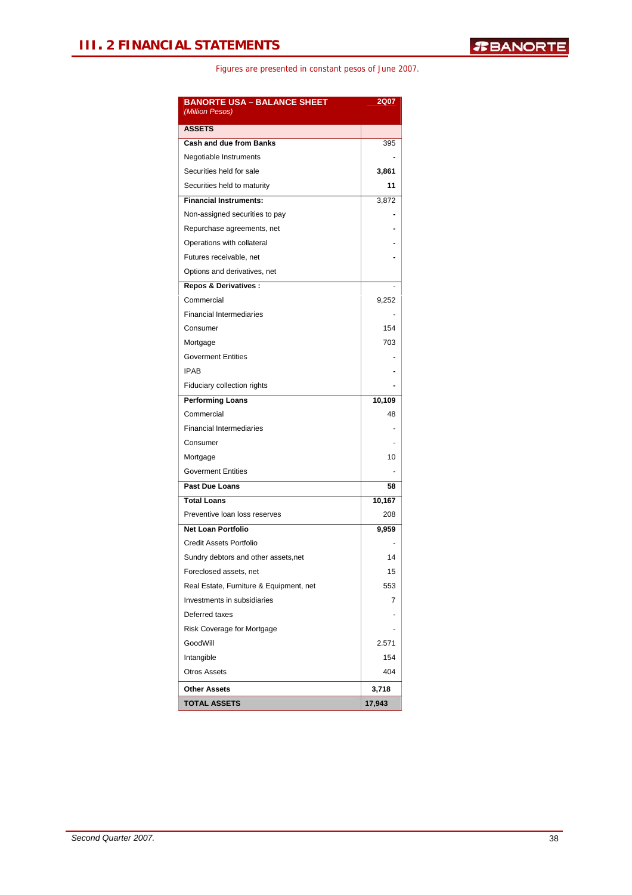| <b>BANORTE USA - BALANCE SHEET</b><br>(Million Pesos) | 2Q07   |
|-------------------------------------------------------|--------|
| <b>ASSETS</b>                                         |        |
| <b>Cash and due from Banks</b>                        | 395    |
| Negotiable Instruments                                |        |
| Securities held for sale                              | 3,861  |
| Securities held to maturity                           | 11     |
| <b>Financial Instruments:</b>                         | 3,872  |
| Non-assigned securities to pay                        |        |
| Repurchase agreements, net                            |        |
| Operations with collateral                            |        |
| Futures receivable, net                               |        |
| Options and derivatives, net                          |        |
| <b>Repos &amp; Derivatives:</b>                       |        |
| Commercial                                            | 9,252  |
| <b>Financial Intermediaries</b>                       |        |
| Consumer                                              | 154    |
| Mortgage                                              | 703    |
| <b>Goverment Entities</b>                             |        |
| <b>IPAB</b>                                           |        |
| Fiduciary collection rights                           |        |
| <b>Performing Loans</b>                               | 10,109 |
| Commercial                                            | 48     |
| <b>Financial Intermediaries</b>                       |        |
| Consumer                                              |        |
| Mortgage                                              | 10     |
| <b>Goverment Entities</b>                             |        |
| Past Due Loans                                        | 58     |
| <b>Total Loans</b>                                    | 10,167 |
| Preventive loan loss reserves                         | 208    |
| <b>Net Loan Portfolio</b>                             | 9,959  |
| Credit Assets Portfolio                               |        |
| Sundry debtors and other assets, net                  | 14     |
| Foreclosed assets, net                                | 15     |
| Real Estate, Furniture & Equipment, net               | 553    |
| Investments in subsidiaries                           | 7      |
| Deferred taxes                                        |        |
| Risk Coverage for Mortgage                            |        |
| GoodWill                                              | 2.571  |
| Intangible                                            | 154    |
| <b>Otros Assets</b>                                   | 404    |
| <b>Other Assets</b>                                   | 3,718  |
| <b>TOTAL ASSETS</b>                                   | 17,943 |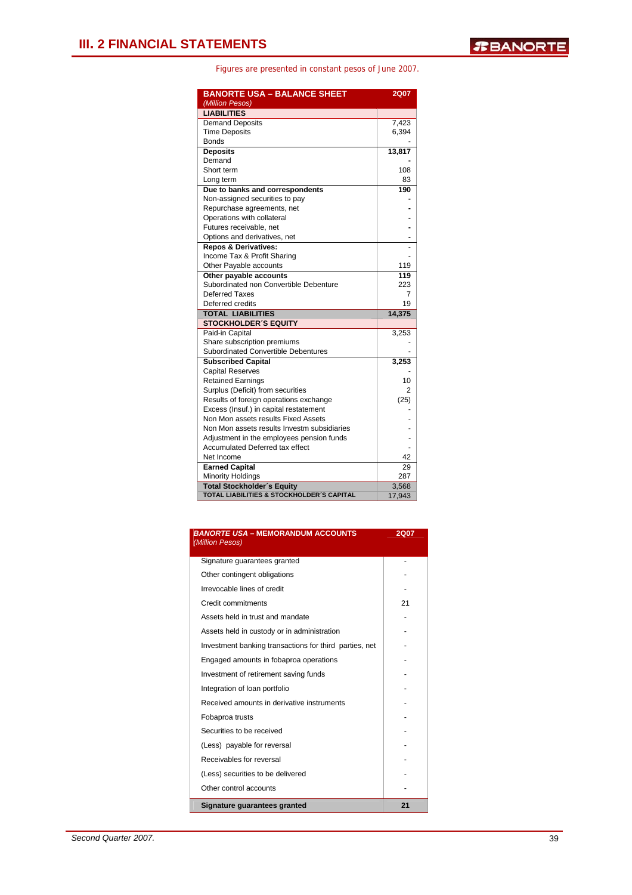| <b>BANORTE USA - BALANCE SHEET</b>          | <b>2Q07</b>     |
|---------------------------------------------|-----------------|
| (Million Pesos)                             |                 |
| <b>LIABILITIES</b>                          |                 |
| <b>Demand Deposits</b>                      | 7,423           |
| <b>Time Deposits</b>                        | 6,394           |
| <b>Bonds</b>                                |                 |
| <b>Deposits</b>                             | 13,817          |
| Demand                                      |                 |
| Short term                                  | 108             |
| Long term                                   | 83              |
| Due to banks and correspondents             | 190             |
| Non-assigned securities to pay              |                 |
| Repurchase agreements, net                  |                 |
| Operations with collateral                  |                 |
| Futures receivable, net                     |                 |
| Options and derivatives, net                |                 |
| <b>Repos &amp; Derivatives:</b>             |                 |
| Income Tax & Profit Sharing                 |                 |
| Other Payable accounts                      | 119             |
| Other payable accounts                      | 119             |
| Subordinated non Convertible Debenture      | 223             |
| Deferred Taxes                              | 7               |
| Deferred credits                            | 19              |
| <b>TOTAL LIABILITIES</b>                    | 14,375          |
| <b>STOCKHOLDER'S EQUITY</b>                 |                 |
| Paid-in Capital                             | 3,253           |
| Share subscription premiums                 |                 |
| Subordinated Convertible Debentures         |                 |
| <b>Subscribed Capital</b>                   | 3,253           |
| <b>Capital Reserves</b>                     |                 |
| <b>Retained Earnings</b>                    | 10              |
| Surplus (Deficit) from securities           | 2               |
| Results of foreign operations exchange      | (25)            |
| Excess (Insuf.) in capital restatement      |                 |
| Non Mon assets results Fixed Assets         |                 |
| Non Mon assets results Investm subsidiaries |                 |
| Adjustment in the employees pension funds   |                 |
| <b>Accumulated Deferred tax effect</b>      |                 |
| Net Income                                  | 42              |
| <b>Earned Capital</b>                       | 29              |
| <b>Minority Holdings</b>                    | 287             |
| <b>Total Stockholder's Equity</b>           |                 |
| TOTAL LIABILITIES & STOCKHOLDER'S CAPITAL   | 3,568<br>17,943 |

| <b>BANORTE USA - MEMORANDUM ACCOUNTS</b><br>(Million Pesos) | 2Q07 |
|-------------------------------------------------------------|------|
| Signature guarantees granted                                |      |
| Other contingent obligations                                |      |
| Irrevocable lines of credit                                 |      |
| Credit commitments                                          | 21   |
| Assets held in trust and mandate                            |      |
| Assets held in custody or in administration                 |      |
| Investment banking transactions for third parties, net      |      |
| Engaged amounts in fobaproa operations                      |      |
| Investment of retirement saving funds                       |      |
| Integration of loan portfolio                               |      |
| Received amounts in derivative instruments                  |      |
| Fobaproa trusts                                             |      |
| Securities to be received                                   |      |
| (Less) payable for reversal                                 |      |
| Receivables for reversal                                    |      |
| (Less) securities to be delivered                           |      |
| Other control accounts                                      |      |
| Signature quarantees granted                                | 21   |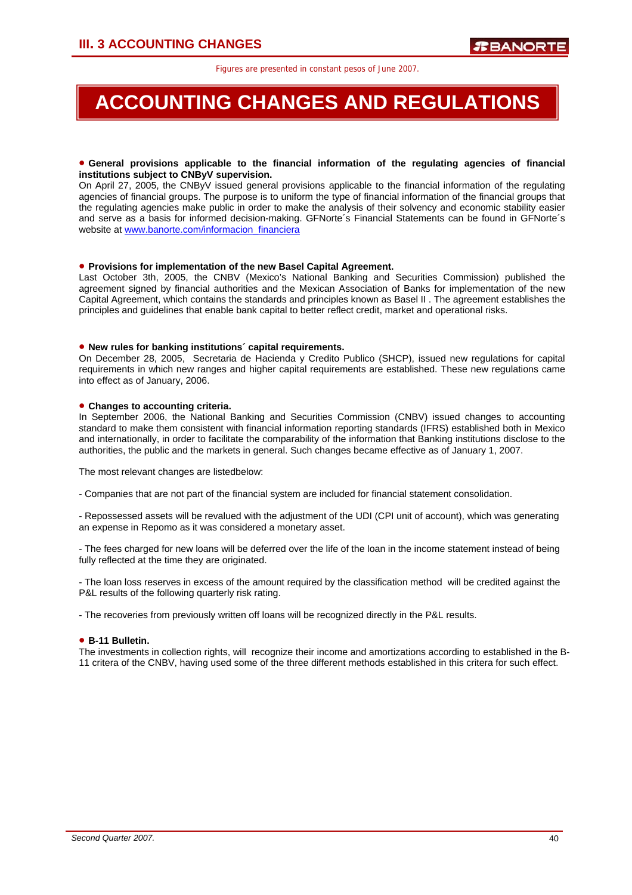# **ACCOUNTING CHANGES AND REGULATIONS**

### • **General provisions applicable to the financial information of the regulating agencies of financial institutions subject to CNByV supervision.**

On April 27, 2005, the CNByV issued general provisions applicable to the financial information of the regulating agencies of financial groups. The purpose is to uniform the type of financial information of the financial groups that the regulating agencies make public in order to make the analysis of their solvency and economic stability easier and serve as a basis for informed decision-making. GFNorte´s Financial Statements can be found in GFNorte´s website at www.banorte.com/informacion\_financiera

### • **Provisions for implementation of the new Basel Capital Agreement.**

Last October 3th, 2005, the CNBV (Mexico's National Banking and Securities Commission) published the agreement signed by financial authorities and the Mexican Association of Banks for implementation of the new Capital Agreement, which contains the standards and principles known as Basel II . The agreement establishes the principles and guidelines that enable bank capital to better reflect credit, market and operational risks.

#### • **New rules for banking institutions´ capital requirements.**

On December 28, 2005, Secretaria de Hacienda y Credito Publico (SHCP), issued new regulations for capital requirements in which new ranges and higher capital requirements are established. These new regulations came into effect as of January, 2006.

#### • **Changes to accounting criteria.**

In September 2006, the National Banking and Securities Commission (CNBV) issued changes to accounting standard to make them consistent with financial information reporting standards (IFRS) established both in Mexico and internationally, in order to facilitate the comparability of the information that Banking institutions disclose to the authorities, the public and the markets in general. Such changes became effective as of January 1, 2007.

The most relevant changes are listedbelow:

- Companies that are not part of the financial system are included for financial statement consolidation.

- Repossessed assets will be revalued with the adjustment of the UDI (CPI unit of account), which was generating an expense in Repomo as it was considered a monetary asset.

- The fees charged for new loans will be deferred over the life of the loan in the income statement instead of being fully reflected at the time they are originated.

- The loan loss reserves in excess of the amount required by the classification method will be credited against the P&L results of the following quarterly risk rating.

- The recoveries from previously written off loans will be recognized directly in the P&L results.

### • **B-11 Bulletin.**

The investments in collection rights, will recognize their income and amortizations according to established in the B-11 critera of the CNBV, having used some of the three different methods established in this critera for such effect.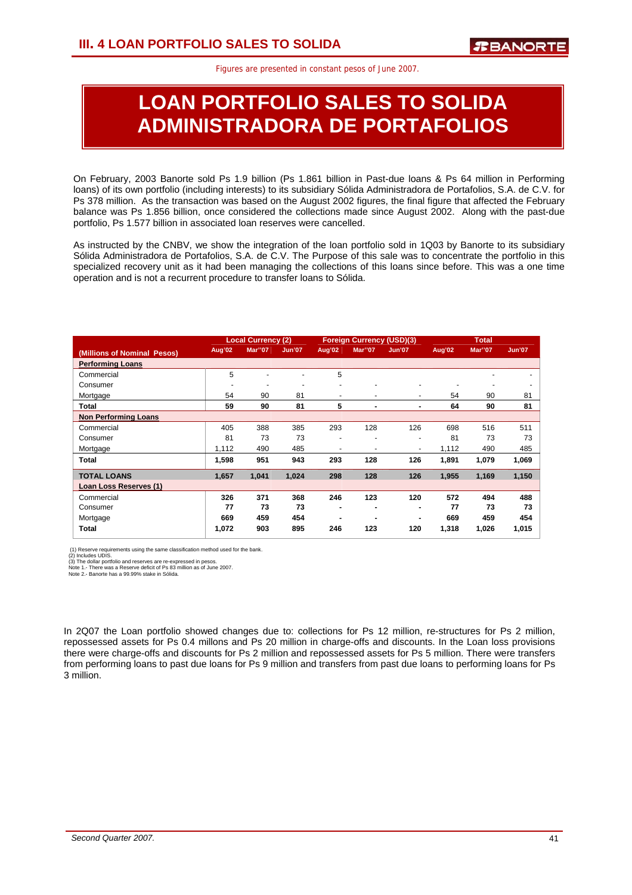# **LOAN PORTFOLIO SALES TO SOLIDA ADMINISTRADORA DE PORTAFOLIOS**

On February, 2003 Banorte sold Ps 1.9 billion (Ps 1.861 billion in Past-due loans & Ps 64 million in Performing loans) of its own portfolio (including interests) to its subsidiary Sólida Administradora de Portafolios, S.A. de C.V. for Ps 378 million. As the transaction was based on the August 2002 figures, the final figure that affected the February balance was Ps 1.856 billion, once considered the collections made since August 2002. Along with the past-due portfolio, Ps 1.577 billion in associated loan reserves were cancelled.

As instructed by the CNBV, we show the integration of the loan portfolio sold in 1Q03 by Banorte to its subsidiary Sólida Administradora de Portafolios, S.A. de C.V. The Purpose of this sale was to concentrate the portfolio in this specialized recovery unit as it had been managing the collections of this loans since before. This was a one time operation and is not a recurrent procedure to transfer loans to Sólida.

|                             |        | <b>Local Currency (2)</b> |                          |                          | <b>Foreign Currency (USD)(3)</b> |                          |        | <b>Total</b>   |               |
|-----------------------------|--------|---------------------------|--------------------------|--------------------------|----------------------------------|--------------------------|--------|----------------|---------------|
| (Millions of Nominal Pesos) | Aug'02 | <b>Mar</b> "07            | <b>Jun'07</b>            | Aug'02                   | <b>Mar</b> "07                   | Jun'07                   | Aug'02 | <b>Mar</b> "07 | <b>Jun'07</b> |
| <b>Performing Loans</b>     |        |                           |                          |                          |                                  |                          |        |                |               |
| Commercial                  | 5      |                           |                          | 5                        |                                  |                          |        |                |               |
| Consumer                    |        | ۰                         | $\overline{\phantom{a}}$ | $\overline{\phantom{a}}$ | $\overline{a}$                   | ٠                        |        |                |               |
| Mortgage                    | 54     | 90                        | 81                       |                          | ٠                                | ٠                        | 54     | 90             | 81            |
| Total                       | 59     | 90                        | 81                       | 5                        | ۰                                | ۰                        | 64     | 90             | 81            |
| <b>Non Performing Loans</b> |        |                           |                          |                          |                                  |                          |        |                |               |
| Commercial                  | 405    | 388                       | 385                      | 293                      | 128                              | 126                      | 698    | 516            | 511           |
| Consumer                    | 81     | 73                        | 73                       | $\overline{\phantom{0}}$ | $\overline{\phantom{a}}$         | $\overline{\phantom{a}}$ | 81     | 73             | 73            |
| Mortgage                    | 1,112  | 490                       | 485                      |                          | $\overline{\phantom{a}}$         | $\overline{\phantom{a}}$ | 1,112  | 490            | 485           |
| <b>Total</b>                | 1,598  | 951                       | 943                      | 293                      | 128                              | 126                      | 1,891  | 1,079          | 1,069         |
| <b>TOTAL LOANS</b>          | 1,657  | 1,041                     | 1,024                    | 298                      | 128                              | 126                      | 1,955  | 1,169          | 1,150         |
| Loan Loss Reserves (1)      |        |                           |                          |                          |                                  |                          |        |                |               |
| Commercial                  | 326    | 371                       | 368                      | 246                      | 123                              | 120                      | 572    | 494            | 488           |
| Consumer                    | 77     | 73                        | 73                       |                          |                                  | ۰                        | 77     | 73             | 73            |
| Mortgage                    | 669    | 459                       | 454                      |                          |                                  | ۰                        | 669    | 459            | 454           |
| <b>Total</b>                | 1,072  | 903                       | 895                      | 246                      | 123                              | 120                      | 1,318  | 1,026          | 1,015         |

(1) Reserve requirements using the same classification method used for the bank.<br>(2) Includes UDIS.<br>(3) The dollar portfolio and reserves are re-expressed in pesos.<br>Note 1. There was a Reserve deficit of Ps 83 million as o

In 2Q07 the Loan portfolio showed changes due to: collections for Ps 12 million, re-structures for Ps 2 million, repossessed assets for Ps 0.4 millons and Ps 20 million in charge-offs and discounts. In the Loan loss provisions there were charge-offs and discounts for Ps 2 million and repossessed assets for Ps 5 million. There were transfers from performing loans to past due loans for Ps 9 million and transfers from past due loans to performing loans for Ps 3 million.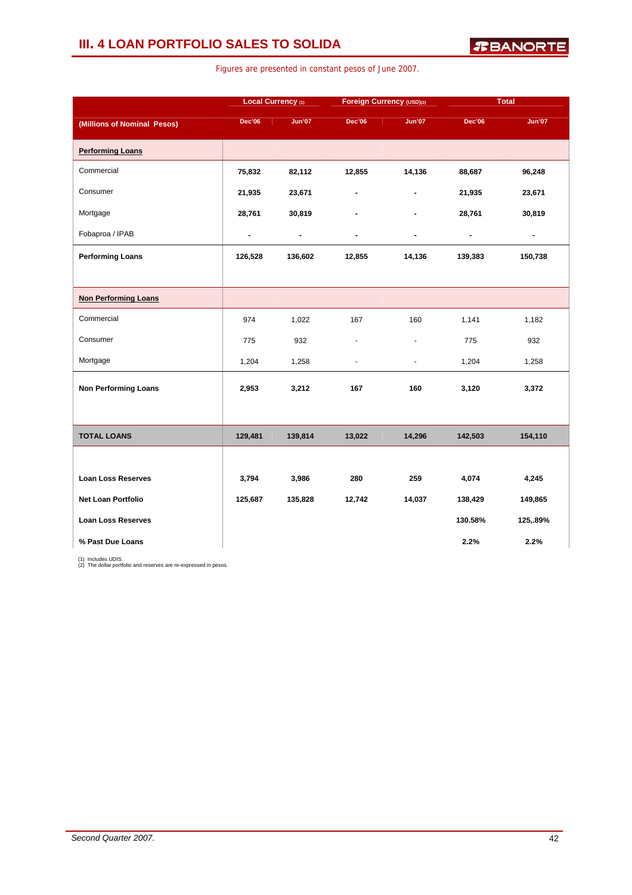### **III. 4 LOAN PORTFOLIO SALES TO SOLIDA**

*R***BANORTE** 

|                             |                | Local Currency (1) | Foreign Currency (USD)(2) |                |                | <b>Total</b>   |
|-----------------------------|----------------|--------------------|---------------------------|----------------|----------------|----------------|
| (Millions of Nominal Pesos) | Dec'06         | <b>Jun'07</b>      | <b>Dec'06</b>             | <b>Jun'07</b>  | <b>Dec'06</b>  | <b>Jun'07</b>  |
| <b>Performing Loans</b>     |                |                    |                           |                |                |                |
| Commercial                  | 75,832         | 82,112             | 12,855                    | 14,136         | 88,687         | 96,248         |
| Consumer                    | 21,935         | 23,671             | Ĭ.                        | $\overline{a}$ | 21,935         | 23,671         |
| Mortgage                    | 28,761         | 30,819             |                           | ä,             | 28,761         | 30,819         |
| Fobaproa / IPAB             | $\blacksquare$ | $\blacksquare$     | $\overline{\phantom{a}}$  | $\blacksquare$ | $\blacksquare$ | $\blacksquare$ |
| <b>Performing Loans</b>     | 126,528        | 136,602            | 12,855                    | 14,136         | 139,383        | 150,738        |
|                             |                |                    |                           |                |                |                |
| <b>Non Performing Loans</b> |                |                    |                           |                |                |                |
| Commercial                  | 974            | 1,022              | 167                       | 160            | 1,141          | 1,182          |
| Consumer                    | 775            | 932                | ä,                        | ۰              | 775            | 932            |
| Mortgage                    | 1,204          | 1,258              | $\overline{a}$            | $\blacksquare$ | 1,204          | 1,258          |
| <b>Non Performing Loans</b> | 2,953          | 3,212              | 167                       | 160            | 3,120          | 3,372          |
|                             |                |                    |                           |                |                |                |
| <b>TOTAL LOANS</b>          | 129,481        | 139,814            | 13,022                    | 14,296         | 142,503        | 154,110        |
|                             |                |                    |                           |                |                |                |
| <b>Loan Loss Reserves</b>   | 3,794          | 3,986              | 280                       | 259            | 4,074          | 4,245          |
| Net Loan Portfolio          | 125,687        | 135,828            | 12,742                    | 14,037         | 138,429        | 149,865        |
| <b>Loan Loss Reserves</b>   |                |                    |                           |                | 130.58%        | 125,.89%       |
| % Past Due Loans            |                |                    |                           |                | 2.2%           | 2.2%           |

Figures are presented in constant pesos of June 2007.

(1) Includes UDIS. (2) The dollar portfolio and reserves are re-expressed in pesos.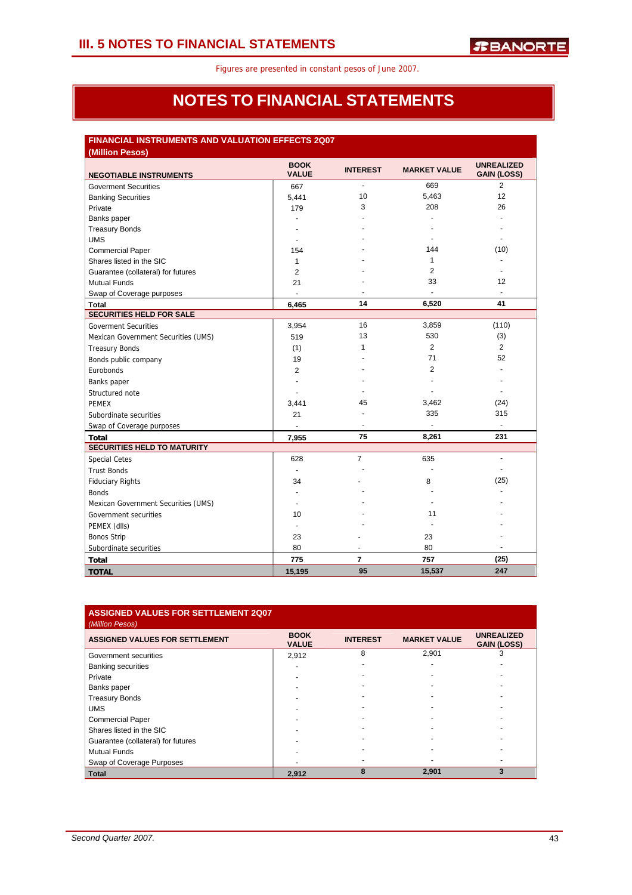### **NOTES TO FINANCIAL STATEMENTS**

### **FINANCIAL INSTRUMENTS AND VALUATION EFFECTS 2Q07**

| (Million Pesos)                     |                             |                          |                     |                                         |
|-------------------------------------|-----------------------------|--------------------------|---------------------|-----------------------------------------|
| <b>NEGOTIABLE INSTRUMENTS</b>       | <b>BOOK</b><br><b>VALUE</b> | <b>INTEREST</b>          | <b>MARKET VALUE</b> | <b>UNREALIZED</b><br><b>GAIN (LOSS)</b> |
| <b>Goverment Securities</b>         | 667                         | $\overline{a}$           | 669                 | $\overline{2}$                          |
| <b>Banking Securities</b>           | 5,441                       | 10                       | 5,463               | 12                                      |
| Private                             | 179                         | 3                        | 208                 | 26                                      |
| Banks paper                         | ٠                           |                          |                     |                                         |
| <b>Treasury Bonds</b>               |                             |                          |                     |                                         |
| <b>UMS</b>                          | $\overline{\phantom{a}}$    |                          |                     | ٠                                       |
| <b>Commercial Paper</b>             | 154                         |                          | 144                 | (10)                                    |
| Shares listed in the SIC            | 1                           |                          | 1                   |                                         |
| Guarantee (collateral) for futures  | $\overline{2}$              |                          | 2                   |                                         |
| <b>Mutual Funds</b>                 | 21                          |                          | 33                  | 12                                      |
| Swap of Coverage purposes           | $\blacksquare$              |                          |                     |                                         |
| <b>Total</b>                        | 6.465                       | 14                       | 6,520               | 41                                      |
| <b>SECURITIES HELD FOR SALE</b>     |                             |                          |                     |                                         |
| <b>Goverment Securities</b>         | 3,954                       | 16                       | 3,859               | (110)                                   |
| Mexican Government Securities (UMS) | 519                         | 13                       | 530                 | (3)                                     |
| <b>Treasury Bonds</b>               | (1)                         | 1                        | 2                   | $\overline{2}$                          |
| Bonds public company                | 19                          |                          | 71                  | 52                                      |
| Eurobonds                           | 2                           |                          | 2                   |                                         |
| Banks paper                         |                             |                          |                     |                                         |
| Structured note                     |                             |                          |                     | $\blacksquare$                          |
| <b>PEMEX</b>                        | 3,441                       | 45                       | 3,462               | (24)                                    |
| Subordinate securities              | 21                          |                          | 335                 | 315                                     |
| Swap of Coverage purposes           |                             | $\overline{\phantom{a}}$ | $\blacksquare$      | ٠                                       |
| <b>Total</b>                        | 7,955                       | 75                       | 8,261               | 231                                     |
| <b>SECURITIES HELD TO MATURITY</b>  |                             |                          |                     |                                         |
| <b>Special Cetes</b>                | 628                         | $\overline{7}$           | 635                 | $\overline{a}$                          |
| <b>Trust Bonds</b>                  | $\sim$                      |                          |                     |                                         |
| <b>Fiduciary Rights</b>             | 34                          |                          | 8                   | (25)                                    |
| <b>Bonds</b>                        | $\blacksquare$              |                          |                     |                                         |
| Mexican Government Securities (UMS) | $\ddot{\phantom{1}}$        |                          |                     |                                         |
| Government securities               | 10                          |                          | 11                  |                                         |
| PEMEX (dlls)                        | $\blacksquare$              |                          |                     |                                         |
| <b>Bonos Strip</b>                  | 23                          |                          | 23                  |                                         |
| Subordinate securities              | 80                          | $\overline{a}$           | 80                  |                                         |
| <b>Total</b>                        | 775                         | 7                        | 757                 | (25)                                    |
| <b>TOTAL</b>                        | 15,195                      | 95                       | 15,537              | 247                                     |

| <b>ASSIGNED VALUES FOR SETTLEMENT 2Q07</b><br>(Million Pesos) |                             |                 |                     |                                         |
|---------------------------------------------------------------|-----------------------------|-----------------|---------------------|-----------------------------------------|
| <b>ASSIGNED VALUES FOR SETTLEMENT</b>                         | <b>BOOK</b><br><b>VALUE</b> | <b>INTEREST</b> | <b>MARKET VALUE</b> | <b>UNREALIZED</b><br><b>GAIN (LOSS)</b> |
| Government securities                                         | 2,912                       | 8               | 2,901               | 3                                       |
| <b>Banking securities</b>                                     |                             |                 |                     |                                         |
| Private                                                       |                             |                 |                     |                                         |
| Banks paper                                                   |                             |                 |                     |                                         |
| <b>Treasury Bonds</b>                                         |                             |                 |                     |                                         |
| <b>UMS</b>                                                    |                             |                 |                     |                                         |
| <b>Commercial Paper</b>                                       |                             |                 |                     |                                         |
| Shares listed in the SIC                                      |                             |                 |                     |                                         |
| Guarantee (collateral) for futures                            |                             |                 |                     |                                         |
| <b>Mutual Funds</b>                                           |                             |                 |                     |                                         |
| Swap of Coverage Purposes                                     |                             |                 |                     |                                         |
| <b>Total</b>                                                  | 2.912                       | 8               | 2,901               | 3                                       |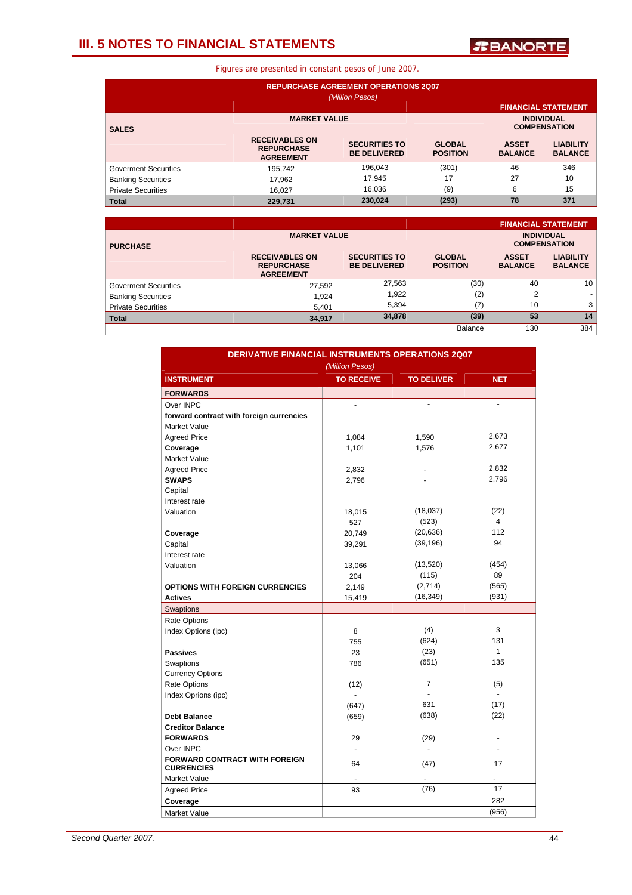### **III. 5 NOTES TO FINANCIAL STATEMENTS**

*T***BANORTE** 

| <b>REPURCHASE AGREEMENT OPERATIONS 2Q07</b><br>(Million Pesos) |                                                                |                                             |                                  |                                |                                    |  |
|----------------------------------------------------------------|----------------------------------------------------------------|---------------------------------------------|----------------------------------|--------------------------------|------------------------------------|--|
| <b>FINANCIAL STATEMENT</b>                                     |                                                                |                                             |                                  |                                |                                    |  |
| <b>SALES</b>                                                   | <b>INDIVIDUAL</b><br><b>COMPENSATION</b>                       |                                             |                                  |                                |                                    |  |
|                                                                | <b>RECEIVABLES ON</b><br><b>REPURCHASE</b><br><b>AGREEMENT</b> | <b>SECURITIES TO</b><br><b>BE DELIVERED</b> | <b>GLOBAL</b><br><b>POSITION</b> | <b>ASSET</b><br><b>BALANCE</b> | <b>LIABILITY</b><br><b>BALANCE</b> |  |
| <b>Goverment Securities</b>                                    | 195.742                                                        | 196,043                                     | (301)                            | 46                             | 346                                |  |
| <b>Banking Securities</b>                                      | 17.962                                                         | 17,945                                      | 17                               | 27                             | 10                                 |  |
| <b>Private Securities</b>                                      | 16.027                                                         | 16.036                                      | (9)                              | 6                              | 15                                 |  |
| <b>Total</b>                                                   | 229,731                                                        | 230,024                                     | (293)                            | 78                             | 371                                |  |

|                                        |                                                                |                                             |                                  |                                | <b>FINANCIAL STATEMENT</b>               |
|----------------------------------------|----------------------------------------------------------------|---------------------------------------------|----------------------------------|--------------------------------|------------------------------------------|
| <b>MARKET VALUE</b><br><b>PURCHASE</b> |                                                                |                                             |                                  |                                | <b>INDIVIDUAL</b><br><b>COMPENSATION</b> |
|                                        | <b>RECEIVABLES ON</b><br><b>REPURCHASE</b><br><b>AGREEMENT</b> | <b>SECURITIES TO</b><br><b>BE DELIVERED</b> | <b>GLOBAL</b><br><b>POSITION</b> | <b>ASSET</b><br><b>BALANCE</b> | <b>LIABILITY</b><br><b>BALANCE</b>       |
| <b>Goverment Securities</b>            | 27,592                                                         | 27,563                                      | (30)                             | 40                             | 10                                       |
| <b>Banking Securities</b>              | 1.924                                                          | 1,922                                       | (2)                              | $\overline{2}$                 | ٠                                        |
| <b>Private Securities</b>              | 5,401                                                          | 5.394                                       | (7)                              | 10                             | 3                                        |
| <b>Total</b>                           | 34,917                                                         | 34,878                                      | (39)                             | 53                             | 14                                       |
|                                        |                                                                |                                             | Balance                          | 130                            | 384                                      |

|                                                           | <b>DERIVATIVE FINANCIAL INSTRUMENTS OPERATIONS 2Q07</b><br>(Million Pesos) |                   |                |  |  |  |
|-----------------------------------------------------------|----------------------------------------------------------------------------|-------------------|----------------|--|--|--|
| <b>INSTRUMENT</b>                                         | <b>TO RECEIVE</b>                                                          | <b>TO DELIVER</b> | <b>NET</b>     |  |  |  |
| <b>FORWARDS</b>                                           |                                                                            |                   |                |  |  |  |
| Over INPC                                                 | $\overline{a}$                                                             |                   |                |  |  |  |
| forward contract with foreign currencies                  |                                                                            |                   |                |  |  |  |
| <b>Market Value</b>                                       |                                                                            |                   |                |  |  |  |
| <b>Agreed Price</b>                                       | 1,084                                                                      | 1,590             | 2,673          |  |  |  |
| Coverage                                                  | 1,101                                                                      | 1,576             | 2,677          |  |  |  |
| <b>Market Value</b>                                       |                                                                            |                   |                |  |  |  |
| <b>Agreed Price</b>                                       | 2,832                                                                      |                   | 2,832          |  |  |  |
| <b>SWAPS</b>                                              | 2,796                                                                      |                   | 2,796          |  |  |  |
| Capital                                                   |                                                                            |                   |                |  |  |  |
| Interest rate                                             |                                                                            |                   |                |  |  |  |
| Valuation                                                 | 18,015                                                                     | (18,037)          | (22)           |  |  |  |
|                                                           | 527                                                                        | (523)             | $\overline{4}$ |  |  |  |
| Coverage                                                  | 20,749                                                                     | (20, 636)         | 112            |  |  |  |
| Capital                                                   | 39,291                                                                     | (39, 196)         | 94             |  |  |  |
| Interest rate                                             |                                                                            |                   |                |  |  |  |
| Valuation                                                 | 13,066                                                                     | (13,520)          | (454)          |  |  |  |
|                                                           | 204                                                                        | (115)             | 89             |  |  |  |
| <b>OPTIONS WITH FOREIGN CURRENCIES</b>                    | 2,149                                                                      | (2,714)           | (565)          |  |  |  |
| <b>Actives</b>                                            | 15,419                                                                     | (16, 349)         | (931)          |  |  |  |
| Swaptions                                                 |                                                                            |                   |                |  |  |  |
| <b>Rate Options</b>                                       |                                                                            |                   |                |  |  |  |
| Index Options (ipc)                                       | 8                                                                          | (4)               | 3              |  |  |  |
|                                                           | 755                                                                        | (624)             | 131            |  |  |  |
| <b>Passives</b>                                           | 23                                                                         | (23)              | $\mathbf{1}$   |  |  |  |
| Swaptions                                                 | 786                                                                        | (651)             | 135            |  |  |  |
| <b>Currency Options</b>                                   |                                                                            |                   |                |  |  |  |
| Rate Options                                              | (12)                                                                       | 7                 | (5)            |  |  |  |
| Index Oprions (ipc)                                       | ÷                                                                          |                   | ÷,             |  |  |  |
|                                                           | (647)                                                                      | 631               | (17)           |  |  |  |
| <b>Debt Balance</b>                                       | (659)                                                                      | (638)             | (22)           |  |  |  |
| <b>Creditor Balance</b>                                   |                                                                            |                   |                |  |  |  |
| <b>FORWARDS</b>                                           | 29                                                                         | (29)              |                |  |  |  |
| Over INPC                                                 | $\blacksquare$                                                             | ٠                 | $\blacksquare$ |  |  |  |
| <b>FORWARD CONTRACT WITH FOREIGN</b><br><b>CURRENCIES</b> | 64                                                                         | (47)              | 17             |  |  |  |
| Market Value                                              |                                                                            |                   |                |  |  |  |
| <b>Agreed Price</b>                                       | 93                                                                         | (76)              | 17             |  |  |  |
| Coverage                                                  |                                                                            |                   | 282            |  |  |  |
| <b>Market Value</b>                                       |                                                                            |                   | (956)          |  |  |  |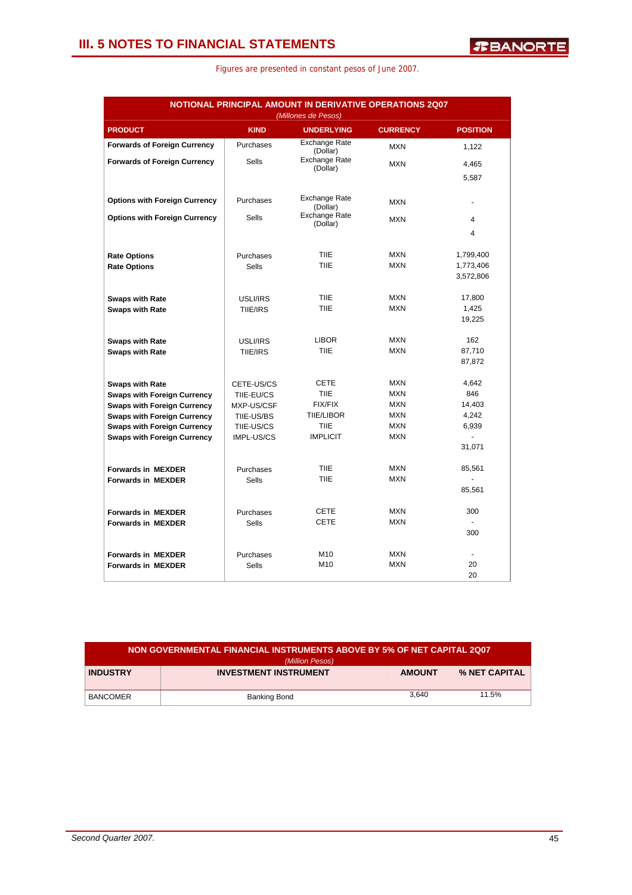| NOTIONAL PRINCIPAL AMOUNT IN DERIVATIVE OPERATIONS 2Q07 |              |                                  |                 |                 |  |  |
|---------------------------------------------------------|--------------|----------------------------------|-----------------|-----------------|--|--|
|                                                         |              | (Millones de Pesos)              |                 |                 |  |  |
| <b>PRODUCT</b>                                          | <b>KIND</b>  | <b>UNDERLYING</b>                | <b>CURRENCY</b> | <b>POSITION</b> |  |  |
| <b>Forwards of Foreign Currency</b>                     | Purchases    | <b>Exchange Rate</b><br>(Dollar) | <b>MXN</b>      | 1,122           |  |  |
| <b>Forwards of Foreign Currency</b>                     | <b>Sells</b> | Exchange Rate<br>(Dollar)        | <b>MXN</b>      | 4,465           |  |  |
|                                                         |              |                                  |                 | 5,587           |  |  |
| <b>Options with Foreign Currency</b>                    | Purchases    | <b>Exchange Rate</b><br>(Dollar) | <b>MXN</b>      | ٠               |  |  |
| <b>Options with Foreign Currency</b>                    | <b>Sells</b> | Exchange Rate<br>(Dollar)        | <b>MXN</b>      | 4               |  |  |
|                                                         |              |                                  |                 | $\overline{4}$  |  |  |
| <b>Rate Options</b>                                     | Purchases    | <b>TIIE</b>                      | <b>MXN</b>      | 1,799,400       |  |  |
| <b>Rate Options</b>                                     | <b>Sells</b> | <b>TIIE</b>                      | <b>MXN</b>      | 1,773,406       |  |  |
|                                                         |              |                                  |                 | 3,572,806       |  |  |
| <b>Swaps with Rate</b>                                  | USLI/IRS     | <b>TIIE</b>                      | <b>MXN</b>      | 17,800          |  |  |
| <b>Swaps with Rate</b>                                  | TIIE/IRS     | <b>TIIE</b>                      | <b>MXN</b>      | 1,425           |  |  |
|                                                         |              |                                  |                 | 19,225          |  |  |
| <b>Swaps with Rate</b>                                  | USLI/IRS     | <b>LIBOR</b>                     | <b>MXN</b>      | 162             |  |  |
| <b>Swaps with Rate</b>                                  | TIIE/IRS     | <b>TIIE</b>                      | <b>MXN</b>      | 87,710          |  |  |
|                                                         |              |                                  |                 | 87,872          |  |  |
| <b>Swaps with Rate</b>                                  | CETE-US/CS   | <b>CETE</b>                      | <b>MXN</b>      | 4,642           |  |  |
| <b>Swaps with Foreign Currency</b>                      | TIIE-EU/CS   | <b>TIIE</b>                      | <b>MXN</b>      | 846             |  |  |
| <b>Swaps with Foreign Currency</b>                      | MXP-US/CSF   | <b>FIX/FIX</b>                   | <b>MXN</b>      | 14,403          |  |  |
| <b>Swaps with Foreign Currency</b>                      | TIIE-US/BS   | <b>TIIE/LIBOR</b>                | <b>MXN</b>      | 4,242           |  |  |
| <b>Swaps with Foreign Currency</b>                      | TIIE-US/CS   | <b>TIIE</b>                      | <b>MXN</b>      | 6,939           |  |  |
| <b>Swaps with Foreign Currency</b>                      | IMPL-US/CS   | <b>IMPLICIT</b>                  | <b>MXN</b>      | $\blacksquare$  |  |  |
|                                                         |              |                                  |                 | 31,071          |  |  |
| <b>Forwards in MEXDER</b>                               | Purchases    | <b>TIIE</b>                      | <b>MXN</b>      | 85,561          |  |  |
| <b>Forwards in MEXDER</b>                               | <b>Sells</b> | <b>TIIE</b>                      | <b>MXN</b>      |                 |  |  |
|                                                         |              |                                  |                 | 85,561          |  |  |
| <b>Forwards in MEXDER</b>                               | Purchases    | <b>CETE</b>                      | <b>MXN</b>      | 300             |  |  |
| <b>Forwards in MEXDER</b>                               | <b>Sells</b> | <b>CETE</b>                      | <b>MXN</b>      | $\overline{a}$  |  |  |
|                                                         |              |                                  |                 | 300             |  |  |
| <b>Forwards in MEXDER</b>                               | Purchases    | M10                              | <b>MXN</b>      | $\overline{a}$  |  |  |
| <b>Forwards in MEXDER</b>                               | <b>Sells</b> | M10                              | <b>MXN</b>      | 20              |  |  |
|                                                         |              |                                  |                 | 20              |  |  |

| NON GOVERNMENTAL FINANCIAL INSTRUMENTS ABOVE BY 5% OF NET CAPITAL 2Q07<br>(Million Pesos) |                              |               |                      |  |  |
|-------------------------------------------------------------------------------------------|------------------------------|---------------|----------------------|--|--|
| <b>INDUSTRY</b>                                                                           | <b>INVESTMENT INSTRUMENT</b> | <b>AMOUNT</b> | <b>% NET CAPITAL</b> |  |  |
| <b>BANCOMER</b>                                                                           | Banking Bond                 | 3.640         | 11.5%                |  |  |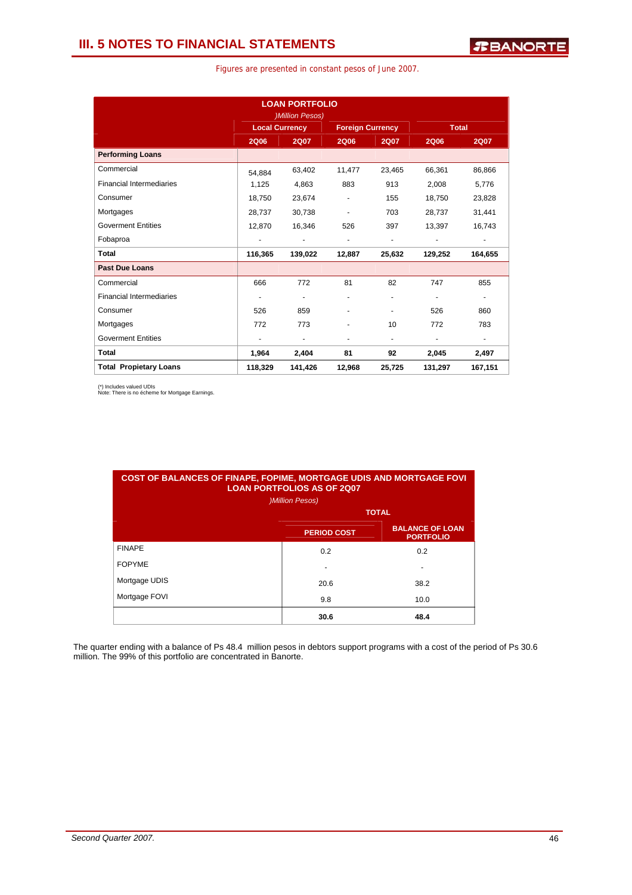| Figures are presented in constant pesos of June 2007. |  |  |  |  |  |  |  |
|-------------------------------------------------------|--|--|--|--|--|--|--|
|-------------------------------------------------------|--|--|--|--|--|--|--|

|                                 |             | <b>LOAN PORTFOLIO</b><br><b>)Million Pesos)</b> |                          |                          |                          |                          |
|---------------------------------|-------------|-------------------------------------------------|--------------------------|--------------------------|--------------------------|--------------------------|
|                                 |             | <b>Local Currency</b>                           | <b>Foreign Currency</b>  |                          | <b>Total</b>             |                          |
|                                 | <b>2Q06</b> | <b>2Q07</b>                                     | <b>2Q06</b>              | <b>2Q07</b>              | <b>2Q06</b>              | <b>2Q07</b>              |
| <b>Performing Loans</b>         |             |                                                 |                          |                          |                          |                          |
| Commercial                      | 54.884      | 63,402                                          | 11,477                   | 23,465                   | 66,361                   | 86,866                   |
| <b>Financial Intermediaries</b> | 1,125       | 4,863                                           | 883                      | 913                      | 2,008                    | 5,776                    |
| Consumer                        | 18,750      | 23,674                                          | $\overline{\phantom{a}}$ | 155                      | 18,750                   | 23,828                   |
| Mortgages                       | 28,737      | 30,738                                          | $\overline{\phantom{a}}$ | 703                      | 28,737                   | 31,441                   |
| <b>Goverment Entities</b>       | 12.870      | 16,346                                          | 526                      | 397                      | 13,397                   | 16,743                   |
| Fobaproa                        | ٠           | $\sim$                                          | $\overline{\phantom{a}}$ | ٠                        | $\blacksquare$           | $\blacksquare$           |
| Total                           | 116,365     | 139,022                                         | 12,887                   | 25,632                   | 129,252                  | 164,655                  |
| <b>Past Due Loans</b>           |             |                                                 |                          |                          |                          |                          |
| Commercial                      | 666         | 772                                             | 81                       | 82                       | 747                      | 855                      |
| <b>Financial Intermediaries</b> | ۰           | $\overline{\phantom{a}}$                        |                          |                          |                          | $\overline{\phantom{a}}$ |
| Consumer                        | 526         | 859                                             |                          | ٠                        | 526                      | 860                      |
| Mortgages                       | 772         | 773                                             |                          | 10                       | 772                      | 783                      |
| <b>Goverment Entities</b>       |             | $\overline{\phantom{a}}$                        | $\overline{\phantom{a}}$ | $\overline{\phantom{a}}$ | $\overline{\phantom{a}}$ | $\overline{\phantom{a}}$ |
| <b>Total</b>                    | 1,964       | 2,404                                           | 81                       | 92                       | 2,045                    | 2,497                    |
| <b>Total Propietary Loans</b>   | 118,329     | 141,426                                         | 12,968                   | 25,725                   | 131,297                  | 167,151                  |

(\*) Includes valued UDIs Note: There is no écheme for Mortgage Earnings.

| <b>COST OF BALANCES OF FINAPE, FOPIME, MORTGAGE UDIS AND MORTGAGE FOVI</b><br><b>LOAN PORTFOLIOS AS OF 2007</b><br><b>)Million Pesos)</b> |                    |                                            |  |  |  |
|-------------------------------------------------------------------------------------------------------------------------------------------|--------------------|--------------------------------------------|--|--|--|
|                                                                                                                                           |                    | <b>TOTAL</b>                               |  |  |  |
|                                                                                                                                           | <b>PERIOD COST</b> | <b>BALANCE OF LOAN</b><br><b>PORTFOLIO</b> |  |  |  |
| <b>FINAPE</b>                                                                                                                             | 0.2                | 0.2                                        |  |  |  |
| <b>FOPYME</b>                                                                                                                             |                    |                                            |  |  |  |
| Mortgage UDIS                                                                                                                             | 20.6               | 38.2                                       |  |  |  |
| Mortgage FOVI                                                                                                                             | 9.8                | 10.0                                       |  |  |  |
|                                                                                                                                           | 30.6               | 48.4                                       |  |  |  |

The quarter ending with a balance of Ps 48.4 million pesos in debtors support programs with a cost of the period of Ps 30.6 million. The 99% of this portfolio are concentrated in Banorte.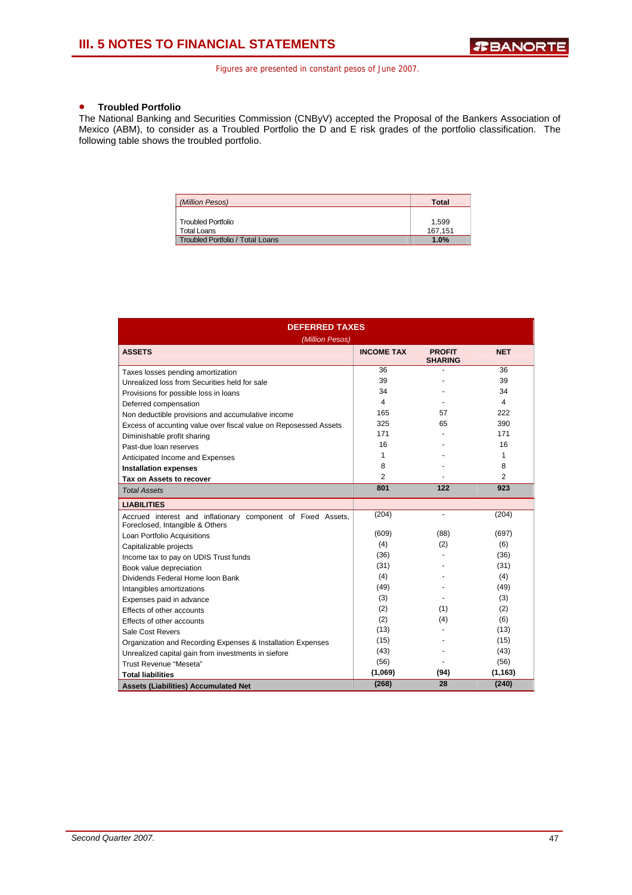### • **Troubled Portfolio**

The National Banking and Securities Commission (CNByV) accepted the Proposal of the Bankers Association of Mexico (ABM), to consider as a Troubled Portfolio the D and E risk grades of the portfolio classification. The following table shows the troubled portfolio.

| (Million Pesos)                          | Total            |
|------------------------------------------|------------------|
| <b>Troubled Portfolio</b><br>Total Loans | 1,599<br>167.151 |
| <b>Troubled Portfolio / Total Loans</b>  | 1.0%             |

| <b>DEFERRED TAXES</b>                                                                           |                   |                                 |            |  |  |
|-------------------------------------------------------------------------------------------------|-------------------|---------------------------------|------------|--|--|
| (Million Pesos)                                                                                 |                   |                                 |            |  |  |
| <b>ASSETS</b>                                                                                   | <b>INCOME TAX</b> | <b>PROFIT</b><br><b>SHARING</b> | <b>NET</b> |  |  |
| Taxes losses pending amortization                                                               | 36                |                                 | 36         |  |  |
| Unrealized loss from Securities held for sale                                                   | 39                |                                 | 39         |  |  |
| Provisions for possible loss in loans                                                           | 34                |                                 | 34         |  |  |
| Deferred compensation                                                                           | 4                 |                                 | 4          |  |  |
| Non deductible provisions and accumulative income                                               | 165               | 57                              | 222        |  |  |
| Excess of accunting value over fiscal value on Reposessed Assets                                | 325               | 65                              | 390        |  |  |
| Diminishable profit sharing                                                                     | 171               |                                 | 171        |  |  |
| Past-due loan reserves                                                                          | 16                |                                 | 16         |  |  |
| Anticipated Income and Expenses                                                                 | 1                 |                                 | 1          |  |  |
| <b>Installation expenses</b>                                                                    | 8                 |                                 | 8          |  |  |
| Tax on Assets to recover                                                                        | 2                 |                                 | 2          |  |  |
| <b>Total Assets</b>                                                                             | 801               | 122                             | 923        |  |  |
| <b>LIABILITIES</b>                                                                              |                   |                                 |            |  |  |
| Accrued interest and inflationary component of Fixed Assets,<br>Foreclosed, Intangible & Others | (204)             | $\blacksquare$                  | (204)      |  |  |
| Loan Portfolio Acquisitions                                                                     | (609)             | (88)                            | (697)      |  |  |
| Capitalizable projects                                                                          | (4)               | (2)                             | (6)        |  |  |
| Income tax to pay on UDIS Trust funds                                                           | (36)              |                                 | (36)       |  |  |
| Book value depreciation                                                                         | (31)              |                                 | (31)       |  |  |
| Dividends Federal Home Ioon Bank                                                                | (4)               |                                 | (4)        |  |  |
| Intangibles amortizations                                                                       | (49)              |                                 | (49)       |  |  |
| Expenses paid in advance                                                                        | (3)               |                                 | (3)        |  |  |
| Effects of other accounts                                                                       | (2)               | (1)                             | (2)        |  |  |
| Effects of other accounts                                                                       | (2)               | (4)                             | (6)        |  |  |
| Sale Cost Revers                                                                                | (13)              |                                 | (13)       |  |  |
| Organization and Recording Expenses & Installation Expenses                                     | (15)              |                                 | (15)       |  |  |
| Unrealized capital gain from investments in siefore                                             | (43)              |                                 | (43)       |  |  |
| Trust Revenue "Meseta"                                                                          | (56)              |                                 | (56)       |  |  |
| <b>Total liabilities</b>                                                                        | (1,069)           | (94)                            | (1, 163)   |  |  |
| <b>Assets (Liabilities) Accumulated Net</b>                                                     | (268)             | 28                              | (240)      |  |  |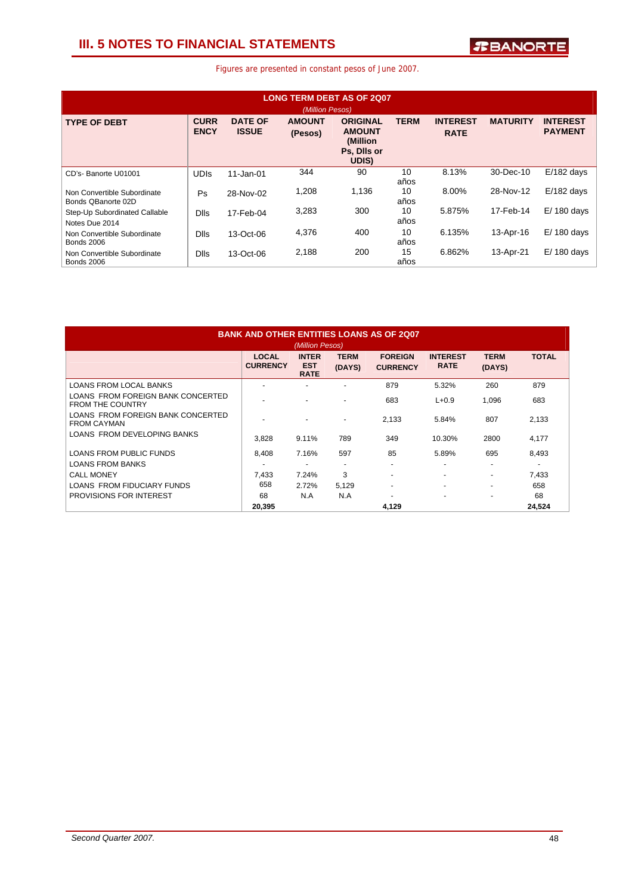### **III. 5 NOTES TO FINANCIAL STATEMENTS**

| <b>LONG TERM DEBT AS OF 2007</b><br>(Million Pesos) |                            |                                |                          |                                                                      |             |                                |                 |                                   |
|-----------------------------------------------------|----------------------------|--------------------------------|--------------------------|----------------------------------------------------------------------|-------------|--------------------------------|-----------------|-----------------------------------|
| <b>TYPE OF DEBT</b>                                 | <b>CURR</b><br><b>ENCY</b> | <b>DATE OF</b><br><b>ISSUE</b> | <b>AMOUNT</b><br>(Pesos) | <b>ORIGINAL</b><br><b>AMOUNT</b><br>(Million<br>Ps, Dils or<br>UDIS) | <b>TERM</b> | <b>INTEREST</b><br><b>RATE</b> | <b>MATURITY</b> | <b>INTEREST</b><br><b>PAYMENT</b> |
| CD's- Banorte U01001                                | <b>UDIS</b>                | $11 - Jan-01$                  | 344                      | 90                                                                   | 10<br>años  | 8.13%                          | 30-Dec-10       | $E/182$ days                      |
| Non Convertible Subordinate<br>Bonds OBanorte 02D   | Ps                         | 28-Nov-02                      | 1,208                    | 1,136                                                                | 10<br>años  | 8.00%                          | 28-Nov-12       | $E/182$ days                      |
| Step-Up Subordinated Callable<br>Notes Due 2014     | <b>Dlls</b>                | 17-Feb-04                      | 3,283                    | 300                                                                  | 10<br>años  | 5.875%                         | 17-Feb-14       | $E/180$ days                      |
| Non Convertible Subordinate<br><b>Bonds 2006</b>    | <b>Dlls</b>                | 13-Oct-06                      | 4,376                    | 400                                                                  | 10<br>años  | 6.135%                         | 13-Apr-16       | $E/180$ days                      |
| Non Convertible Subordinate<br><b>Bonds 2006</b>    | <b>Dlls</b>                | 13-Oct-06                      | 2,188                    | 200                                                                  | 15<br>años  | 6.862%                         | 13-Apr-21       | $E/180$ days                      |

| <b>BANK AND OTHER ENTITIES LOANS AS OF 2007</b>              |                                 |                                           |                          |                                   |                                |                          |              |
|--------------------------------------------------------------|---------------------------------|-------------------------------------------|--------------------------|-----------------------------------|--------------------------------|--------------------------|--------------|
|                                                              |                                 | (Million Pesos)                           |                          |                                   |                                |                          |              |
|                                                              | <b>LOCAL</b><br><b>CURRENCY</b> | <b>INTER</b><br><b>EST</b><br><b>RATE</b> | <b>TERM</b><br>(DAYS)    | <b>FOREIGN</b><br><b>CURRENCY</b> | <b>INTEREST</b><br><b>RATE</b> | <b>TERM</b><br>(DAYS)    | <b>TOTAL</b> |
| <b>LOANS FROM LOCAL BANKS</b>                                |                                 |                                           |                          | 879                               | 5.32%                          | 260                      | 879          |
| LOANS FROM FOREIGN BANK CONCERTED<br><b>FROM THE COUNTRY</b> | $\overline{a}$                  |                                           |                          | 683                               | $L + 0.9$                      | 1,096                    | 683          |
| LOANS FROM FOREIGN BANK CONCERTED<br><b>FROM CAYMAN</b>      |                                 |                                           | $\overline{\phantom{0}}$ | 2.133                             | 5.84%                          | 807                      | 2,133        |
| LOANS FROM DEVELOPING BANKS                                  | 3,828                           | 9.11%                                     | 789                      | 349                               | 10.30%                         | 2800                     | 4,177        |
| LOANS FROM PUBLIC FUNDS                                      | 8.408                           | 7.16%                                     | 597                      | 85                                | 5.89%                          | 695                      | 8,493        |
| <b>LOANS FROM BANKS</b>                                      | $\overline{\phantom{0}}$        | ۰                                         |                          | -                                 | ٠                              | $\overline{\phantom{0}}$ | ٠            |
| <b>CALL MONEY</b>                                            | 7,433                           | 7.24%                                     | 3                        | $\overline{\phantom{a}}$          | ٠                              | ۰                        | 7,433        |
| LOANS FROM FIDUCIARY FUNDS                                   | 658                             | 2.72%                                     | 5,129                    | ٠                                 | ٠                              | $\overline{\phantom{0}}$ | 658          |
| PROVISIONS FOR INTEREST                                      | 68                              | N.A                                       | N.A                      |                                   | -                              | $\overline{\phantom{0}}$ | 68           |
|                                                              | 20,395                          |                                           |                          | 4,129                             |                                |                          | 24,524       |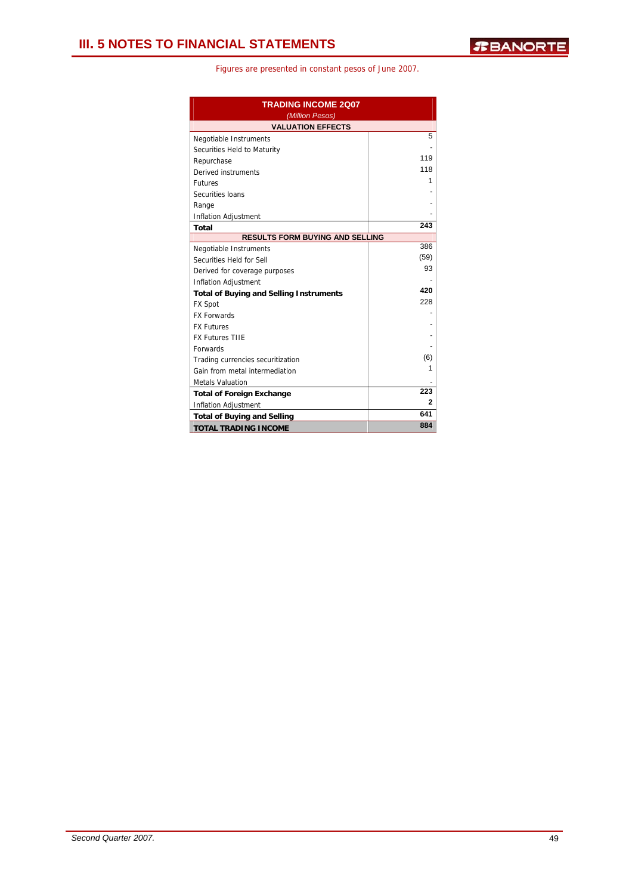| <b>TRADING INCOME 2Q07</b><br>(Million Pesos)  |      |  |  |
|------------------------------------------------|------|--|--|
| <b>VALUATION EFFECTS</b>                       |      |  |  |
| Negotiable Instruments                         | 5    |  |  |
| Securities Held to Maturity                    |      |  |  |
| Repurchase                                     | 119  |  |  |
| Derived instruments                            | 118  |  |  |
| <b>Futures</b>                                 | 1    |  |  |
| Securities Ioans                               |      |  |  |
| Range                                          |      |  |  |
| Inflation Adjustment                           |      |  |  |
| <b>Total</b>                                   | 243  |  |  |
| <b>RESULTS FORM BUYING AND SELLING</b>         |      |  |  |
| Negotiable Instruments                         | 386  |  |  |
| Securities Held for Sell                       | (59) |  |  |
| Derived for coverage purposes                  | 93   |  |  |
| <b>Inflation Adjustment</b>                    |      |  |  |
| <b>Total of Buying and Selling Instruments</b> | 420  |  |  |
| <b>FX Spot</b>                                 | 228  |  |  |
| <b>FX Forwards</b>                             |      |  |  |
| <b>FX Futures</b>                              |      |  |  |
| <b>FX Futures TIIE</b>                         |      |  |  |
| Forwards                                       |      |  |  |
| Trading currencies securitization              | (6)  |  |  |
| Gain from metal intermediation                 | 1    |  |  |
| <b>Metals Valuation</b>                        |      |  |  |
| <b>Total of Foreign Exchange</b>               | 223  |  |  |
| <b>Inflation Adjustment</b>                    | 2    |  |  |
| <b>Total of Buying and Selling</b>             | 641  |  |  |
| <b>TOTAL TRADING INCOME</b>                    | 884  |  |  |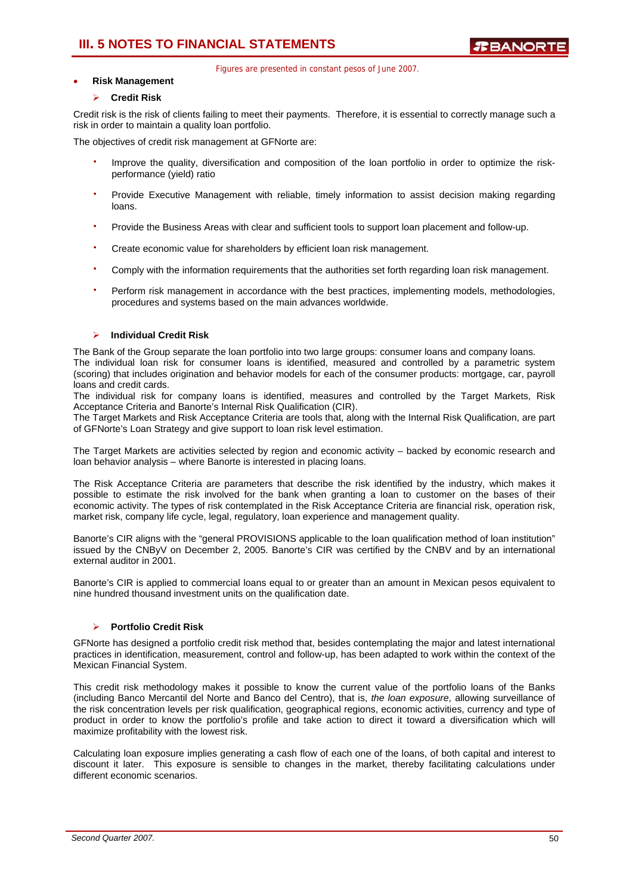### **III. 5 NOTES TO FINANCIAL STATEMENTS**

Figures are presented in constant pesos of June 2007.

### • **Risk Management**

### ¾ **Credit Risk**

Credit risk is the risk of clients failing to meet their payments. Therefore, it is essential to correctly manage such a risk in order to maintain a quality loan portfolio.

The objectives of credit risk management at GFNorte are:

- Improve the quality, diversification and composition of the loan portfolio in order to optimize the riskperformance (yield) ratio
- Provide Executive Management with reliable, timely information to assist decision making regarding loans.
- Provide the Business Areas with clear and sufficient tools to support loan placement and follow-up.
- Create economic value for shareholders by efficient loan risk management.
- Comply with the information requirements that the authorities set forth regarding loan risk management.
- Perform risk management in accordance with the best practices, implementing models, methodologies, procedures and systems based on the main advances worldwide.

### ¾ **Individual Credit Risk**

The Bank of the Group separate the loan portfolio into two large groups: consumer loans and company loans. The individual loan risk for consumer loans is identified, measured and controlled by a parametric system (scoring) that includes origination and behavior models for each of the consumer products: mortgage, car, payroll loans and credit cards.

The individual risk for company loans is identified, measures and controlled by the Target Markets, Risk Acceptance Criteria and Banorte's Internal Risk Qualification (CIR).

The Target Markets and Risk Acceptance Criteria are tools that, along with the Internal Risk Qualification, are part of GFNorte's Loan Strategy and give support to loan risk level estimation.

The Target Markets are activities selected by region and economic activity – backed by economic research and loan behavior analysis – where Banorte is interested in placing loans.

The Risk Acceptance Criteria are parameters that describe the risk identified by the industry, which makes it possible to estimate the risk involved for the bank when granting a loan to customer on the bases of their economic activity. The types of risk contemplated in the Risk Acceptance Criteria are financial risk, operation risk, market risk, company life cycle, legal, regulatory, loan experience and management quality.

Banorte's CIR aligns with the "general PROVISIONS applicable to the loan qualification method of loan institution" issued by the CNByV on December 2, 2005. Banorte's CIR was certified by the CNBV and by an international external auditor in 2001.

Banorte's CIR is applied to commercial loans equal to or greater than an amount in Mexican pesos equivalent to nine hundred thousand investment units on the qualification date.

### ¾ **Portfolio Credit Risk**

GFNorte has designed a portfolio credit risk method that, besides contemplating the major and latest international practices in identification, measurement, control and follow-up, has been adapted to work within the context of the Mexican Financial System.

This credit risk methodology makes it possible to know the current value of the portfolio loans of the Banks (including Banco Mercantil del Norte and Banco del Centro), that is, *the loan exposure*, allowing surveillance of the risk concentration levels per risk qualification, geographical regions, economic activities, currency and type of product in order to know the portfolio's profile and take action to direct it toward a diversification which will maximize profitability with the lowest risk.

Calculating loan exposure implies generating a cash flow of each one of the loans, of both capital and interest to discount it later. This exposure is sensible to changes in the market, thereby facilitating calculations under different economic scenarios.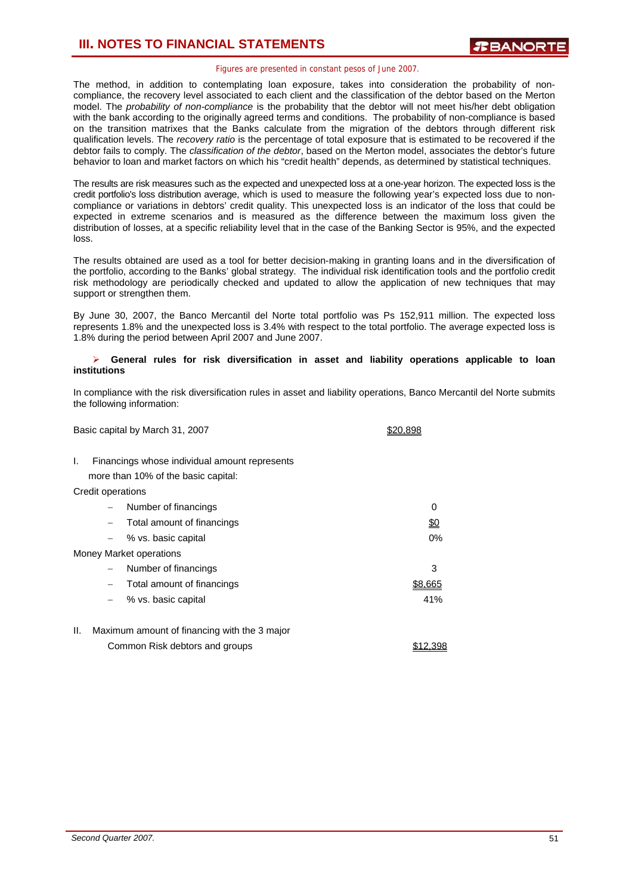The method, in addition to contemplating loan exposure, takes into consideration the probability of noncompliance, the recovery level associated to each client and the classification of the debtor based on the Merton model. The *probability of non-compliance* is the probability that the debtor will not meet his/her debt obligation with the bank according to the originally agreed terms and conditions. The probability of non-compliance is based on the transition matrixes that the Banks calculate from the migration of the debtors through different risk qualification levels. The *recovery ratio* is the percentage of total exposure that is estimated to be recovered if the debtor fails to comply. The *classification of the debtor*, based on the Merton model, associates the debtor's future behavior to loan and market factors on which his "credit health" depends, as determined by statistical techniques.

The results are risk measures such as the expected and unexpected loss at a one-year horizon. The expected loss is the credit portfolio's loss distribution average, which is used to measure the following year's expected loss due to noncompliance or variations in debtors' credit quality. This unexpected loss is an indicator of the loss that could be expected in extreme scenarios and is measured as the difference between the maximum loss given the distribution of losses, at a specific reliability level that in the case of the Banking Sector is 95%, and the expected loss.

The results obtained are used as a tool for better decision-making in granting loans and in the diversification of the portfolio, according to the Banks' global strategy. The individual risk identification tools and the portfolio credit risk methodology are periodically checked and updated to allow the application of new techniques that may support or strengthen them.

By June 30, 2007, the Banco Mercantil del Norte total portfolio was Ps 152,911 million. The expected loss represents 1.8% and the unexpected loss is 3.4% with respect to the total portfolio. The average expected loss is 1.8% during the period between April 2007 and June 2007.

### ¾ **General rules for risk diversification in asset and liability operations applicable to loan institutions**

In compliance with the risk diversification rules in asset and liability operations, Banco Mercantil del Norte submits the following information:

Basic capital by March 31, 2007 **\$20,898** 

I. Financings whose individual amount represents

more than 10% of the basic capital:

Credit operations

|     | $\overline{\phantom{0}}$ | Number of financings                         | 0          |
|-----|--------------------------|----------------------------------------------|------------|
|     | $\qquad \qquad -$        | Total amount of financings                   | <u>\$0</u> |
|     |                          | $-$ % vs. basic capital                      | 0%         |
|     |                          | Money Market operations                      |            |
|     | $\qquad \qquad -$        | Number of financings                         | 3          |
|     |                          | Total amount of financings                   | \$8.665    |
|     |                          | $-$ % vs. basic capital                      | 41%        |
|     |                          |                                              |            |
| II. |                          | Maximum amount of financing with the 3 major |            |

Common Risk debtors and groups  $$12,398$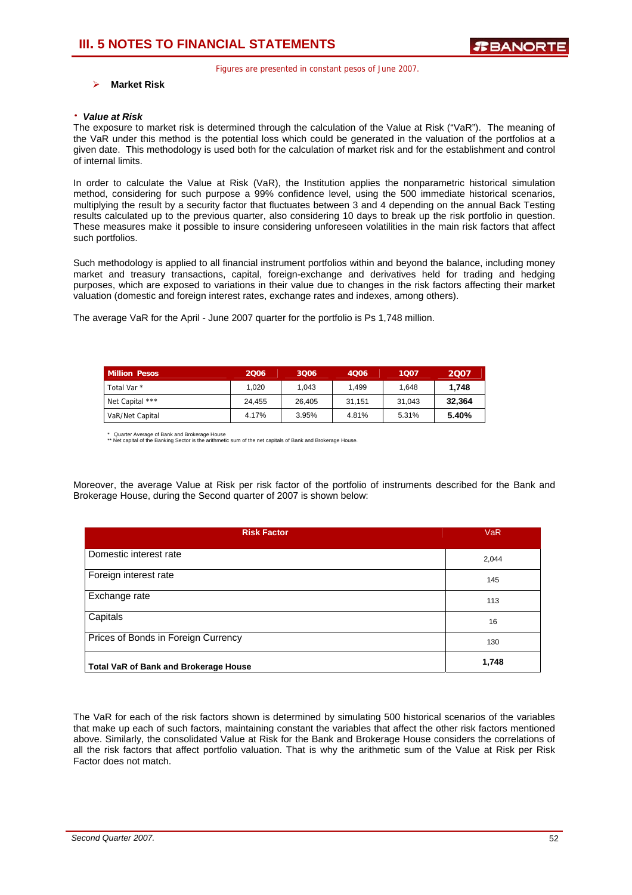### ¾ **Market Risk**

#### ⋅ *Value at Risk*

The exposure to market risk is determined through the calculation of the Value at Risk ("VaR"). The meaning of the VaR under this method is the potential loss which could be generated in the valuation of the portfolios at a given date. This methodology is used both for the calculation of market risk and for the establishment and control of internal limits.

In order to calculate the Value at Risk (VaR), the Institution applies the nonparametric historical simulation method, considering for such purpose a 99% confidence level, using the 500 immediate historical scenarios, multiplying the result by a security factor that fluctuates between 3 and 4 depending on the annual Back Testing results calculated up to the previous quarter, also considering 10 days to break up the risk portfolio in question. These measures make it possible to insure considering unforeseen volatilities in the main risk factors that affect such portfolios.

Such methodology is applied to all financial instrument portfolios within and beyond the balance, including money market and treasury transactions, capital, foreign-exchange and derivatives held for trading and hedging purposes, which are exposed to variations in their value due to changes in the risk factors affecting their market valuation (domestic and foreign interest rates, exchange rates and indexes, among others).

The average VaR for the April - June 2007 quarter for the portfolio is Ps 1,748 million.

| <b>Million Pesos</b>   | 2006   | 3006   | 4006   | 1007   | 2007   |
|------------------------|--------|--------|--------|--------|--------|
| Total Var <sup>*</sup> | 1.020  | 1.043  | 1.499  | 1.648  | 1.748  |
| Net Capital ***        | 24.455 | 26.405 | 31.151 | 31.043 | 32.364 |
| VaR/Net Capital        | 4.17%  | 3.95%  | 4.81%  | 5.31%  | 5.40%  |

\* Quarter Average of Bank and Brokerage House \*\* Net capital of the Banking Sector is the arithmetic sum of the net capitals of Bank and Brokerage House.

Moreover, the average Value at Risk per risk factor of the portfolio of instruments described for the Bank and Brokerage House, during the Second quarter of 2007 is shown below:

| <b>Risk Factor</b>                           | <b>VaR</b> |
|----------------------------------------------|------------|
| Domestic interest rate                       | 2,044      |
| Foreign interest rate                        | 145        |
| Exchange rate                                | 113        |
| Capitals                                     | 16         |
| Prices of Bonds in Foreign Currency          | 130        |
| <b>Total VaR of Bank and Brokerage House</b> | 1,748      |

The VaR for each of the risk factors shown is determined by simulating 500 historical scenarios of the variables that make up each of such factors, maintaining constant the variables that affect the other risk factors mentioned above. Similarly, the consolidated Value at Risk for the Bank and Brokerage House considers the correlations of all the risk factors that affect portfolio valuation. That is why the arithmetic sum of the Value at Risk per Risk Factor does not match.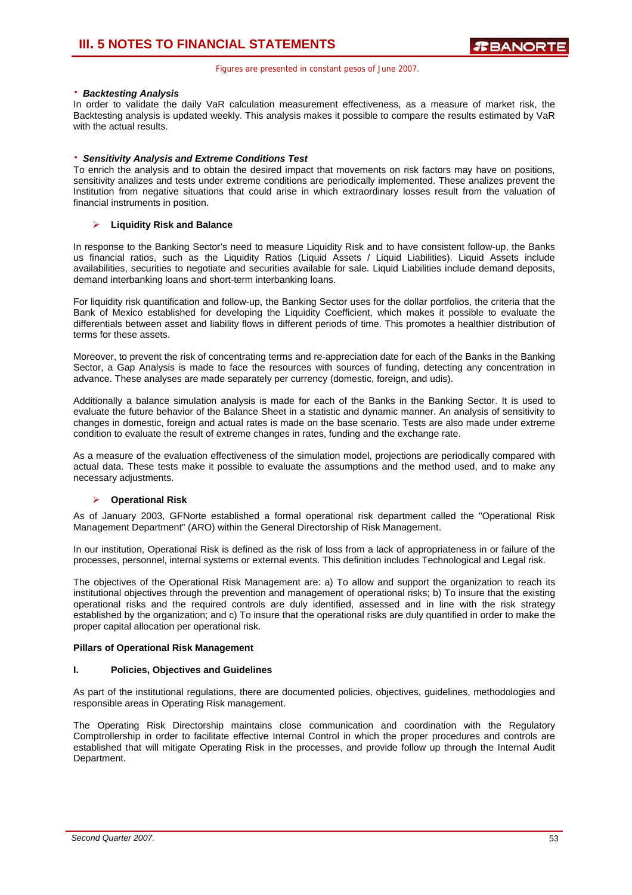### ⋅ *Backtesting Analysis*

In order to validate the daily VaR calculation measurement effectiveness, as a measure of market risk, the Backtesting analysis is updated weekly. This analysis makes it possible to compare the results estimated by VaR with the actual results.

### ⋅ *Sensitivity Analysis and Extreme Conditions Test*

To enrich the analysis and to obtain the desired impact that movements on risk factors may have on positions, sensitivity analizes and tests under extreme conditions are periodically implemented. These analizes prevent the Institution from negative situations that could arise in which extraordinary losses result from the valuation of financial instruments in position.

### ¾ **Liquidity Risk and Balance**

In response to the Banking Sector's need to measure Liquidity Risk and to have consistent follow-up, the Banks us financial ratios, such as the Liquidity Ratios (Liquid Assets / Liquid Liabilities). Liquid Assets include availabilities, securities to negotiate and securities available for sale. Liquid Liabilities include demand deposits, demand interbanking loans and short-term interbanking loans.

For liquidity risk quantification and follow-up, the Banking Sector uses for the dollar portfolios, the criteria that the Bank of Mexico established for developing the Liquidity Coefficient, which makes it possible to evaluate the differentials between asset and liability flows in different periods of time. This promotes a healthier distribution of terms for these assets.

Moreover, to prevent the risk of concentrating terms and re-appreciation date for each of the Banks in the Banking Sector, a Gap Analysis is made to face the resources with sources of funding, detecting any concentration in advance. These analyses are made separately per currency (domestic, foreign, and udis).

Additionally a balance simulation analysis is made for each of the Banks in the Banking Sector. It is used to evaluate the future behavior of the Balance Sheet in a statistic and dynamic manner. An analysis of sensitivity to changes in domestic, foreign and actual rates is made on the base scenario. Tests are also made under extreme condition to evaluate the result of extreme changes in rates, funding and the exchange rate.

As a measure of the evaluation effectiveness of the simulation model, projections are periodically compared with actual data. These tests make it possible to evaluate the assumptions and the method used, and to make any necessary adjustments.

### ¾ **Operational Risk**

As of January 2003, GFNorte established a formal operational risk department called the "Operational Risk Management Department" (ARO) within the General Directorship of Risk Management.

In our institution, Operational Risk is defined as the risk of loss from a lack of appropriateness in or failure of the processes, personnel, internal systems or external events. This definition includes Technological and Legal risk.

The objectives of the Operational Risk Management are: a) To allow and support the organization to reach its institutional objectives through the prevention and management of operational risks; b) To insure that the existing operational risks and the required controls are duly identified, assessed and in line with the risk strategy established by the organization; and c) To insure that the operational risks are duly quantified in order to make the proper capital allocation per operational risk.

### **Pillars of Operational Risk Management**

### **I. Policies, Objectives and Guidelines**

As part of the institutional regulations, there are documented policies, objectives, guidelines, methodologies and responsible areas in Operating Risk management.

The Operating Risk Directorship maintains close communication and coordination with the Regulatory Comptrollership in order to facilitate effective Internal Control in which the proper procedures and controls are established that will mitigate Operating Risk in the processes, and provide follow up through the Internal Audit Department.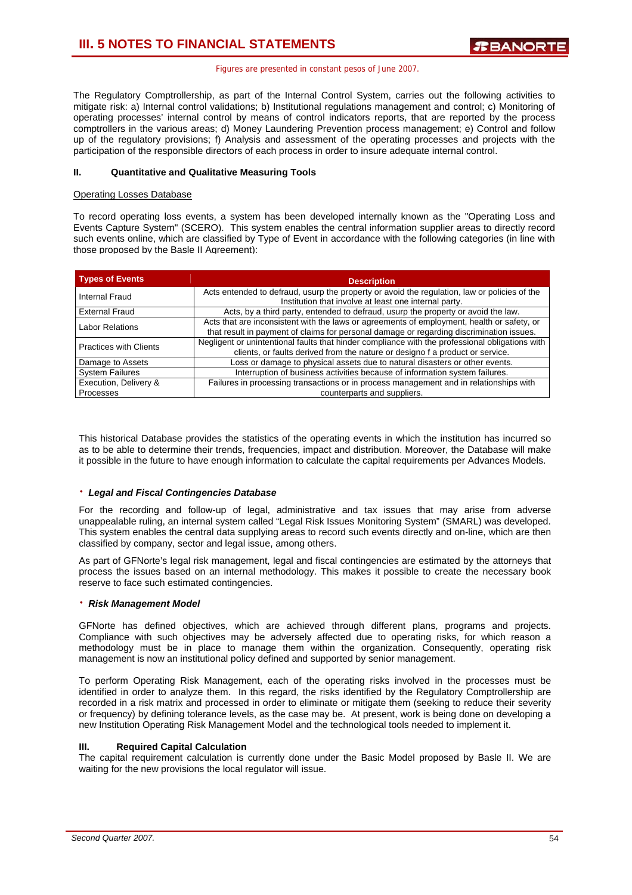The Regulatory Comptrollership, as part of the Internal Control System, carries out the following activities to mitigate risk: a) Internal control validations; b) Institutional regulations management and control; c) Monitoring of operating processes' internal control by means of control indicators reports, that are reported by the process comptrollers in the various areas; d) Money Laundering Prevention process management; e) Control and follow up of the regulatory provisions; f) Analysis and assessment of the operating processes and projects with the participation of the responsible directors of each process in order to insure adequate internal control.

### **II. Quantitative and Qualitative Measuring Tools**

### Operating Losses Database

To record operating loss events, a system has been developed internally known as the "Operating Loss and Events Capture System" (SCERO). This system enables the central information supplier areas to directly record such events online, which are classified by Type of Event in accordance with the following categories (in line with those proposed by the Basle II Agreement):

| <b>Types of Events</b>             | <b>Description</b>                                                                                                                                                                     |
|------------------------------------|----------------------------------------------------------------------------------------------------------------------------------------------------------------------------------------|
| Internal Fraud                     | Acts entended to defraud, usurp the property or avoid the regulation, law or policies of the<br>Institution that involve at least one internal party.                                  |
| <b>External Fraud</b>              | Acts, by a third party, entended to defraud, usurp the property or avoid the law.                                                                                                      |
| <b>Labor Relations</b>             | Acts that are inconsistent with the laws or agreements of employment, health or safety, or<br>that result in payment of claims for personal damage or regarding discrimination issues. |
| <b>Practices with Clients</b>      | Negligent or unintentional faults that hinder compliance with the professional obligations with<br>clients, or faults derived from the nature or designo f a product or service.       |
| Damage to Assets                   | Loss or damage to physical assets due to natural disasters or other events.                                                                                                            |
| <b>System Failures</b>             | Interruption of business activities because of information system failures.                                                                                                            |
| Execution, Delivery &<br>Processes | Failures in processing transactions or in process management and in relationships with<br>counterparts and suppliers.                                                                  |

This historical Database provides the statistics of the operating events in which the institution has incurred so as to be able to determine their trends, frequencies, impact and distribution. Moreover, the Database will make it possible in the future to have enough information to calculate the capital requirements per Advances Models.

### ⋅ *Legal and Fiscal Contingencies Database*

For the recording and follow-up of legal, administrative and tax issues that may arise from adverse unappealable ruling, an internal system called "Legal Risk Issues Monitoring System" (SMARL) was developed. This system enables the central data supplying areas to record such events directly and on-line, which are then classified by company, sector and legal issue, among others.

As part of GFNorte's legal risk management, legal and fiscal contingencies are estimated by the attorneys that process the issues based on an internal methodology. This makes it possible to create the necessary book reserve to face such estimated contingencies.

### ⋅ *Risk Management Model*

GFNorte has defined objectives, which are achieved through different plans, programs and projects. Compliance with such objectives may be adversely affected due to operating risks, for which reason a methodology must be in place to manage them within the organization. Consequently, operating risk management is now an institutional policy defined and supported by senior management.

To perform Operating Risk Management, each of the operating risks involved in the processes must be identified in order to analyze them. In this regard, the risks identified by the Regulatory Comptrollership are recorded in a risk matrix and processed in order to eliminate or mitigate them (seeking to reduce their severity or frequency) by defining tolerance levels, as the case may be. At present, work is being done on developing a new Institution Operating Risk Management Model and the technological tools needed to implement it.

### **III. Required Capital Calculation**

The capital requirement calculation is currently done under the Basic Model proposed by Basle II. We are waiting for the new provisions the local regulator will issue.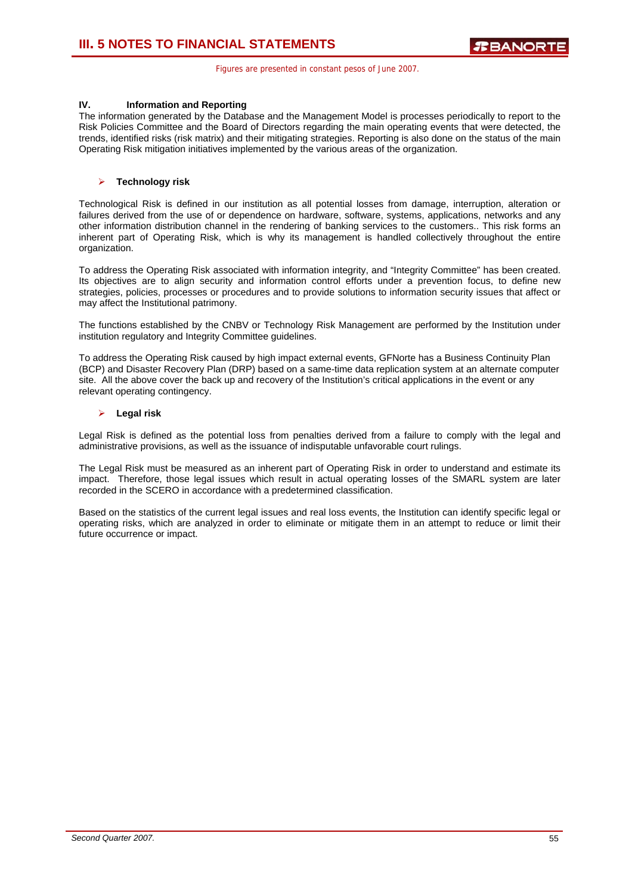### **IV. Information and Reporting**

The information generated by the Database and the Management Model is processes periodically to report to the Risk Policies Committee and the Board of Directors regarding the main operating events that were detected, the trends, identified risks (risk matrix) and their mitigating strategies. Reporting is also done on the status of the main Operating Risk mitigation initiatives implemented by the various areas of the organization.

### ¾ **Technology risk**

Technological Risk is defined in our institution as all potential losses from damage, interruption, alteration or failures derived from the use of or dependence on hardware, software, systems, applications, networks and any other information distribution channel in the rendering of banking services to the customers.. This risk forms an inherent part of Operating Risk, which is why its management is handled collectively throughout the entire organization.

To address the Operating Risk associated with information integrity, and "Integrity Committee" has been created. Its objectives are to align security and information control efforts under a prevention focus, to define new strategies, policies, processes or procedures and to provide solutions to information security issues that affect or may affect the Institutional patrimony.

The functions established by the CNBV or Technology Risk Management are performed by the Institution under institution regulatory and Integrity Committee guidelines.

To address the Operating Risk caused by high impact external events, GFNorte has a Business Continuity Plan (BCP) and Disaster Recovery Plan (DRP) based on a same-time data replication system at an alternate computer site. All the above cover the back up and recovery of the Institution's critical applications in the event or any relevant operating contingency.

### ¾ **Legal risk**

Legal Risk is defined as the potential loss from penalties derived from a failure to comply with the legal and administrative provisions, as well as the issuance of indisputable unfavorable court rulings.

The Legal Risk must be measured as an inherent part of Operating Risk in order to understand and estimate its impact. Therefore, those legal issues which result in actual operating losses of the SMARL system are later recorded in the SCERO in accordance with a predetermined classification.

Based on the statistics of the current legal issues and real loss events, the Institution can identify specific legal or operating risks, which are analyzed in order to eliminate or mitigate them in an attempt to reduce or limit their future occurrence or impact.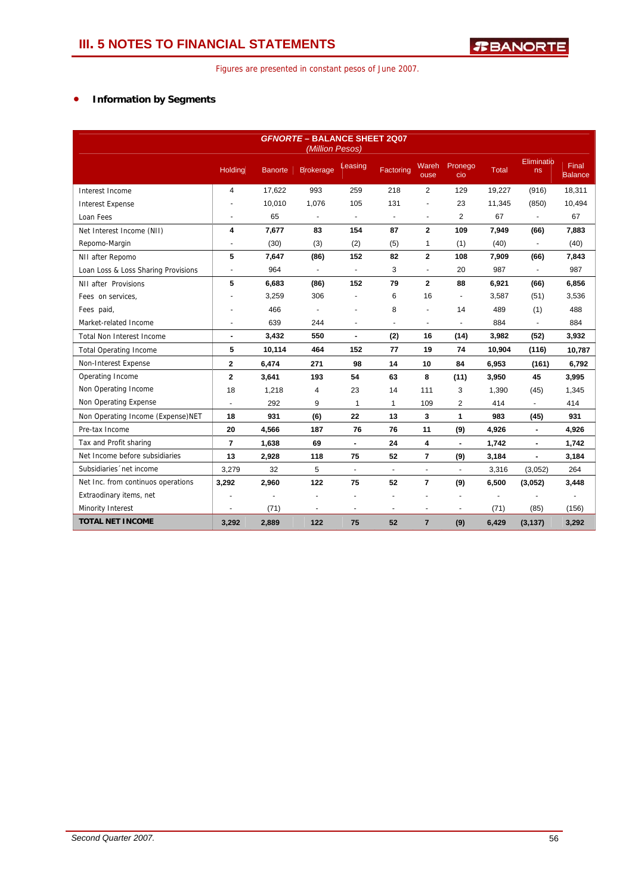### • **Information by Segments**

| <b>GFNORTE - BALANCE SHEET 2007</b><br>(Million Pesos) |                |                |                  |                          |                |                |                          |        |                          |                  |
|--------------------------------------------------------|----------------|----------------|------------------|--------------------------|----------------|----------------|--------------------------|--------|--------------------------|------------------|
|                                                        | Holding        | <b>Banorte</b> | <b>Brokerage</b> | Leasing                  | Factoring      | Wareh<br>ouse  | Pronego<br>cio           | Total  | Eliminatio<br>ns         | Final<br>Balance |
| Interest Income                                        | 4              | 17,622         | 993              | 259                      | 218            | $\overline{2}$ | 129                      | 19,227 | (916)                    | 18,311           |
| <b>Interest Expense</b>                                |                | 10,010         | 1,076            | 105                      | 131            |                | 23                       | 11,345 | (850)                    | 10,494           |
| Loan Fees                                              | ÷              | 65             | $\blacksquare$   | $\blacksquare$           | $\blacksquare$ | $\blacksquare$ | $\overline{2}$           | 67     | $\blacksquare$           | 67               |
| Net Interest Income (NII)                              | 4              | 7,677          | 83               | 154                      | 87             | $\mathbf{2}$   | 109                      | 7,949  | (66)                     | 7,883            |
| Repomo-Margin                                          | $\blacksquare$ | (30)           | (3)              | (2)                      | (5)            | 1              | (1)                      | (40)   | $\overline{\phantom{a}}$ | (40)             |
| NII after Repomo                                       | 5              | 7,647          | (86)             | 152                      | 82             | $\overline{2}$ | 108                      | 7,909  | (66)                     | 7,843            |
| Loan Loss & Loss Sharing Provisions                    | $\blacksquare$ | 964            | $\blacksquare$   | $\blacksquare$           | 3              | $\blacksquare$ | 20                       | 987    | $\overline{\phantom{a}}$ | 987              |
| NII after Provisions                                   | 5              | 6,683          | (86)             | 152                      | 79             | $\overline{2}$ | 88                       | 6,921  | (66)                     | 6,856            |
| Fees on services,                                      |                | 3,259          | 306              |                          | 6              | 16             | $\blacksquare$           | 3,587  | (51)                     | 3,536            |
| Fees paid,                                             |                | 466            | $\blacksquare$   |                          | 8              |                | 14                       | 489    | (1)                      | 488              |
| Market-related Income                                  | $\blacksquare$ | 639            | 244              | $\overline{\phantom{a}}$ | $\blacksquare$ | $\blacksquare$ | ÷,                       | 884    | $\blacksquare$           | 884              |
| <b>Total Non Interest Income</b>                       | $\blacksquare$ | 3,432          | 550              | $\blacksquare$           | (2)            | 16             | (14)                     | 3,982  | (52)                     | 3,932            |
| <b>Total Operating Income</b>                          | 5              | 10,114         | 464              | 152                      | 77             | 19             | 74                       | 10,904 | (116)                    | 10.787           |
| Non-Interest Expense                                   | 2              | 6,474          | 271              | 98                       | 14             | 10             | 84                       | 6,953  | (161)                    | 6,792            |
| Operating Income                                       | $\mathbf{2}$   | 3,641          | 193              | 54                       | 63             | 8              | (11)                     | 3,950  | 45                       | 3,995            |
| Non Operating Income                                   | 18             | 1,218          | 4                | 23                       | 14             | 111            | 3                        | 1,390  | (45)                     | 1,345            |
| Non Operating Expense                                  |                | 292            | 9                | 1                        | 1              | 109            | 2                        | 414    |                          | 414              |
| Non Operating Income (Expense) NET                     | 18             | 931            | (6)              | 22                       | 13             | 3              | $\mathbf{1}$             | 983    | (45)                     | 931              |
| Pre-tax Income                                         | 20             | 4,566          | 187              | 76                       | 76             | 11             | (9)                      | 4,926  | $\blacksquare$           | 4,926            |
| Tax and Profit sharing                                 | $\overline{7}$ | 1,638          | 69               | $\blacksquare$           | 24             | 4              | $\overline{\phantom{a}}$ | 1,742  | $\blacksquare$           | 1,742            |
| Net Income before subsidiaries                         | 13             | 2,928          | 118              | 75                       | 52             | $\overline{7}$ | (9)                      | 3,184  | $\blacksquare$           | 3,184            |
| Subsidiaries 'net income                               | 3,279          | 32             | 5                | $\blacksquare$           | $\blacksquare$ | $\omega$       | $\blacksquare$           | 3,316  | (3,052)                  | 264              |
| Net Inc. from continuos operations                     | 3,292          | 2,960          | 122              | 75                       | 52             | $\overline{7}$ | (9)                      | 6,500  | (3,052)                  | 3,448            |
| Extraodinary items, net                                |                | ٠              | $\blacksquare$   | ٠                        |                |                | $\blacksquare$           | ÷,     |                          |                  |
| Minority Interest                                      |                | (71)           | $\blacksquare$   | $\ddot{\phantom{1}}$     | $\blacksquare$ | ä,             | $\blacksquare$           | (71)   | (85)                     | (156)            |
| <b>TOTAL NET INCOME</b>                                | 3,292          | 2,889          | 122              | 75                       | 52             | $\overline{7}$ | (9)                      | 6,429  | (3, 137)                 | 3,292            |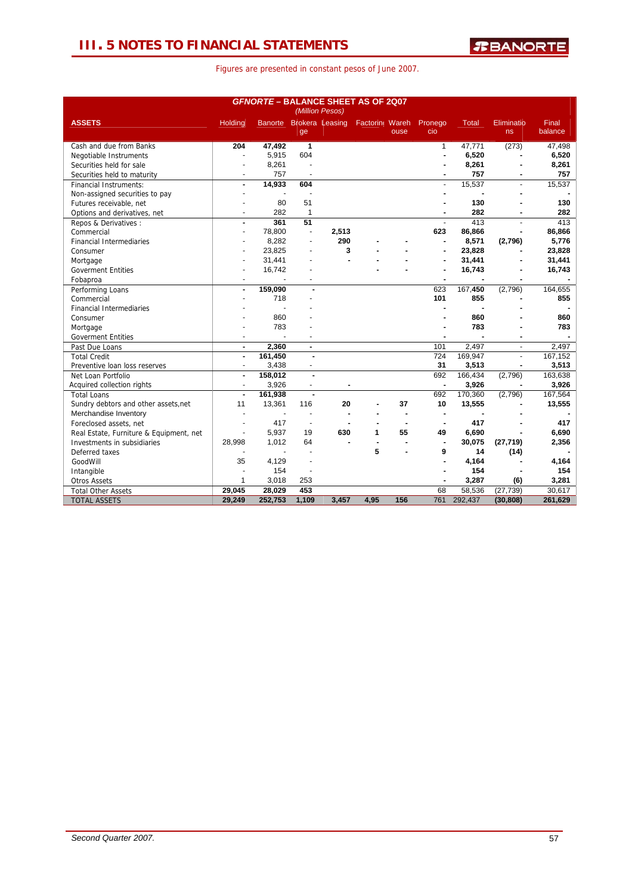### **III. 5 NOTES TO FINANCIAL STATEMENTS**

| <b>GFNORTE - BALANCE SHEET AS OF 2007</b><br>(Million Pesos) |                          |         |                      |                         |                 |      |                |              |                   |                  |
|--------------------------------------------------------------|--------------------------|---------|----------------------|-------------------------|-----------------|------|----------------|--------------|-------------------|------------------|
| <b>ASSETS</b>                                                | Holding                  |         | ge                   | Banorte Brokera Leasing | Factoring Wareh | ouse | Pronego<br>cio | <b>Total</b> | Eliminatio<br>ns. | Final<br>balance |
| Cash and due from Banks                                      | 204                      | 47,492  | 1                    |                         |                 |      | $\mathbf{1}$   | 47,771       | (273)             | 47,498           |
| Negotiable Instruments                                       |                          | 5,915   | 604                  |                         |                 |      |                | 6,520        |                   | 6,520            |
| Securities held for sale                                     |                          | 8,261   |                      |                         |                 |      |                | 8,261        |                   | 8,261            |
| Securities held to maturity                                  |                          | 757     |                      |                         |                 |      |                | 757          |                   | 757              |
| <b>Financial Instruments:</b>                                | $\blacksquare$           | 14,933  | 604                  |                         |                 |      | $\blacksquare$ | 15,537       | ä,                | 15,537           |
| Non-assigned securities to pay                               |                          |         |                      |                         |                 |      |                |              |                   |                  |
| Futures receivable, net                                      |                          | 80      | 51                   |                         |                 |      |                | 130          |                   | 130              |
| Options and derivatives, net                                 |                          | 282     | $\mathbf{1}$         |                         |                 |      |                | 282          |                   | 282              |
| Repos & Derivatives :                                        | $\blacksquare$           | 361     | 51                   |                         |                 |      | $\mathbf{r}$   | 413          | L.                | 413              |
| Commercial                                                   |                          | 78,800  | $\blacksquare$       | 2,513                   |                 |      | 623            | 86,866       |                   | 86,866           |
| <b>Financial Intermediaries</b>                              |                          | 8,282   |                      | 290                     |                 |      | $\blacksquare$ | 8,571        | (2,796)           | 5,776            |
| Consumer                                                     |                          | 23,825  |                      | 3                       |                 |      |                | 23.828       |                   | 23,828           |
| Mortgage                                                     |                          | 31,441  |                      |                         |                 |      |                | 31,441       |                   | 31,441           |
| <b>Goverment Entities</b>                                    |                          | 16,742  |                      |                         |                 |      |                | 16,743       |                   | 16,743           |
| Fobaproa                                                     |                          |         |                      |                         |                 |      |                |              |                   |                  |
| Performing Loans                                             | $\blacksquare$           | 159,090 |                      |                         |                 |      | 623            | 167,450      | (2,796)           | 164,655          |
| Commercial                                                   |                          | 718     |                      |                         |                 |      | 101            | 855          |                   | 855              |
| <b>Financial Intermediaries</b>                              |                          |         |                      |                         |                 |      |                |              |                   |                  |
| Consumer                                                     |                          | 860     |                      |                         |                 |      |                | 860          |                   | 860              |
| Mortgage                                                     |                          | 783     |                      |                         |                 |      |                | 783          |                   | 783              |
| <b>Goverment Entities</b>                                    |                          |         |                      |                         |                 |      |                |              |                   |                  |
| Past Due Loans                                               | $\blacksquare$           | 2,360   | $\blacksquare$       |                         |                 |      | 101            | 2,497        | ä,                | 2,497            |
| <b>Total Credit</b>                                          | $\blacksquare$           | 161,450 |                      |                         |                 |      | 724            | 169,947      |                   | 167,152          |
| Preventive loan loss reserves                                | $\blacksquare$           | 3,438   |                      |                         |                 |      | 31             | 3,513        |                   | 3,513            |
| Net Loan Portfolio                                           | $\overline{\phantom{a}}$ | 158,012 | $\blacksquare$       |                         |                 |      | 692            | 166,434      | (2,796)           | 163,638          |
| Acquired collection rights                                   | ÷,                       | 3,926   |                      |                         |                 |      | ٠              | 3,926        |                   | 3,926            |
| <b>Total Loans</b>                                           | ÷                        | 161,938 | $\blacksquare$       |                         |                 |      | 692            | 170,360      | (2,796)           | 167,564          |
| Sundry debtors and other assets, net                         | 11                       | 13,361  | 116                  | 20                      |                 | 37   | 10             | 13,555       |                   | 13,555           |
| Merchandise Inventory                                        |                          |         |                      |                         |                 |      | $\blacksquare$ |              |                   |                  |
| Foreclosed assets, net                                       |                          | 417     | $\ddot{\phantom{1}}$ |                         |                 |      |                | 417          |                   | 417              |
| Real Estate, Furniture & Equipment, net                      |                          | 5.937   | 19                   | 630                     | 1               | 55   | 49             | 6,690        |                   | 6,690            |
| Investments in subsidiaries                                  | 28.998                   | 1.012   | 64                   |                         |                 |      | $\blacksquare$ | 30,075       | (27, 719)         | 2,356            |
| Deferred taxes                                               |                          |         |                      |                         | 5               |      | 9              | 14           | (14)              |                  |
| GoodWill                                                     | 35                       | 4,129   |                      |                         |                 |      |                | 4,164        |                   | 4,164            |
| Intangible                                                   |                          | 154     |                      |                         |                 |      |                | 154          |                   | 154              |
| <b>Otros Assets</b>                                          | $\mathbf{1}$             | 3,018   | 253                  |                         |                 |      |                | 3,287        | (6)               | 3,281            |
| <b>Total Other Assets</b>                                    | 29,045                   | 28,029  | 453                  |                         |                 |      | 68             | 58,536       | (27, 739)         | 30.617           |
| <b>TOTAL ASSETS</b>                                          | 29,249                   | 252,753 | 1,109                | 3.457                   | 4,95            | 156  | 761            | 292.437      | (30, 808)         | 261,629          |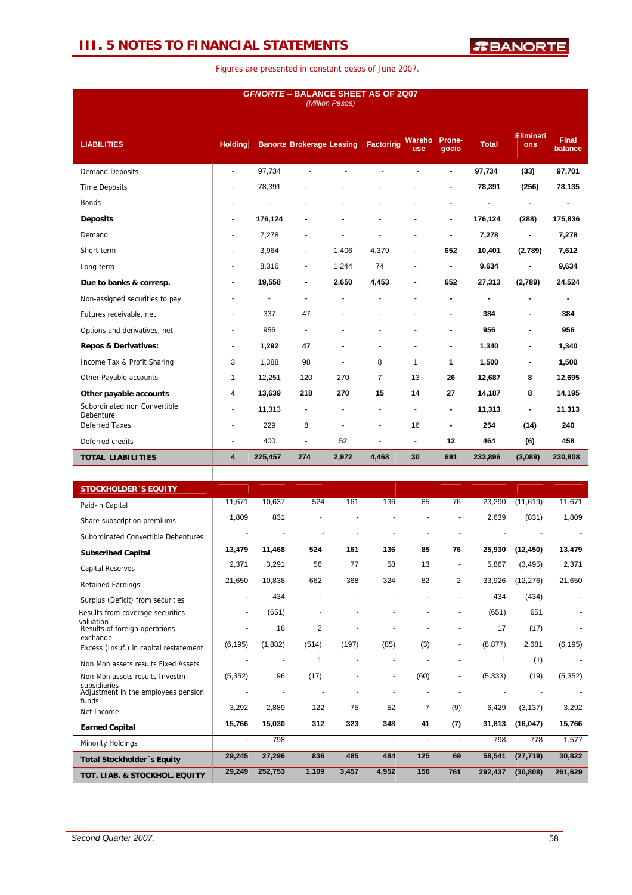### **III. 5 NOTES TO FINANCIAL STATEMENTS**

| <b>GFNORTE - BALANCE SHEET AS OF 2Q07</b><br>(Million Pesos) |                      |                |                                  |       |                      |                      |                 |              |                              |                         |
|--------------------------------------------------------------|----------------------|----------------|----------------------------------|-------|----------------------|----------------------|-----------------|--------------|------------------------------|-------------------------|
| <b>LIABILITIES</b>                                           | <b>Holding</b>       |                | <b>Banorte Brokerage Leasing</b> |       | Factoring            | Wareho<br><b>use</b> | Prone-<br>gocio | <b>Total</b> | <b>Eliminati</b><br>ons      | <b>Final</b><br>balance |
| <b>Demand Deposits</b>                                       | $\blacksquare$       | 97,734         |                                  |       |                      |                      | ä,              | 97,734       | (33)                         | 97,701                  |
| <b>Time Deposits</b>                                         | $\overline{a}$       | 78,391         |                                  |       |                      |                      |                 | 78,391       | (256)                        | 78,135                  |
| <b>Bonds</b>                                                 | $\blacksquare$       |                |                                  |       |                      |                      |                 |              | ٠                            | $\blacksquare$          |
| <b>Deposits</b>                                              | $\blacksquare$       | 176,124        | ۰                                |       | ٠                    |                      | $\blacksquare$  | 176,124      | (288)                        | 175,836                 |
| Demand                                                       | $\blacksquare$       | 7,278          | ä,                               |       | ÷.                   |                      | $\blacksquare$  | 7,278        | ä,                           | 7,278                   |
| Short term                                                   | $\blacksquare$       | 3,964          | $\overline{\phantom{0}}$         | 1,406 | 4,379                | $\blacksquare$       | 652             | 10,401       | (2,789)                      | 7,612                   |
| Long term                                                    | $\overline{a}$       | 8,316          | $\blacksquare$                   | 1,244 | 74                   |                      |                 | 9,634        |                              | 9,634                   |
| Due to banks & corresp.                                      | ٠                    | 19,558         |                                  | 2,650 | 4,453                |                      | 652             | 27,313       | (2,789)                      | 24,524                  |
| Non-assigned securities to pay                               | $\blacksquare$       | $\blacksquare$ | ٠                                |       |                      |                      | ä,              | ä,           | ۰                            | ۰.                      |
| Futures receivable, net                                      | $\blacksquare$       | 337            | 47                               |       |                      |                      | $\blacksquare$  | 384          | $\blacksquare$               | 384                     |
| Options and derivatives, net                                 | $\blacksquare$       | 956            | ٠                                |       |                      |                      | $\blacksquare$  | 956          | $\blacksquare$               | 956                     |
| <b>Repos &amp; Derivatives:</b>                              | $\blacksquare$       | 1,292          | 47                               |       | $\blacksquare$       |                      | $\blacksquare$  | 1,340        | $\blacksquare$               | 1,340                   |
| Income Tax & Profit Sharing                                  | 3                    | 1,388          | 98                               | ÷     | 8                    | $\mathbf{1}$         | $\mathbf{1}$    | 1,500        | $\qquad \qquad \blacksquare$ | 1,500                   |
| Other Payable accounts                                       | $\mathbf{1}$         | 12,251         | 120                              | 270   | $\overline{7}$       | 13                   | 26              | 12,687       | 8                            | 12,695                  |
| Other payable accounts                                       | 4                    | 13,639         | 218                              | 270   | 15                   | 14                   | 27              | 14,187       | 8                            | 14,195                  |
| Subordinated non Convertible<br>Debenture                    | $\blacksquare$       | 11,313         | ٠                                |       |                      |                      | $\overline{a}$  | 11,313       | $\qquad \qquad \blacksquare$ | 11,313                  |
| <b>Deferred Taxes</b>                                        | $\ddot{\phantom{1}}$ | 229            | 8                                |       | $\ddot{\phantom{1}}$ | 16                   | $\blacksquare$  | 254          | (14)                         | 240                     |
| Deferred credits                                             | $\blacksquare$       | 400            | $\blacksquare$                   | 52    | $\blacksquare$       | $\blacksquare$       | 12              | 464          | (6)                          | 458                     |
| <b>TOTAL LIABILITIES</b>                                     | 4                    | 225,457        | 274                              | 2,972 | 4,468                | 30                   | 691             | 233,896      | (3,089)                      | 230,808                 |

| <b>STOCKHOLDER 'S EQUITY</b>                        |                          |         |                |                |                      |                      |     |          |           |          |
|-----------------------------------------------------|--------------------------|---------|----------------|----------------|----------------------|----------------------|-----|----------|-----------|----------|
| Paid-in Capital                                     | 11,671                   | 10,637  | 524            | 161            | 136                  | 85                   | 76  | 23,290   | (11, 619) | 11,671   |
| Share subscription premiums                         | 1,809                    | 831     |                |                |                      |                      |     | 2,639    | (831)     | 1,809    |
| Subordinated Convertible Debentures                 |                          |         |                |                |                      |                      |     |          |           |          |
| <b>Subscribed Capital</b>                           | 13,479                   | 11,468  | 524            | 161            | 136                  | 85                   | 76  | 25,930   | (12, 450) | 13,479   |
| <b>Capital Reserves</b>                             | 2,371                    | 3,291   | 56             | 77             | 58                   | 13                   |     | 5,867    | (3, 495)  | 2,371    |
| <b>Retained Earnings</b>                            | 21,650                   | 10,838  | 662            | 368            | 324                  | 82                   | 2   | 33,926   | (12, 276) | 21,650   |
| Surplus (Deficit) from securities                   |                          | 434     |                |                |                      |                      |     | 434      | (434)     |          |
| Results from coverage securities                    |                          | (651)   |                |                |                      |                      |     | (651)    | 651       |          |
| valuation<br>Results of foreign operations          |                          | 16      | 2              |                |                      |                      |     | 17       | (17)      |          |
| exchange<br>Excess (Insuf.) in capital restatement  | (6, 195)                 | (1,882) | (514)          | (197)          | (85)                 | (3)                  |     | (8, 877) | 2.681     | (6, 195) |
| Non Mon assets results Fixed Assets                 |                          |         | 1              |                |                      |                      |     | 1        | (1)       |          |
| Non Mon assets results Investm                      | (5,352)                  | 96      | (17)           |                |                      | (60)                 |     | (5, 333) | (19)      | (5, 352) |
| subsidiaries<br>Adjustment in the employees pension |                          |         |                |                |                      |                      |     |          |           |          |
| funds<br>Net Income                                 | 3,292                    | 2.889   | 122            | 75             | 52                   | $\overline{7}$       | (9) | 6,429    | (3, 137)  | 3,292    |
| <b>Earned Capital</b>                               | 15,766                   | 15,030  | 312            | 323            | 348                  | 41                   | (7) | 31,813   | (16, 047) | 15,766   |
| <b>Minority Holdings</b>                            | $\overline{\phantom{a}}$ | 798     | $\blacksquare$ | $\overline{a}$ | $\ddot{\phantom{1}}$ | $\ddot{\phantom{1}}$ | ÷.  | 798      | 778       | 1,577    |
| Total Stockholder 's Equity                         | 29,245                   | 27,296  | 836            | 485            | 484                  | 125                  | 69  | 58,541   | (27, 719) | 30,822   |
| TOT. LIAB. & STOCKHOL. EQUITY                       | 29,249                   | 252,753 | 1,109          | 3,457          | 4,952                | 156                  | 761 | 292,437  | (30, 808) | 261,629  |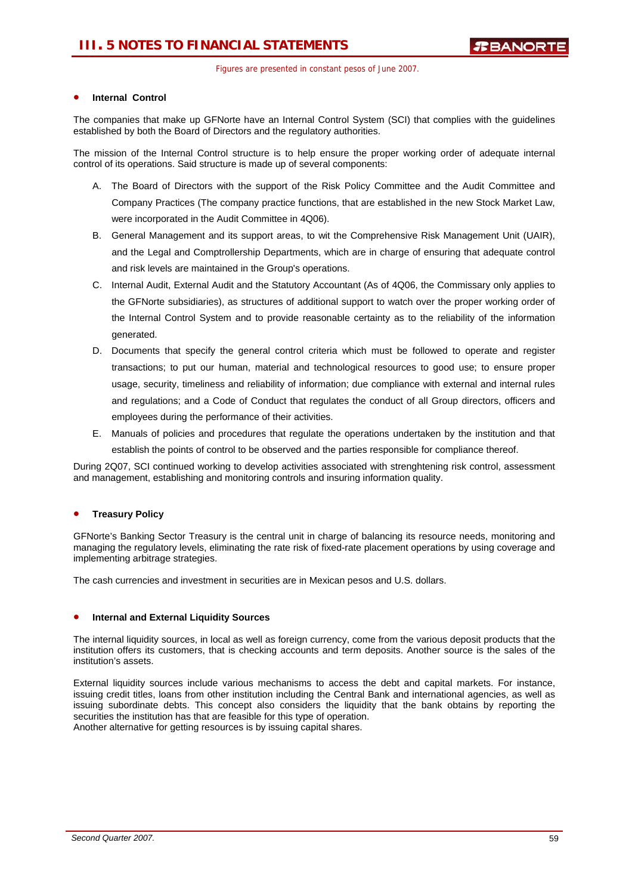### • **Internal Control**

The companies that make up GFNorte have an Internal Control System (SCI) that complies with the guidelines established by both the Board of Directors and the regulatory authorities.

The mission of the Internal Control structure is to help ensure the proper working order of adequate internal control of its operations. Said structure is made up of several components:

- A. The Board of Directors with the support of the Risk Policy Committee and the Audit Committee and Company Practices (The company practice functions, that are established in the new Stock Market Law, were incorporated in the Audit Committee in 4Q06).
- B. General Management and its support areas, to wit the Comprehensive Risk Management Unit (UAIR), and the Legal and Comptrollership Departments, which are in charge of ensuring that adequate control and risk levels are maintained in the Group's operations.
- C. Internal Audit, External Audit and the Statutory Accountant (As of 4Q06, the Commissary only applies to the GFNorte subsidiaries), as structures of additional support to watch over the proper working order of the Internal Control System and to provide reasonable certainty as to the reliability of the information generated.
- D. Documents that specify the general control criteria which must be followed to operate and register transactions; to put our human, material and technological resources to good use; to ensure proper usage, security, timeliness and reliability of information; due compliance with external and internal rules and regulations; and a Code of Conduct that regulates the conduct of all Group directors, officers and employees during the performance of their activities.
- E. Manuals of policies and procedures that regulate the operations undertaken by the institution and that establish the points of control to be observed and the parties responsible for compliance thereof.

During 2Q07, SCI continued working to develop activities associated with strenghtening risk control, assessment and management, establishing and monitoring controls and insuring information quality.

### • **Treasury Policy**

GFNorte's Banking Sector Treasury is the central unit in charge of balancing its resource needs, monitoring and managing the regulatory levels, eliminating the rate risk of fixed-rate placement operations by using coverage and implementing arbitrage strategies.

The cash currencies and investment in securities are in Mexican pesos and U.S. dollars.

### • **Internal and External Liquidity Sources**

The internal liquidity sources, in local as well as foreign currency, come from the various deposit products that the institution offers its customers, that is checking accounts and term deposits. Another source is the sales of the institution's assets.

External liquidity sources include various mechanisms to access the debt and capital markets. For instance, issuing credit titles, loans from other institution including the Central Bank and international agencies, as well as issuing subordinate debts. This concept also considers the liquidity that the bank obtains by reporting the securities the institution has that are feasible for this type of operation. Another alternative for getting resources is by issuing capital shares.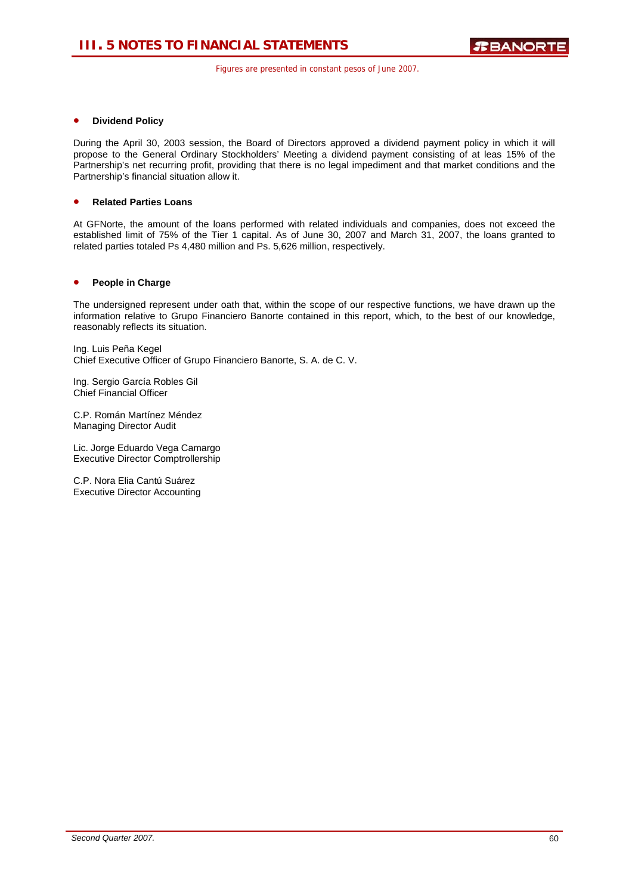### • **Dividend Policy**

During the April 30, 2003 session, the Board of Directors approved a dividend payment policy in which it will propose to the General Ordinary Stockholders' Meeting a dividend payment consisting of at leas 15% of the Partnership's net recurring profit, providing that there is no legal impediment and that market conditions and the Partnership's financial situation allow it.

### • **Related Parties Loans**

At GFNorte, the amount of the loans performed with related individuals and companies, does not exceed the established limit of 75% of the Tier 1 capital. As of June 30, 2007 and March 31, 2007, the loans granted to related parties totaled Ps 4,480 million and Ps. 5,626 million, respectively.

### • **People in Charge**

The undersigned represent under oath that, within the scope of our respective functions, we have drawn up the information relative to Grupo Financiero Banorte contained in this report, which, to the best of our knowledge, reasonably reflects its situation.

Ing. Luis Peña Kegel Chief Executive Officer of Grupo Financiero Banorte, S. A. de C. V.

Ing. Sergio García Robles Gil Chief Financial Officer

C.P. Román Martínez Méndez Managing Director Audit

Lic. Jorge Eduardo Vega Camargo Executive Director Comptrollership

C.P. Nora Elia Cantú Suárez Executive Director Accounting